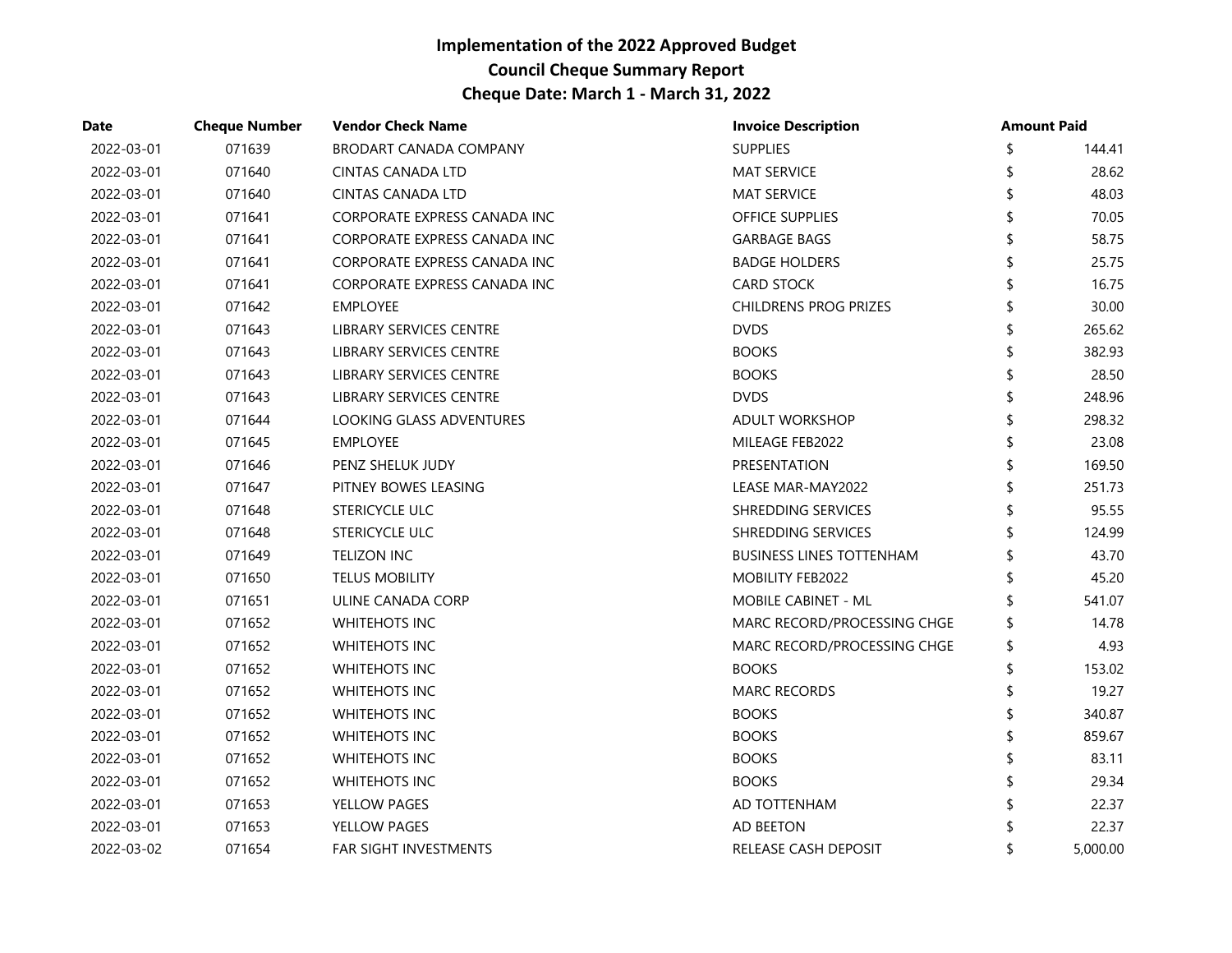| Date       | <b>Cheque Number</b> | <b>Vendor Check Name</b>      | <b>Invoice Description</b>      |    | <b>Amount Paid</b> |
|------------|----------------------|-------------------------------|---------------------------------|----|--------------------|
| 2022-03-01 | 071639               | <b>BRODART CANADA COMPANY</b> | <b>SUPPLIES</b>                 | \$ | 144.41             |
| 2022-03-01 | 071640               | CINTAS CANADA LTD             | <b>MAT SERVICE</b>              |    | 28.62              |
| 2022-03-01 | 071640               | <b>CINTAS CANADA LTD</b>      | <b>MAT SERVICE</b>              |    | 48.03              |
| 2022-03-01 | 071641               | CORPORATE EXPRESS CANADA INC  | OFFICE SUPPLIES                 |    | 70.05              |
| 2022-03-01 | 071641               | CORPORATE EXPRESS CANADA INC  | <b>GARBAGE BAGS</b>             |    | 58.75              |
| 2022-03-01 | 071641               | CORPORATE EXPRESS CANADA INC  | <b>BADGE HOLDERS</b>            |    | 25.75              |
| 2022-03-01 | 071641               | CORPORATE EXPRESS CANADA INC  | <b>CARD STOCK</b>               |    | 16.75              |
| 2022-03-01 | 071642               | <b>EMPLOYEE</b>               | <b>CHILDRENS PROG PRIZES</b>    |    | 30.00              |
| 2022-03-01 | 071643               | LIBRARY SERVICES CENTRE       | <b>DVDS</b>                     |    | 265.62             |
| 2022-03-01 | 071643               | LIBRARY SERVICES CENTRE       | <b>BOOKS</b>                    |    | 382.93             |
| 2022-03-01 | 071643               | LIBRARY SERVICES CENTRE       | <b>BOOKS</b>                    |    | 28.50              |
| 2022-03-01 | 071643               | LIBRARY SERVICES CENTRE       | <b>DVDS</b>                     |    | 248.96             |
| 2022-03-01 | 071644               | LOOKING GLASS ADVENTURES      | <b>ADULT WORKSHOP</b>           |    | 298.32             |
| 2022-03-01 | 071645               | <b>EMPLOYEE</b>               | MILEAGE FEB2022                 |    | 23.08              |
| 2022-03-01 | 071646               | PENZ SHELUK JUDY              | PRESENTATION                    | ና  | 169.50             |
| 2022-03-01 | 071647               | PITNEY BOWES LEASING          | LEASE MAR-MAY2022               |    | 251.73             |
| 2022-03-01 | 071648               | STERICYCLE ULC                | SHREDDING SERVICES              |    | 95.55              |
| 2022-03-01 | 071648               | STERICYCLE ULC                | SHREDDING SERVICES              |    | 124.99             |
| 2022-03-01 | 071649               | <b>TELIZON INC</b>            | <b>BUSINESS LINES TOTTENHAM</b> |    | 43.70              |
| 2022-03-01 | 071650               | <b>TELUS MOBILITY</b>         | MOBILITY FEB2022                |    | 45.20              |
| 2022-03-01 | 071651               | ULINE CANADA CORP             | MOBILE CABINET - ML             |    | 541.07             |
| 2022-03-01 | 071652               | <b>WHITEHOTS INC</b>          | MARC RECORD/PROCESSING CHGE     | \$ | 14.78              |
| 2022-03-01 | 071652               | <b>WHITEHOTS INC</b>          | MARC RECORD/PROCESSING CHGE     | \$ | 4.93               |
| 2022-03-01 | 071652               | <b>WHITEHOTS INC</b>          | <b>BOOKS</b>                    |    | 153.02             |
| 2022-03-01 | 071652               | <b>WHITEHOTS INC</b>          | <b>MARC RECORDS</b>             |    | 19.27              |
| 2022-03-01 | 071652               | <b>WHITEHOTS INC</b>          | <b>BOOKS</b>                    |    | 340.87             |
| 2022-03-01 | 071652               | <b>WHITEHOTS INC</b>          | <b>BOOKS</b>                    |    | 859.67             |
| 2022-03-01 | 071652               | <b>WHITEHOTS INC</b>          | <b>BOOKS</b>                    |    | 83.11              |
| 2022-03-01 | 071652               | WHITEHOTS INC                 | <b>BOOKS</b>                    |    | 29.34              |
| 2022-03-01 | 071653               | YELLOW PAGES                  | AD TOTTENHAM                    |    | 22.37              |
| 2022-03-01 | 071653               | YELLOW PAGES                  | AD BEETON                       |    | 22.37              |
| 2022-03-02 | 071654               | <b>FAR SIGHT INVESTMENTS</b>  | RELEASE CASH DEPOSIT            |    | 5,000.00           |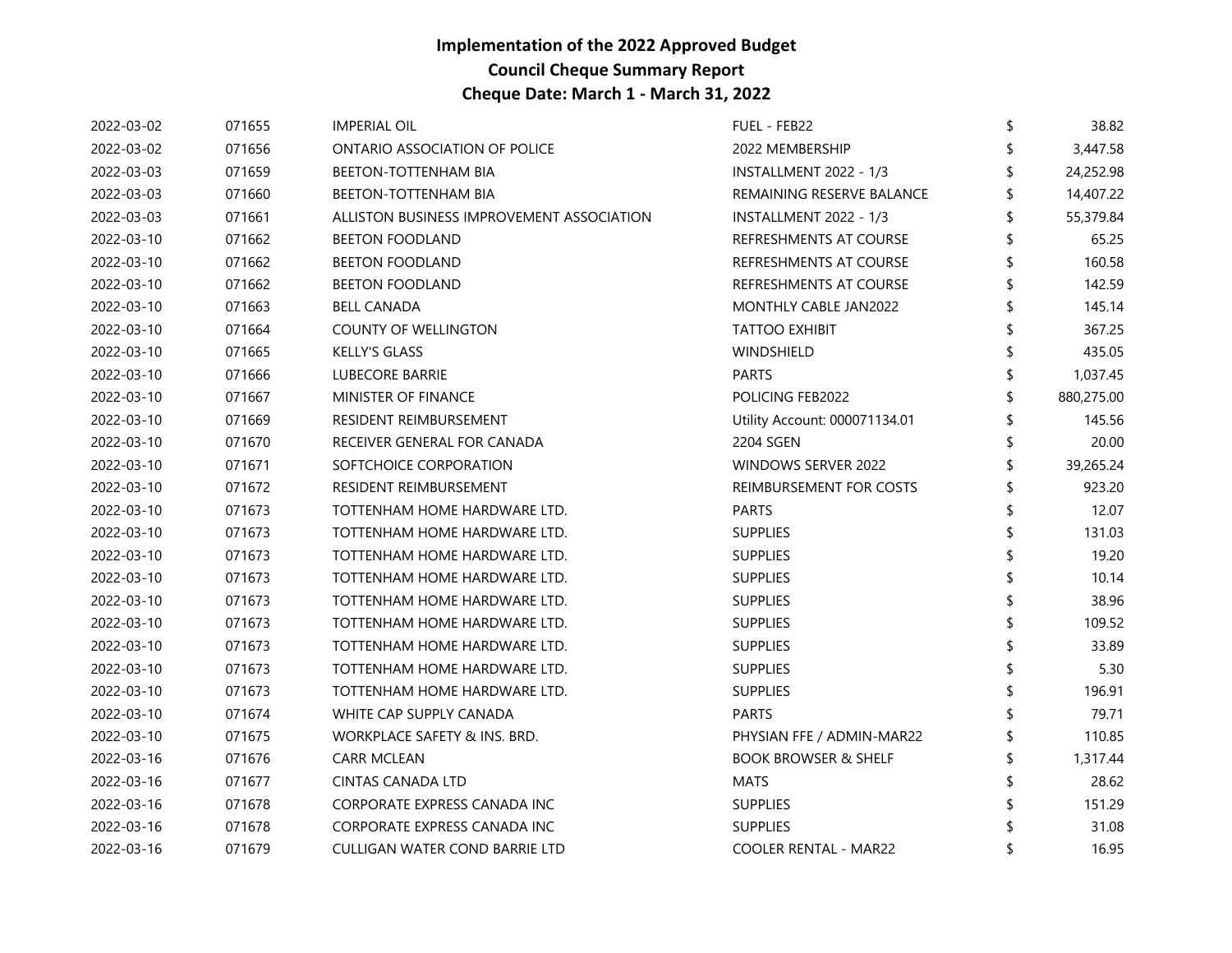| 2022-03-02 | 071655 | <b>IMPERIAL OIL</b>                       | FUEL - FEB22                    | \$ | 38.82      |
|------------|--------|-------------------------------------------|---------------------------------|----|------------|
| 2022-03-02 | 071656 | ONTARIO ASSOCIATION OF POLICE             | 2022 MEMBERSHIP                 |    | 3,447.58   |
| 2022-03-03 | 071659 | <b>BEETON-TOTTENHAM BIA</b>               | INSTALLMENT 2022 - 1/3          |    | 24,252.98  |
| 2022-03-03 | 071660 | <b>BEETON-TOTTENHAM BIA</b>               | REMAINING RESERVE BALANCE       |    | 14,407.22  |
| 2022-03-03 | 071661 | ALLISTON BUSINESS IMPROVEMENT ASSOCIATION | INSTALLMENT 2022 - 1/3          |    | 55,379.84  |
| 2022-03-10 | 071662 | <b>BEETON FOODLAND</b>                    | REFRESHMENTS AT COURSE          |    | 65.25      |
| 2022-03-10 | 071662 | <b>BEETON FOODLAND</b>                    | REFRESHMENTS AT COURSE          |    | 160.58     |
| 2022-03-10 | 071662 | <b>BEETON FOODLAND</b>                    | REFRESHMENTS AT COURSE          |    | 142.59     |
| 2022-03-10 | 071663 | <b>BELL CANADA</b>                        | MONTHLY CABLE JAN2022           |    | 145.14     |
| 2022-03-10 | 071664 | <b>COUNTY OF WELLINGTON</b>               | <b>TATTOO EXHIBIT</b>           |    | 367.25     |
| 2022-03-10 | 071665 | <b>KELLY'S GLASS</b>                      | WINDSHIELD                      |    | 435.05     |
| 2022-03-10 | 071666 | <b>LUBECORE BARRIE</b>                    | <b>PARTS</b>                    | \$ | 1,037.45   |
| 2022-03-10 | 071667 | MINISTER OF FINANCE                       | POLICING FEB2022                |    | 880,275.00 |
| 2022-03-10 | 071669 | RESIDENT REIMBURSEMENT                    | Utility Account: 000071134.01   |    | 145.56     |
| 2022-03-10 | 071670 | RECEIVER GENERAL FOR CANADA               | 2204 SGEN                       |    | 20.00      |
| 2022-03-10 | 071671 | SOFTCHOICE CORPORATION                    | WINDOWS SERVER 2022             | \$ | 39,265.24  |
| 2022-03-10 | 071672 | RESIDENT REIMBURSEMENT                    | REIMBURSEMENT FOR COSTS         |    | 923.20     |
| 2022-03-10 | 071673 | TOTTENHAM HOME HARDWARE LTD.              | <b>PARTS</b>                    |    | 12.07      |
| 2022-03-10 | 071673 | TOTTENHAM HOME HARDWARE LTD.              | <b>SUPPLIES</b>                 | \$ | 131.03     |
| 2022-03-10 | 071673 | TOTTENHAM HOME HARDWARE LTD.              | <b>SUPPLIES</b>                 |    | 19.20      |
| 2022-03-10 | 071673 | TOTTENHAM HOME HARDWARE LTD.              | <b>SUPPLIES</b>                 |    | 10.14      |
| 2022-03-10 | 071673 | TOTTENHAM HOME HARDWARE LTD.              | <b>SUPPLIES</b>                 |    | 38.96      |
| 2022-03-10 | 071673 | TOTTENHAM HOME HARDWARE LTD.              | <b>SUPPLIES</b>                 | ፍ  | 109.52     |
| 2022-03-10 | 071673 | TOTTENHAM HOME HARDWARE LTD.              | <b>SUPPLIES</b>                 |    | 33.89      |
| 2022-03-10 | 071673 | TOTTENHAM HOME HARDWARE LTD.              | <b>SUPPLIES</b>                 |    | 5.30       |
| 2022-03-10 | 071673 | TOTTENHAM HOME HARDWARE LTD.              | <b>SUPPLIES</b>                 | \$ | 196.91     |
| 2022-03-10 | 071674 | WHITE CAP SUPPLY CANADA                   | <b>PARTS</b>                    |    | 79.71      |
| 2022-03-10 | 071675 | WORKPLACE SAFETY & INS. BRD.              | PHYSIAN FFE / ADMIN-MAR22       |    | 110.85     |
| 2022-03-16 | 071676 | CARR MCLEAN                               | <b>BOOK BROWSER &amp; SHELF</b> |    | 1,317.44   |
| 2022-03-16 | 071677 | <b>CINTAS CANADA LTD</b>                  | <b>MATS</b>                     |    | 28.62      |
| 2022-03-16 | 071678 | CORPORATE EXPRESS CANADA INC              | <b>SUPPLIES</b>                 |    | 151.29     |
| 2022-03-16 | 071678 | CORPORATE EXPRESS CANADA INC              | <b>SUPPLIES</b>                 |    | 31.08      |
| 2022-03-16 | 071679 | CULLIGAN WATER COND BARRIE LTD            | <b>COOLER RENTAL - MAR22</b>    |    | 16.95      |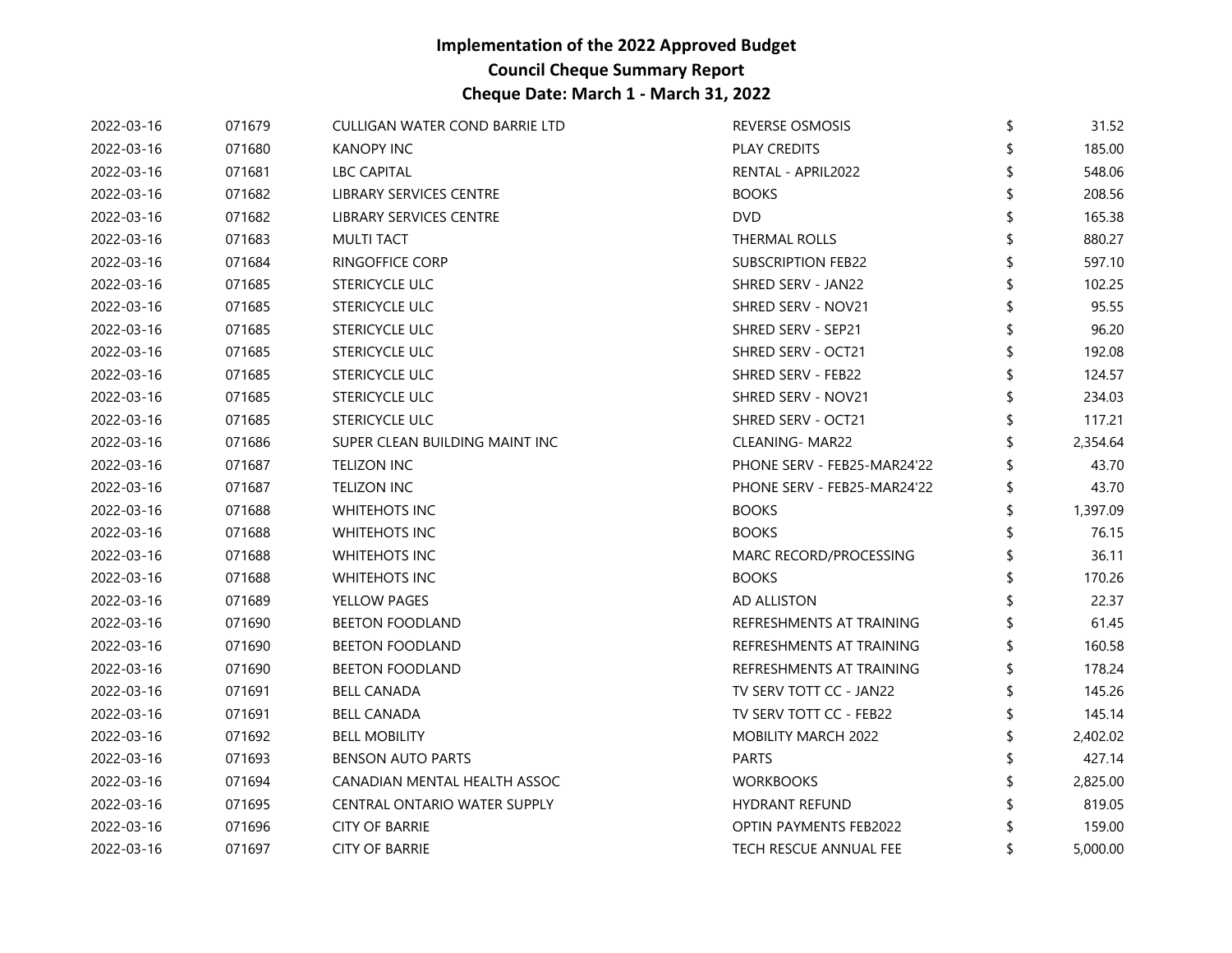| 2022-03-16 | 071679 | CULLIGAN WATER COND BARRIE LTD | <b>REVERSE OSMOSIS</b>        | \$<br>31.52 |
|------------|--------|--------------------------------|-------------------------------|-------------|
| 2022-03-16 | 071680 | KANOPY INC                     | PLAY CREDITS                  | 185.00      |
| 2022-03-16 | 071681 | <b>LBC CAPITAL</b>             | RENTAL - APRIL2022            | 548.06      |
| 2022-03-16 | 071682 | LIBRARY SERVICES CENTRE        | <b>BOOKS</b>                  | 208.56      |
| 2022-03-16 | 071682 | LIBRARY SERVICES CENTRE        | <b>DVD</b>                    | 165.38      |
| 2022-03-16 | 071683 | <b>MULTI TACT</b>              | THERMAL ROLLS                 | 880.27      |
| 2022-03-16 | 071684 | <b>RINGOFFICE CORP</b>         | <b>SUBSCRIPTION FEB22</b>     | 597.10      |
| 2022-03-16 | 071685 | STERICYCLE ULC                 | SHRED SERV - JAN22            | 102.25      |
| 2022-03-16 | 071685 | STERICYCLE ULC                 | SHRED SERV - NOV21            | 95.55       |
| 2022-03-16 | 071685 | <b>STERICYCLE ULC</b>          | SHRED SERV - SEP21            | 96.20       |
| 2022-03-16 | 071685 | STERICYCLE ULC                 | SHRED SERV - OCT21            | 192.08      |
| 2022-03-16 | 071685 | STERICYCLE ULC                 | SHRED SERV - FEB22            | 124.57      |
| 2022-03-16 | 071685 | STERICYCLE ULC                 | SHRED SERV - NOV21            | 234.03      |
| 2022-03-16 | 071685 | <b>STERICYCLE ULC</b>          | SHRED SERV - OCT21            | 117.21      |
| 2022-03-16 | 071686 | SUPER CLEAN BUILDING MAINT INC | CLEANING- MAR22               | 2,354.64    |
| 2022-03-16 | 071687 | <b>TELIZON INC</b>             | PHONE SERV - FEB25-MAR24'22   | 43.70       |
| 2022-03-16 | 071687 | <b>TELIZON INC</b>             | PHONE SERV - FEB25-MAR24'22   | 43.70       |
| 2022-03-16 | 071688 | <b>WHITEHOTS INC</b>           | <b>BOOKS</b>                  | 1,397.09    |
| 2022-03-16 | 071688 | <b>WHITEHOTS INC</b>           | <b>BOOKS</b>                  | 76.15       |
| 2022-03-16 | 071688 | <b>WHITEHOTS INC</b>           | MARC RECORD/PROCESSING        | 36.11       |
| 2022-03-16 | 071688 | <b>WHITEHOTS INC</b>           | <b>BOOKS</b>                  | 170.26      |
| 2022-03-16 | 071689 | YELLOW PAGES                   | AD ALLISTON                   | 22.37       |
| 2022-03-16 | 071690 | <b>BEETON FOODLAND</b>         | REFRESHMENTS AT TRAINING      | 61.45       |
| 2022-03-16 | 071690 | <b>BEETON FOODLAND</b>         | REFRESHMENTS AT TRAINING      | 160.58      |
| 2022-03-16 | 071690 | <b>BEETON FOODLAND</b>         | REFRESHMENTS AT TRAINING      | 178.24      |
| 2022-03-16 | 071691 | <b>BELL CANADA</b>             | TV SERV TOTT CC - JAN22       | 145.26      |
| 2022-03-16 | 071691 | <b>BELL CANADA</b>             | TV SERV TOTT CC - FEB22       | 145.14      |
| 2022-03-16 | 071692 | <b>BELL MOBILITY</b>           | MOBILITY MARCH 2022           | 2,402.02    |
| 2022-03-16 | 071693 | <b>BENSON AUTO PARTS</b>       | <b>PARTS</b>                  | 427.14      |
| 2022-03-16 | 071694 | CANADIAN MENTAL HEALTH ASSOC   | <b>WORKBOOKS</b>              | 2,825.00    |
| 2022-03-16 | 071695 | CENTRAL ONTARIO WATER SUPPLY   | <b>HYDRANT REFUND</b>         | 819.05      |
| 2022-03-16 | 071696 | <b>CITY OF BARRIE</b>          | <b>OPTIN PAYMENTS FEB2022</b> | 159.00      |
| 2022-03-16 | 071697 | <b>CITY OF BARRIE</b>          | <b>TECH RESCUE ANNUAL FEE</b> | 5,000.00    |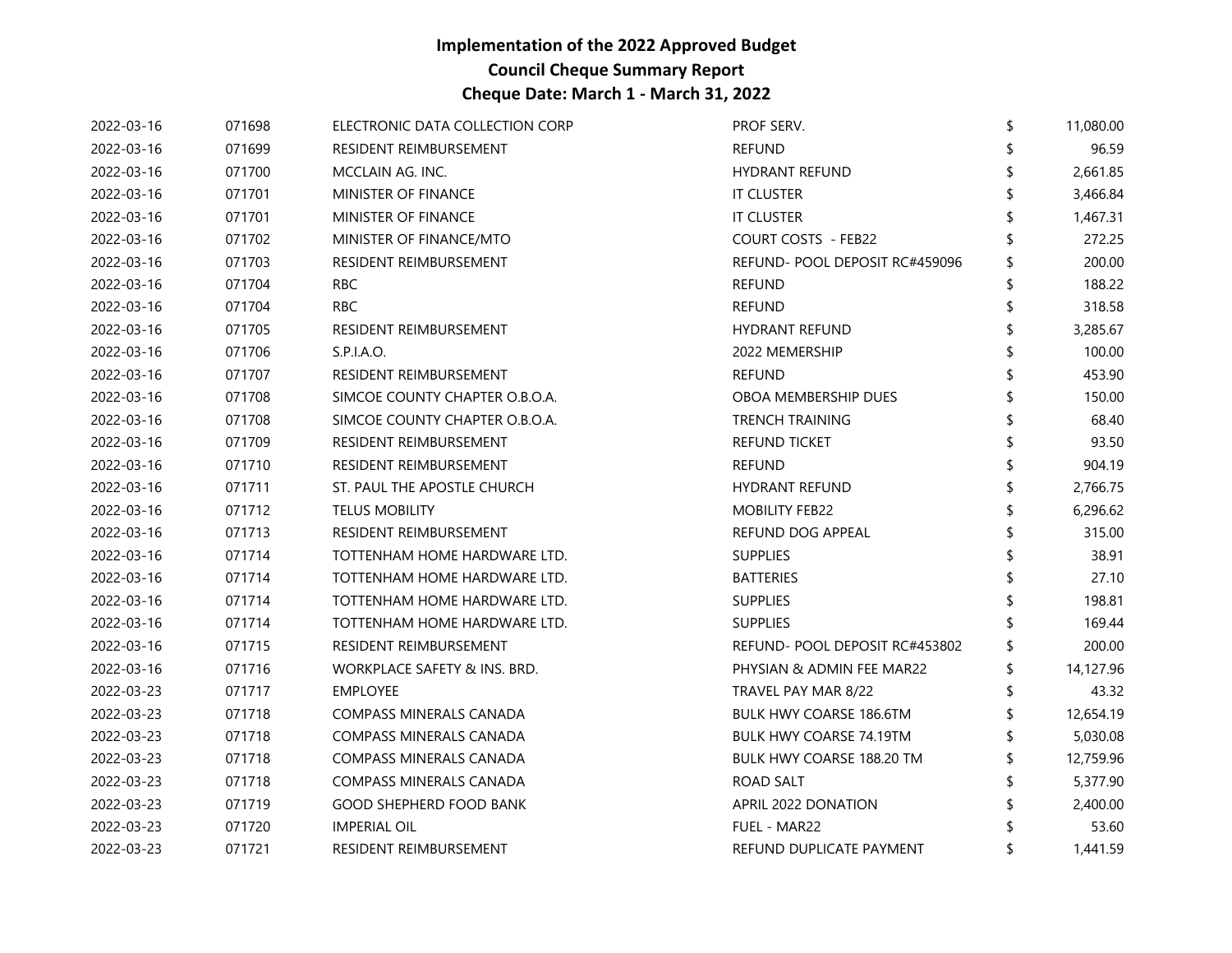| 2022-03-16 | 071698 | ELECTRONIC DATA COLLECTION CORP | PROF SERV.                     | \$ | 11,080.00 |
|------------|--------|---------------------------------|--------------------------------|----|-----------|
| 2022-03-16 | 071699 | RESIDENT REIMBURSEMENT          | <b>REFUND</b>                  |    | 96.59     |
| 2022-03-16 | 071700 | MCCLAIN AG. INC.                | <b>HYDRANT REFUND</b>          |    | 2,661.85  |
| 2022-03-16 | 071701 | MINISTER OF FINANCE             | <b>IT CLUSTER</b>              |    | 3,466.84  |
| 2022-03-16 | 071701 | <b>MINISTER OF FINANCE</b>      | IT CLUSTER                     |    | 1,467.31  |
| 2022-03-16 | 071702 | MINISTER OF FINANCE/MTO         | <b>COURT COSTS - FEB22</b>     |    | 272.25    |
| 2022-03-16 | 071703 | RESIDENT REIMBURSEMENT          | REFUND- POOL DEPOSIT RC#459096 |    | 200.00    |
| 2022-03-16 | 071704 | RBC                             | <b>REFUND</b>                  |    | 188.22    |
| 2022-03-16 | 071704 | <b>RBC</b>                      | <b>REFUND</b>                  | ፍ  | 318.58    |
| 2022-03-16 | 071705 | RESIDENT REIMBURSEMENT          | <b>HYDRANT REFUND</b>          |    | 3,285.67  |
| 2022-03-16 | 071706 | S.P.I.A.O.                      | 2022 MEMERSHIP                 |    | 100.00    |
| 2022-03-16 | 071707 | RESIDENT REIMBURSEMENT          | <b>REFUND</b>                  |    | 453.90    |
| 2022-03-16 | 071708 | SIMCOE COUNTY CHAPTER O.B.O.A.  | OBOA MEMBERSHIP DUES           |    | 150.00    |
| 2022-03-16 | 071708 | SIMCOE COUNTY CHAPTER O.B.O.A.  | <b>TRENCH TRAINING</b>         |    | 68.40     |
| 2022-03-16 | 071709 | RESIDENT REIMBURSEMENT          | <b>REFUND TICKET</b>           |    | 93.50     |
| 2022-03-16 | 071710 | RESIDENT REIMBURSEMENT          | <b>REFUND</b>                  | \$ | 904.19    |
| 2022-03-16 | 071711 | ST. PAUL THE APOSTLE CHURCH     | <b>HYDRANT REFUND</b>          |    | 2,766.75  |
| 2022-03-16 | 071712 | <b>TELUS MOBILITY</b>           | <b>MOBILITY FEB22</b>          |    | 6,296.62  |
| 2022-03-16 | 071713 | RESIDENT REIMBURSEMENT          | REFUND DOG APPEAL              |    | 315.00    |
| 2022-03-16 | 071714 | TOTTENHAM HOME HARDWARE LTD.    | <b>SUPPLIES</b>                |    | 38.91     |
| 2022-03-16 | 071714 | TOTTENHAM HOME HARDWARE LTD.    | <b>BATTERIES</b>               |    | 27.10     |
| 2022-03-16 | 071714 | TOTTENHAM HOME HARDWARE LTD.    | <b>SUPPLIES</b>                |    | 198.81    |
| 2022-03-16 | 071714 | TOTTENHAM HOME HARDWARE LTD.    | <b>SUPPLIES</b>                |    | 169.44    |
| 2022-03-16 | 071715 | RESIDENT REIMBURSEMENT          | REFUND-POOL DEPOSIT RC#453802  |    | 200.00    |
| 2022-03-16 | 071716 | WORKPLACE SAFETY & INS. BRD.    | PHYSIAN & ADMIN FEE MAR22      |    | 14,127.96 |
| 2022-03-23 | 071717 | <b>EMPLOYEE</b>                 | TRAVEL PAY MAR 8/22            |    | 43.32     |
| 2022-03-23 | 071718 | COMPASS MINERALS CANADA         | <b>BULK HWY COARSE 186.6TM</b> |    | 12,654.19 |
| 2022-03-23 | 071718 | COMPASS MINERALS CANADA         | <b>BULK HWY COARSE 74.19TM</b> |    | 5,030.08  |
| 2022-03-23 | 071718 | COMPASS MINERALS CANADA         | BULK HWY COARSE 188.20 TM      |    | 12,759.96 |
| 2022-03-23 | 071718 | COMPASS MINERALS CANADA         | ROAD SALT                      |    | 5,377.90  |
| 2022-03-23 | 071719 | <b>GOOD SHEPHERD FOOD BANK</b>  | APRIL 2022 DONATION            |    | 2,400.00  |
| 2022-03-23 | 071720 | <b>IMPERIAL OIL</b>             | FUEL - MAR22                   |    | 53.60     |
| 2022-03-23 | 071721 | RESIDENT REIMBURSEMENT          | REFUND DUPLICATE PAYMENT       |    | 1,441.59  |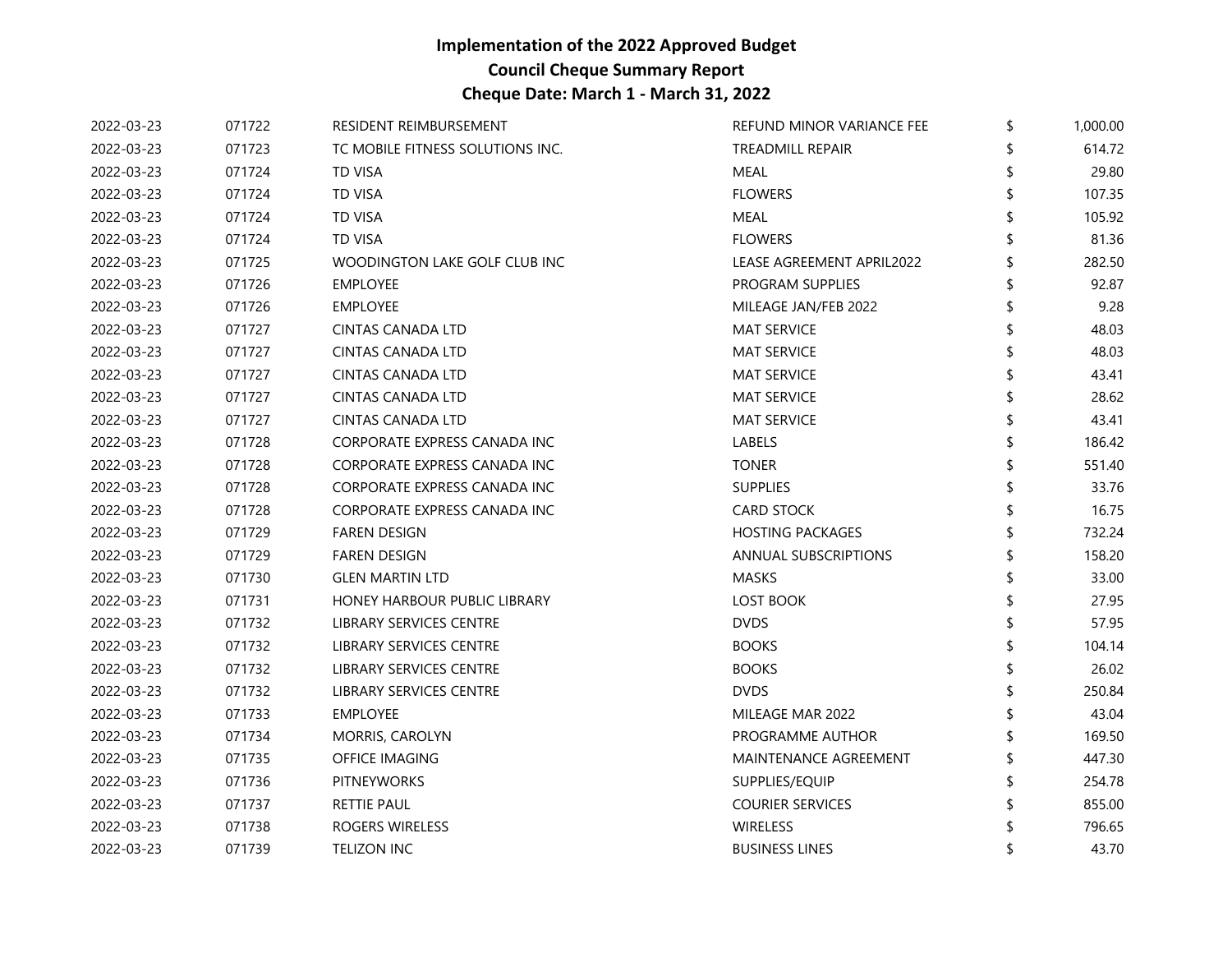| 2022-03-23 | 071722 | RESIDENT REIMBURSEMENT           | REFUND MINOR VARIANCE FEE    | \$<br>1,000.00 |
|------------|--------|----------------------------------|------------------------------|----------------|
| 2022-03-23 | 071723 | TC MOBILE FITNESS SOLUTIONS INC. | <b>TREADMILL REPAIR</b>      | 614.72         |
| 2022-03-23 | 071724 | <b>TD VISA</b>                   | <b>MEAL</b>                  | 29.80          |
| 2022-03-23 | 071724 | <b>TD VISA</b>                   | <b>FLOWERS</b>               | 107.35         |
| 2022-03-23 | 071724 | TD VISA                          | MEAL                         | 105.92         |
| 2022-03-23 | 071724 | <b>TD VISA</b>                   | <b>FLOWERS</b>               | 81.36          |
| 2022-03-23 | 071725 | WOODINGTON LAKE GOLF CLUB INC    | LEASE AGREEMENT APRIL2022    | 282.50         |
| 2022-03-23 | 071726 | <b>EMPLOYEE</b>                  | PROGRAM SUPPLIES             | 92.87          |
| 2022-03-23 | 071726 | EMPLOYEE                         | MILEAGE JAN/FEB 2022         | 9.28           |
| 2022-03-23 | 071727 | <b>CINTAS CANADA LTD</b>         | <b>MAT SERVICE</b>           | 48.03          |
| 2022-03-23 | 071727 | <b>CINTAS CANADA LTD</b>         | <b>MAT SERVICE</b>           | 48.03          |
| 2022-03-23 | 071727 | <b>CINTAS CANADA LTD</b>         | <b>MAT SERVICE</b>           | 43.41          |
| 2022-03-23 | 071727 | <b>CINTAS CANADA LTD</b>         | <b>MAT SERVICE</b>           | 28.62          |
| 2022-03-23 | 071727 | <b>CINTAS CANADA LTD</b>         | <b>MAT SERVICE</b>           | 43.41          |
| 2022-03-23 | 071728 | CORPORATE EXPRESS CANADA INC     | LABELS                       | 186.42         |
| 2022-03-23 | 071728 | CORPORATE EXPRESS CANADA INC     | <b>TONER</b>                 | 551.40         |
| 2022-03-23 | 071728 | CORPORATE EXPRESS CANADA INC     | <b>SUPPLIES</b>              | 33.76          |
| 2022-03-23 | 071728 | CORPORATE EXPRESS CANADA INC     | <b>CARD STOCK</b>            | 16.75          |
| 2022-03-23 | 071729 | <b>FAREN DESIGN</b>              | <b>HOSTING PACKAGES</b>      | 732.24         |
| 2022-03-23 | 071729 | <b>FAREN DESIGN</b>              | <b>ANNUAL SUBSCRIPTIONS</b>  | 158.20         |
| 2022-03-23 | 071730 | <b>GLEN MARTIN LTD</b>           | <b>MASKS</b>                 | 33.00          |
| 2022-03-23 | 071731 | HONEY HARBOUR PUBLIC LIBRARY     | <b>LOST BOOK</b>             | 27.95          |
| 2022-03-23 | 071732 | LIBRARY SERVICES CENTRE          | <b>DVDS</b>                  | 57.95          |
| 2022-03-23 | 071732 | LIBRARY SERVICES CENTRE          | <b>BOOKS</b>                 | 104.14         |
| 2022-03-23 | 071732 | LIBRARY SERVICES CENTRE          | <b>BOOKS</b>                 | 26.02          |
| 2022-03-23 | 071732 | LIBRARY SERVICES CENTRE          | <b>DVDS</b>                  | 250.84         |
| 2022-03-23 | 071733 | <b>EMPLOYEE</b>                  | MILEAGE MAR 2022             | 43.04          |
| 2022-03-23 | 071734 | MORRIS, CAROLYN                  | PROGRAMME AUTHOR             | 169.50         |
| 2022-03-23 | 071735 | OFFICE IMAGING                   | <b>MAINTENANCE AGREEMENT</b> | 447.30         |
| 2022-03-23 | 071736 | PITNEYWORKS                      | SUPPLIES/EQUIP               | 254.78         |
| 2022-03-23 | 071737 | RETTIE PAUL                      | <b>COURIER SERVICES</b>      | 855.00         |
| 2022-03-23 | 071738 | ROGERS WIRELESS                  | <b>WIRELESS</b>              | 796.65         |
| 2022-03-23 | 071739 | <b>TELIZON INC</b>               | <b>BUSINESS LINES</b>        | 43.70          |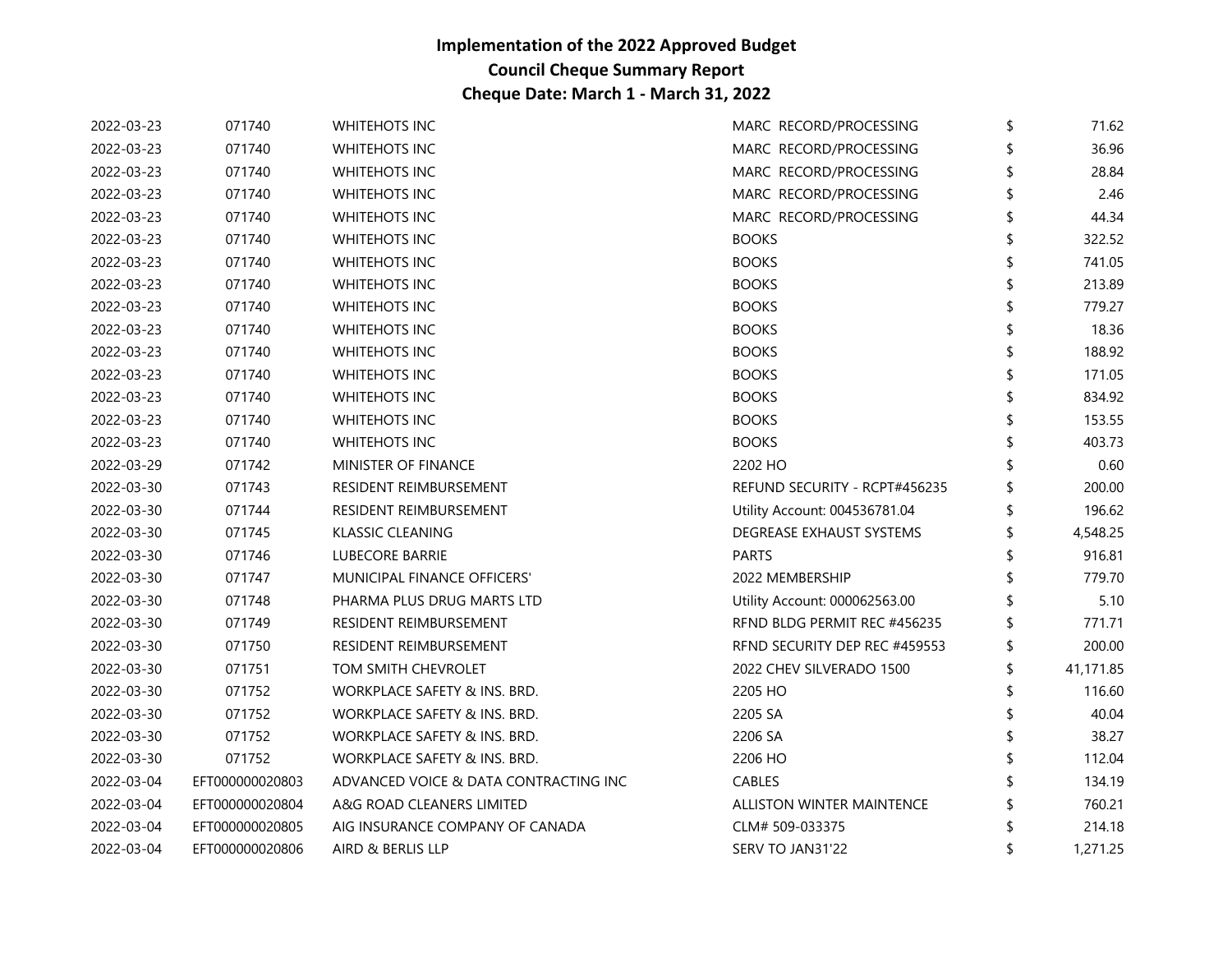| 2022-03-23 | 071740          | <b>WHITEHOTS INC</b>                  | MARC RECORD/PROCESSING           | \$<br>71.62 |
|------------|-----------------|---------------------------------------|----------------------------------|-------------|
| 2022-03-23 | 071740          | <b>WHITEHOTS INC</b>                  | MARC RECORD/PROCESSING           | 36.96       |
| 2022-03-23 | 071740          | <b>WHITEHOTS INC</b>                  | MARC RECORD/PROCESSING           | 28.84       |
| 2022-03-23 | 071740          | <b>WHITEHOTS INC</b>                  | MARC RECORD/PROCESSING           | 2.46        |
| 2022-03-23 | 071740          | <b>WHITEHOTS INC</b>                  | MARC RECORD/PROCESSING           | 44.34       |
| 2022-03-23 | 071740          | <b>WHITEHOTS INC</b>                  | <b>BOOKS</b>                     | 322.52      |
| 2022-03-23 | 071740          | <b>WHITEHOTS INC</b>                  | <b>BOOKS</b>                     | 741.05      |
| 2022-03-23 | 071740          | <b>WHITEHOTS INC</b>                  | <b>BOOKS</b>                     | 213.89      |
| 2022-03-23 | 071740          | <b>WHITEHOTS INC</b>                  | <b>BOOKS</b>                     | 779.27      |
| 2022-03-23 | 071740          | <b>WHITEHOTS INC</b>                  | <b>BOOKS</b>                     | 18.36       |
| 2022-03-23 | 071740          | <b>WHITEHOTS INC</b>                  | <b>BOOKS</b>                     | 188.92      |
| 2022-03-23 | 071740          | <b>WHITEHOTS INC</b>                  | <b>BOOKS</b>                     | 171.05      |
| 2022-03-23 | 071740          | <b>WHITEHOTS INC</b>                  | <b>BOOKS</b>                     | 834.92      |
| 2022-03-23 | 071740          | <b>WHITEHOTS INC</b>                  | <b>BOOKS</b>                     | 153.55      |
| 2022-03-23 | 071740          | <b>WHITEHOTS INC</b>                  | <b>BOOKS</b>                     | 403.73      |
| 2022-03-29 | 071742          | MINISTER OF FINANCE                   | 2202 HO                          | 0.60        |
| 2022-03-30 | 071743          | RESIDENT REIMBURSEMENT                | REFUND SECURITY - RCPT#456235    | 200.00      |
| 2022-03-30 | 071744          | RESIDENT REIMBURSEMENT                | Utility Account: 004536781.04    | 196.62      |
| 2022-03-30 | 071745          | KLASSIC CLEANING                      | DEGREASE EXHAUST SYSTEMS         | 4,548.25    |
| 2022-03-30 | 071746          | <b>LUBECORE BARRIE</b>                | <b>PARTS</b>                     | 916.81      |
| 2022-03-30 | 071747          | MUNICIPAL FINANCE OFFICERS'           | 2022 MEMBERSHIP                  | 779.70      |
| 2022-03-30 | 071748          | PHARMA PLUS DRUG MARTS LTD            | Utility Account: 000062563.00    | 5.10        |
| 2022-03-30 | 071749          | RESIDENT REIMBURSEMENT                | RFND BLDG PERMIT REC #456235     | 771.71      |
| 2022-03-30 | 071750          | RESIDENT REIMBURSEMENT                | RFND SECURITY DEP REC #459553    | 200.00      |
| 2022-03-30 | 071751          | TOM SMITH CHEVROLET                   | 2022 CHEV SILVERADO 1500         | 41,171.85   |
| 2022-03-30 | 071752          | WORKPLACE SAFETY & INS. BRD.          | 2205 HO                          | 116.60      |
| 2022-03-30 | 071752          | WORKPLACE SAFETY & INS. BRD.          | 2205 SA                          | 40.04       |
| 2022-03-30 | 071752          | WORKPLACE SAFETY & INS. BRD.          | 2206 SA                          | 38.27       |
| 2022-03-30 | 071752          | WORKPLACE SAFETY & INS. BRD.          | 2206 HO                          | 112.04      |
| 2022-03-04 | EFT000000020803 | ADVANCED VOICE & DATA CONTRACTING INC | CABLES                           | 134.19      |
| 2022-03-04 | EFT000000020804 | A&G ROAD CLEANERS LIMITED             | <b>ALLISTON WINTER MAINTENCE</b> | 760.21      |
| 2022-03-04 | EFT000000020805 | AIG INSURANCE COMPANY OF CANADA       | CLM# 509-033375                  | 214.18      |
| 2022-03-04 | EFT000000020806 | AIRD & BERLIS LLP                     | SERV TO JAN31'22                 | 1,271.25    |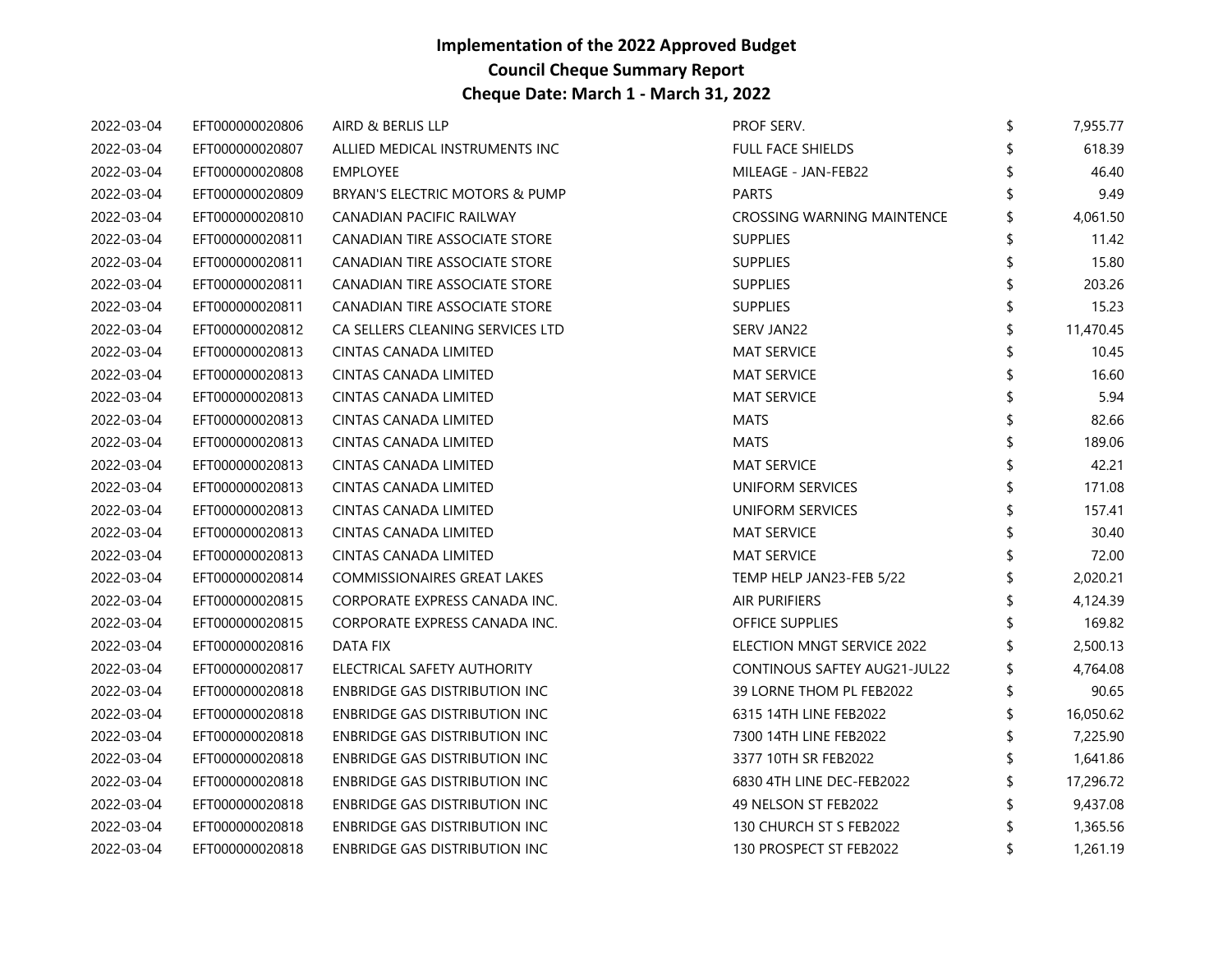| 2022-03-04 | EFT000000020806 | AIRD & BERLIS LLP                  | PROF SERV.                   | \$ | 7,955.77  |
|------------|-----------------|------------------------------------|------------------------------|----|-----------|
| 2022-03-04 | EFT000000020807 | ALLIED MEDICAL INSTRUMENTS INC     | <b>FULL FACE SHIELDS</b>     |    | 618.39    |
| 2022-03-04 | EFT000000020808 | <b>EMPLOYEE</b>                    | MILEAGE - JAN-FEB22          |    | 46.40     |
| 2022-03-04 | EFT000000020809 | BRYAN'S ELECTRIC MOTORS & PUMP     | <b>PARTS</b>                 |    | 9.49      |
| 2022-03-04 | EFT000000020810 | CANADIAN PACIFIC RAILWAY           | CROSSING WARNING MAINTENCE   |    | 4,061.50  |
| 2022-03-04 | EFT000000020811 | CANADIAN TIRE ASSOCIATE STORE      | <b>SUPPLIES</b>              |    | 11.42     |
| 2022-03-04 | EFT000000020811 | CANADIAN TIRE ASSOCIATE STORE      | <b>SUPPLIES</b>              |    | 15.80     |
| 2022-03-04 | EFT000000020811 | CANADIAN TIRE ASSOCIATE STORE      | <b>SUPPLIES</b>              |    | 203.26    |
| 2022-03-04 | EFT000000020811 | CANADIAN TIRE ASSOCIATE STORE      | <b>SUPPLIES</b>              |    | 15.23     |
| 2022-03-04 | EFT000000020812 | CA SELLERS CLEANING SERVICES LTD   | SERV JAN22                   |    | 11,470.45 |
| 2022-03-04 | EFT000000020813 | CINTAS CANADA LIMITED              | <b>MAT SERVICE</b>           |    | 10.45     |
| 2022-03-04 | EFT000000020813 | CINTAS CANADA LIMITED              | <b>MAT SERVICE</b>           |    | 16.60     |
| 2022-03-04 | EFT000000020813 | CINTAS CANADA LIMITED              | <b>MAT SERVICE</b>           |    | 5.94      |
| 2022-03-04 | EFT000000020813 | CINTAS CANADA LIMITED              | <b>MATS</b>                  |    | 82.66     |
| 2022-03-04 | EFT000000020813 | CINTAS CANADA LIMITED              | <b>MATS</b>                  | \$ | 189.06    |
| 2022-03-04 | EFT000000020813 | CINTAS CANADA LIMITED              | <b>MAT SERVICE</b>           | \$ | 42.21     |
| 2022-03-04 | EFT000000020813 | CINTAS CANADA LIMITED              | UNIFORM SERVICES             |    | 171.08    |
| 2022-03-04 | EFT000000020813 | CINTAS CANADA LIMITED              | UNIFORM SERVICES             |    | 157.41    |
| 2022-03-04 | EFT000000020813 | CINTAS CANADA LIMITED              | <b>MAT SERVICE</b>           | \$ | 30.40     |
| 2022-03-04 | EFT000000020813 | CINTAS CANADA LIMITED              | <b>MAT SERVICE</b>           |    | 72.00     |
| 2022-03-04 | EFT000000020814 | <b>COMMISSIONAIRES GREAT LAKES</b> | TEMP HELP JAN23-FEB 5/22     |    | 2,020.21  |
| 2022-03-04 | EFT000000020815 | CORPORATE EXPRESS CANADA INC.      | <b>AIR PURIFIERS</b>         | \$ | 4,124.39  |
| 2022-03-04 | EFT000000020815 | CORPORATE EXPRESS CANADA INC.      | <b>OFFICE SUPPLIES</b>       |    | 169.82    |
| 2022-03-04 | EFT000000020816 | DATA FIX                           | ELECTION MNGT SERVICE 2022   |    | 2,500.13  |
| 2022-03-04 | EFT000000020817 | ELECTRICAL SAFETY AUTHORITY        | CONTINOUS SAFTEY AUG21-JUL22 |    | 4,764.08  |
| 2022-03-04 | EFT000000020818 | ENBRIDGE GAS DISTRIBUTION INC      | 39 LORNE THOM PL FEB2022     | \$ | 90.65     |
| 2022-03-04 | EFT000000020818 | ENBRIDGE GAS DISTRIBUTION INC      | 6315 14TH LINE FEB2022       |    | 16,050.62 |
| 2022-03-04 | EFT000000020818 | ENBRIDGE GAS DISTRIBUTION INC      | 7300 14TH LINE FEB2022       |    | 7,225.90  |
| 2022-03-04 | EFT000000020818 | ENBRIDGE GAS DISTRIBUTION INC      | 3377 10TH SR FEB2022         |    | 1,641.86  |
| 2022-03-04 | EFT000000020818 | ENBRIDGE GAS DISTRIBUTION INC      | 6830 4TH LINE DEC-FEB2022    | S  | 17,296.72 |
| 2022-03-04 | EFT000000020818 | ENBRIDGE GAS DISTRIBUTION INC      | 49 NELSON ST FEB2022         |    | 9,437.08  |
| 2022-03-04 | EFT000000020818 | ENBRIDGE GAS DISTRIBUTION INC      | 130 CHURCH ST S FEB2022      |    | 1,365.56  |
| 2022-03-04 | EFT000000020818 | ENBRIDGE GAS DISTRIBUTION INC      | 130 PROSPECT ST FEB2022      | \$ | 1,261.19  |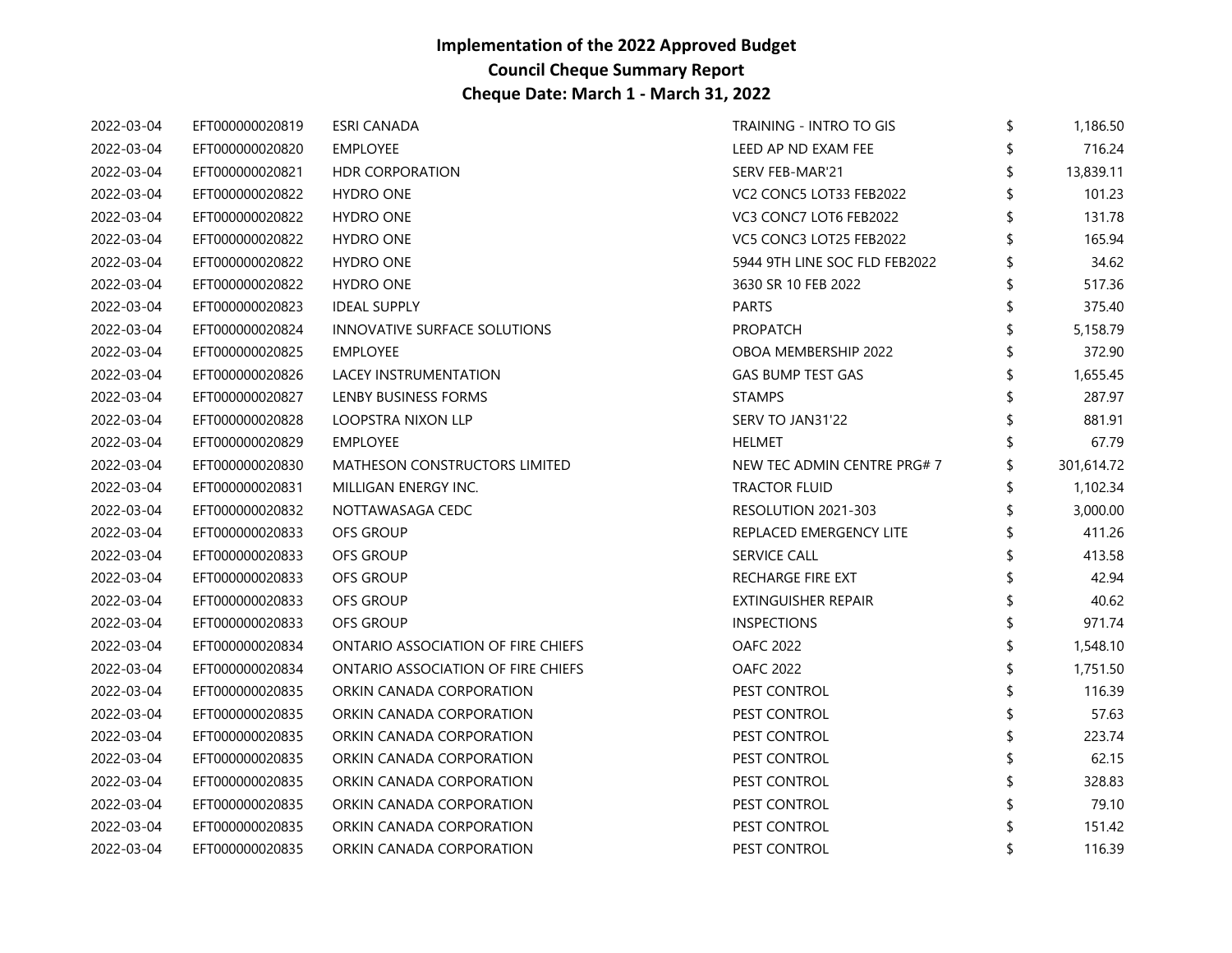| 2022-03-04 | EFT000000020819 | ESRI CANADA                          | TRAINING - INTRO TO GIS       | \$<br>1,186.50 |
|------------|-----------------|--------------------------------------|-------------------------------|----------------|
| 2022-03-04 | EFT000000020820 | <b>EMPLOYEE</b>                      | LEED AP ND EXAM FEE           | 716.24         |
| 2022-03-04 | EFT000000020821 | <b>HDR CORPORATION</b>               | <b>SERV FEB-MAR'21</b>        | 13,839.11      |
| 2022-03-04 | EFT000000020822 | <b>HYDRO ONE</b>                     | VC2 CONC5 LOT33 FEB2022       | 101.23         |
| 2022-03-04 | EFT000000020822 | <b>HYDRO ONE</b>                     | VC3 CONC7 LOT6 FEB2022        | 131.78         |
| 2022-03-04 | EFT000000020822 | <b>HYDRO ONE</b>                     | VC5 CONC3 LOT25 FEB2022       | 165.94         |
| 2022-03-04 | EFT000000020822 | <b>HYDRO ONE</b>                     | 5944 9TH LINE SOC FLD FEB2022 | 34.62          |
| 2022-03-04 | EFT000000020822 | <b>HYDRO ONE</b>                     | 3630 SR 10 FEB 2022           | 517.36         |
| 2022-03-04 | EFT000000020823 | <b>IDEAL SUPPLY</b>                  | <b>PARTS</b>                  | 375.40         |
| 2022-03-04 | EFT000000020824 | INNOVATIVE SURFACE SOLUTIONS         | <b>PROPATCH</b>               | 5,158.79       |
| 2022-03-04 | EFT000000020825 | <b>EMPLOYEE</b>                      | <b>OBOA MEMBERSHIP 2022</b>   | 372.90         |
| 2022-03-04 | EFT000000020826 | LACEY INSTRUMENTATION                | GAS BUMP TEST GAS             | 1,655.45       |
| 2022-03-04 | EFT000000020827 | LENBY BUSINESS FORMS                 | <b>STAMPS</b>                 | 287.97         |
| 2022-03-04 | EFT000000020828 | LOOPSTRA NIXON LLP                   | SERV TO JAN31'22              | 881.91         |
| 2022-03-04 | EFT000000020829 | <b>EMPLOYEE</b>                      | HELMET                        | 67.79          |
| 2022-03-04 | EFT000000020830 | <b>MATHESON CONSTRUCTORS LIMITED</b> | NEW TEC ADMIN CENTRE PRG#7    | 301,614.72     |
| 2022-03-04 | EFT000000020831 | MILLIGAN ENERGY INC.                 | TRACTOR FLUID                 | 1,102.34       |
| 2022-03-04 | EFT000000020832 | NOTTAWASAGA CEDC                     | RESOLUTION 2021-303           | 3,000.00       |
| 2022-03-04 | EFT000000020833 | OFS GROUP                            | REPLACED EMERGENCY LITE       | 411.26         |
| 2022-03-04 | EFT000000020833 | <b>OFS GROUP</b>                     | <b>SERVICE CALL</b>           | 413.58         |
| 2022-03-04 | EFT000000020833 | <b>OFS GROUP</b>                     | RECHARGE FIRE EXT             | 42.94          |
| 2022-03-04 | EFT000000020833 | <b>OFS GROUP</b>                     | EXTINGUISHER REPAIR           | 40.62          |
| 2022-03-04 | EFT000000020833 | OFS GROUP                            | <b>INSPECTIONS</b>            | 971.74         |
| 2022-03-04 | EFT000000020834 | ONTARIO ASSOCIATION OF FIRE CHIEFS   | <b>OAFC 2022</b>              | 1,548.10       |
| 2022-03-04 | EFT000000020834 | ONTARIO ASSOCIATION OF FIRE CHIEFS   | <b>OAFC 2022</b>              | 1,751.50       |
| 2022-03-04 | EFT000000020835 | ORKIN CANADA CORPORATION             | PEST CONTROL                  | 116.39         |
| 2022-03-04 | EFT000000020835 | ORKIN CANADA CORPORATION             | PEST CONTROL                  | 57.63          |
| 2022-03-04 | EFT000000020835 | ORKIN CANADA CORPORATION             | PEST CONTROL                  | 223.74         |
| 2022-03-04 | EFT000000020835 | ORKIN CANADA CORPORATION             | PEST CONTROL                  | 62.15          |
| 2022-03-04 | EFT000000020835 | ORKIN CANADA CORPORATION             | PEST CONTROL                  | 328.83         |
| 2022-03-04 | EFT000000020835 | ORKIN CANADA CORPORATION             | PEST CONTROL                  | 79.10          |
| 2022-03-04 | EFT000000020835 | ORKIN CANADA CORPORATION             | PEST CONTROL                  | 151.42         |
| 2022-03-04 | EFT000000020835 | ORKIN CANADA CORPORATION             | <b>PEST CONTROL</b>           | \$<br>116.39   |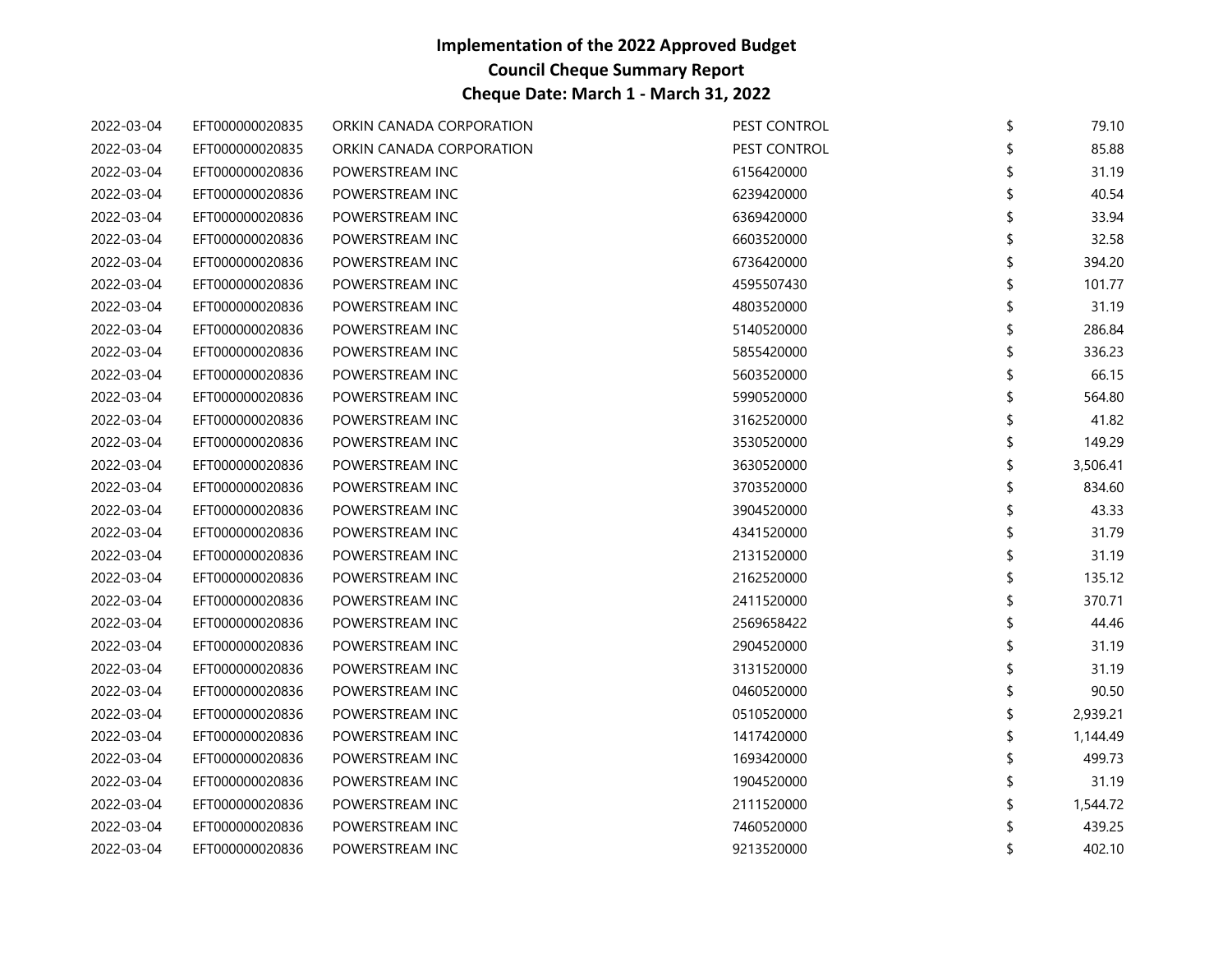| 2022-03-04 | EFT000000020835 | ORKIN CANADA CORPORATION | PEST CONTROL | \$<br>79.10  |
|------------|-----------------|--------------------------|--------------|--------------|
| 2022-03-04 | EFT000000020835 | ORKIN CANADA CORPORATION | PEST CONTROL | 85.88        |
| 2022-03-04 | EFT000000020836 | POWERSTREAM INC          | 6156420000   | 31.19        |
| 2022-03-04 | EFT000000020836 | POWERSTREAM INC          | 6239420000   | 40.54        |
| 2022-03-04 | EFT000000020836 | POWERSTREAM INC          | 6369420000   | 33.94        |
| 2022-03-04 | EFT000000020836 | POWERSTREAM INC          | 6603520000   | 32.58        |
| 2022-03-04 | EFT000000020836 | POWERSTREAM INC          | 6736420000   | 394.20       |
| 2022-03-04 | EFT000000020836 | POWERSTREAM INC          | 4595507430   | 101.77       |
| 2022-03-04 | EFT000000020836 | POWERSTREAM INC          | 4803520000   | 31.19        |
| 2022-03-04 | EFT000000020836 | POWERSTREAM INC          | 5140520000   | 286.84       |
| 2022-03-04 | EFT000000020836 | POWERSTREAM INC          | 5855420000   | 336.23       |
| 2022-03-04 | EFT000000020836 | POWERSTREAM INC          | 5603520000   | 66.15        |
| 2022-03-04 | EFT000000020836 | POWERSTREAM INC          | 5990520000   | 564.80       |
| 2022-03-04 | EFT000000020836 | POWERSTREAM INC          | 3162520000   | 41.82        |
| 2022-03-04 | EFT000000020836 | POWERSTREAM INC          | 3530520000   | 149.29       |
| 2022-03-04 | EFT000000020836 | POWERSTREAM INC          | 3630520000   | 3,506.41     |
| 2022-03-04 | EFT000000020836 | POWERSTREAM INC          | 3703520000   | 834.60       |
| 2022-03-04 | EFT000000020836 | POWERSTREAM INC          | 3904520000   | 43.33        |
| 2022-03-04 | EFT000000020836 | POWERSTREAM INC          | 4341520000   | 31.79        |
| 2022-03-04 | EFT000000020836 | POWERSTREAM INC          | 2131520000   | 31.19        |
| 2022-03-04 | EFT000000020836 | POWERSTREAM INC          | 2162520000   | 135.12       |
| 2022-03-04 | EFT000000020836 | POWERSTREAM INC          | 2411520000   | 370.71       |
| 2022-03-04 | EFT000000020836 | POWERSTREAM INC          | 2569658422   | 44.46        |
| 2022-03-04 | EFT000000020836 | POWERSTREAM INC          | 2904520000   | 31.19        |
| 2022-03-04 | EFT000000020836 | POWERSTREAM INC          | 3131520000   | 31.19        |
| 2022-03-04 | EFT000000020836 | POWERSTREAM INC          | 0460520000   | 90.50        |
| 2022-03-04 | EFT000000020836 | POWERSTREAM INC          | 0510520000   | 2,939.21     |
| 2022-03-04 | EFT000000020836 | POWERSTREAM INC          | 1417420000   | 1,144.49     |
| 2022-03-04 | EFT000000020836 | POWERSTREAM INC          | 1693420000   | 499.73       |
| 2022-03-04 | EFT000000020836 | POWERSTREAM INC          | 1904520000   | 31.19        |
| 2022-03-04 | EFT000000020836 | POWERSTREAM INC          | 2111520000   | 1,544.72     |
| 2022-03-04 | EFT000000020836 | POWERSTREAM INC          | 7460520000   | 439.25       |
| 2022-03-04 | EFT000000020836 | POWERSTREAM INC          | 9213520000   | \$<br>402.10 |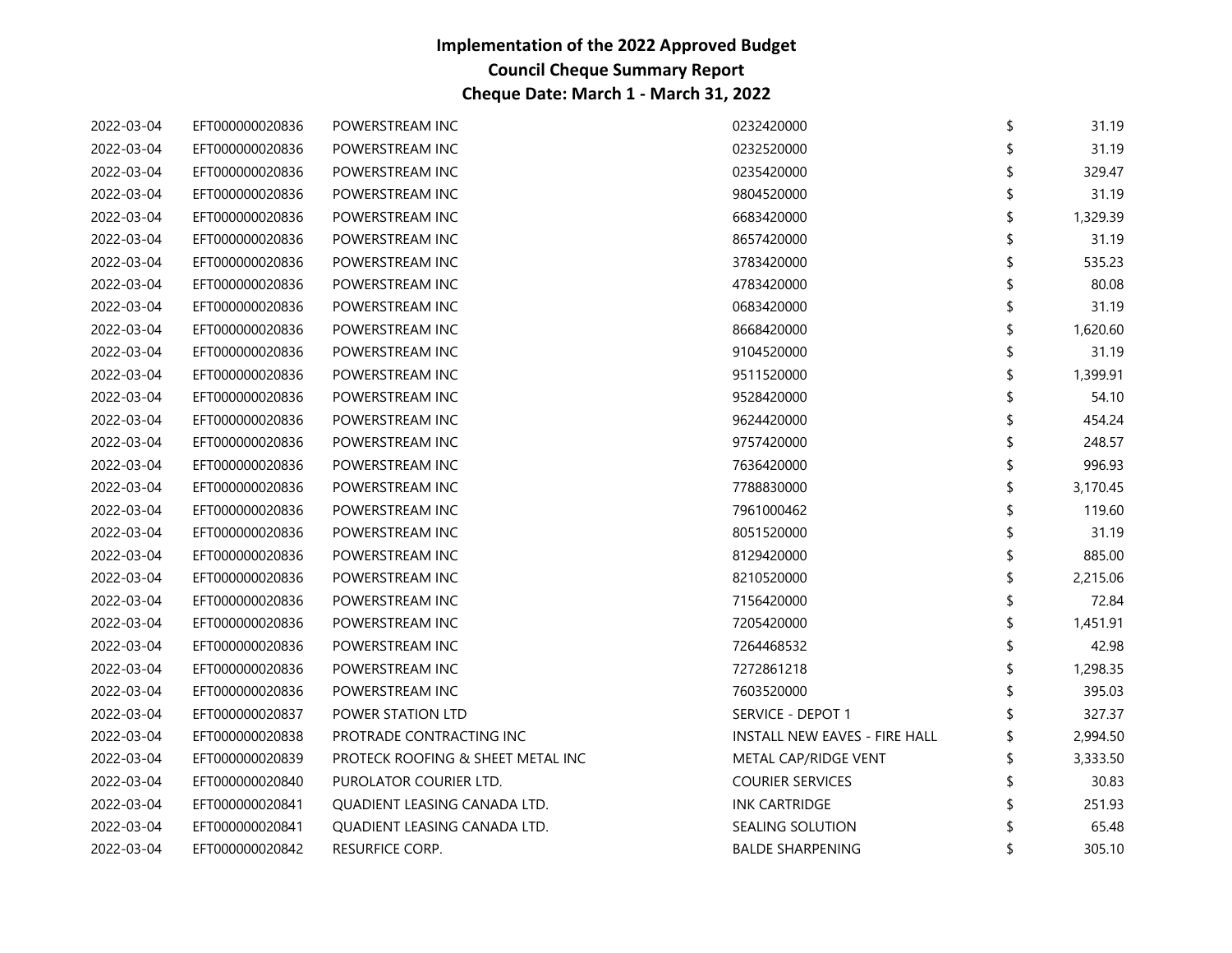| 2022-03-04 | EFT000000020836 | POWERSTREAM INC                   | 0232420000                    | \$<br>31.19  |
|------------|-----------------|-----------------------------------|-------------------------------|--------------|
| 2022-03-04 | EFT000000020836 | POWERSTREAM INC                   | 0232520000                    | 31.19        |
| 2022-03-04 | EFT000000020836 | POWERSTREAM INC                   | 0235420000                    | 329.47       |
| 2022-03-04 | EFT000000020836 | POWERSTREAM INC                   | 9804520000                    | 31.19        |
| 2022-03-04 | EFT000000020836 | POWERSTREAM INC                   | 6683420000                    | 1,329.39     |
| 2022-03-04 | EFT000000020836 | POWERSTREAM INC                   | 8657420000                    | 31.19        |
| 2022-03-04 | EFT000000020836 | POWERSTREAM INC                   | 3783420000                    | 535.23       |
| 2022-03-04 | EFT000000020836 | POWERSTREAM INC                   | 4783420000                    | 80.08        |
| 2022-03-04 | EFT000000020836 | POWERSTREAM INC                   | 0683420000                    | 31.19        |
| 2022-03-04 | EFT000000020836 | POWERSTREAM INC                   | 8668420000                    | 1,620.60     |
| 2022-03-04 | EFT000000020836 | POWERSTREAM INC                   | 9104520000                    | 31.19        |
| 2022-03-04 | EFT000000020836 | POWERSTREAM INC                   | 9511520000                    | 1,399.91     |
| 2022-03-04 | EFT000000020836 | POWERSTREAM INC                   | 9528420000                    | 54.10        |
| 2022-03-04 | EFT000000020836 | POWERSTREAM INC                   | 9624420000                    | 454.24       |
| 2022-03-04 | EFT000000020836 | POWERSTREAM INC                   | 9757420000                    | 248.57       |
| 2022-03-04 | EFT000000020836 | POWERSTREAM INC                   | 7636420000                    | 996.93       |
| 2022-03-04 | EFT000000020836 | POWERSTREAM INC                   | 7788830000                    | 3,170.45     |
| 2022-03-04 | EFT000000020836 | POWERSTREAM INC                   | 7961000462                    | 119.60       |
| 2022-03-04 | EFT000000020836 | POWERSTREAM INC                   | 8051520000                    | 31.19        |
| 2022-03-04 | EFT000000020836 | POWERSTREAM INC                   | 8129420000                    | 885.00       |
| 2022-03-04 | EFT000000020836 | POWERSTREAM INC                   | 8210520000                    | 2,215.06     |
| 2022-03-04 | EFT000000020836 | POWERSTREAM INC                   | 7156420000                    | 72.84        |
| 2022-03-04 | EFT000000020836 | POWERSTREAM INC                   | 7205420000                    | 1,451.91     |
| 2022-03-04 | EFT000000020836 | POWERSTREAM INC                   | 7264468532                    | 42.98        |
| 2022-03-04 | EFT000000020836 | POWERSTREAM INC                   | 7272861218                    | 1,298.35     |
| 2022-03-04 | EFT000000020836 | POWERSTREAM INC                   | 7603520000                    | 395.03       |
| 2022-03-04 | EFT000000020837 | POWER STATION LTD                 | SERVICE - DEPOT 1             | 327.37       |
| 2022-03-04 | EFT000000020838 | PROTRADE CONTRACTING INC          | INSTALL NEW EAVES - FIRE HALL | 2,994.50     |
| 2022-03-04 | EFT000000020839 | PROTECK ROOFING & SHEET METAL INC | METAL CAP/RIDGE VENT          | 3,333.50     |
| 2022-03-04 | EFT000000020840 | PUROLATOR COURIER LTD.            | <b>COURIER SERVICES</b>       | 30.83        |
| 2022-03-04 | EFT000000020841 | QUADIENT LEASING CANADA LTD.      | <b>INK CARTRIDGE</b>          | 251.93       |
| 2022-03-04 | EFT000000020841 | QUADIENT LEASING CANADA LTD.      | SEALING SOLUTION              | 65.48        |
| 2022-03-04 | EFT000000020842 | RESURFICE CORP.                   | <b>BALDE SHARPENING</b>       | \$<br>305.10 |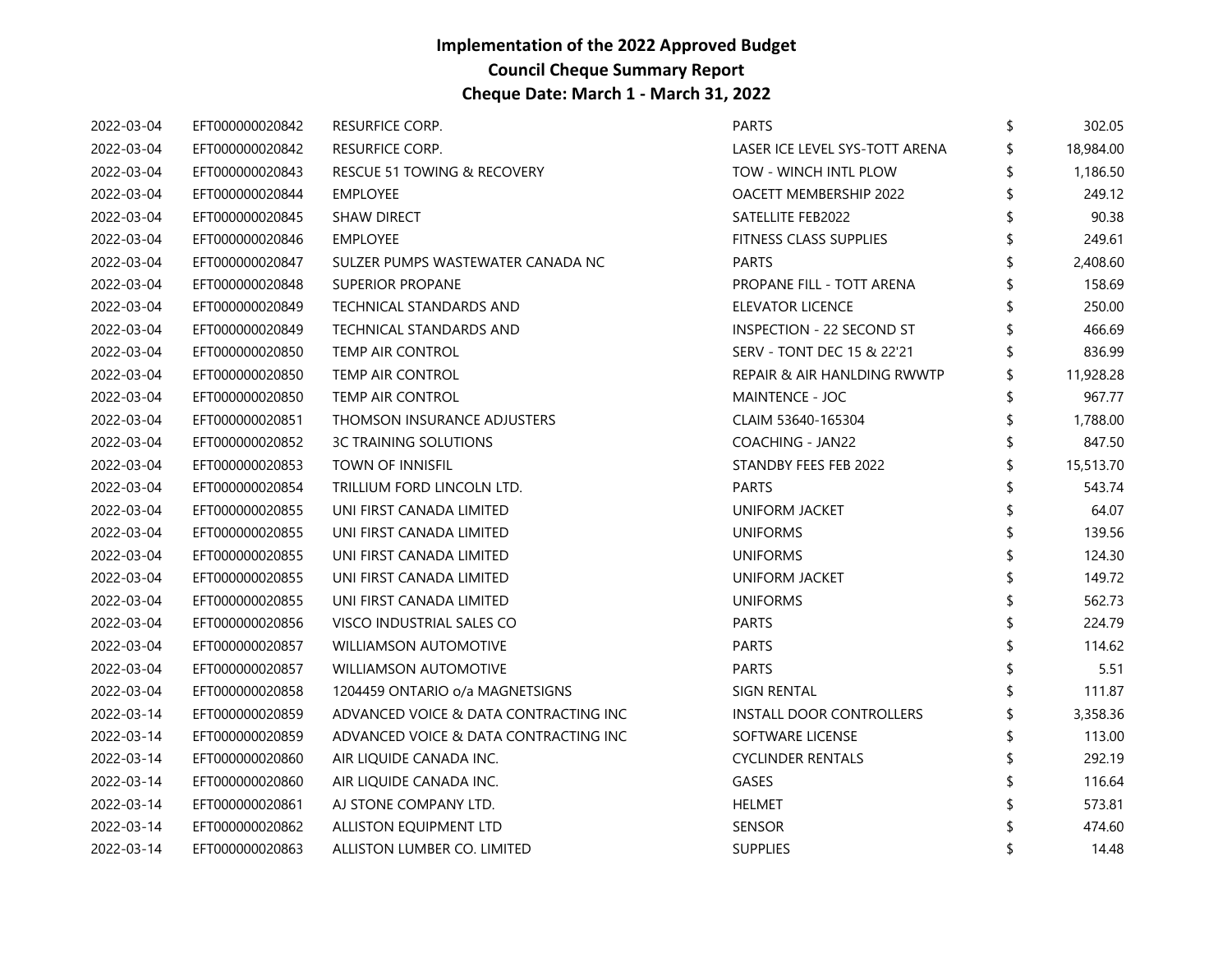| 2022-03-04 | EFT000000020842 | <b>RESURFICE CORP.</b>                | <b>PARTS</b>                   | \$ | 302.05    |
|------------|-----------------|---------------------------------------|--------------------------------|----|-----------|
| 2022-03-04 | EFT000000020842 | RESURFICE CORP.                       | LASER ICE LEVEL SYS-TOTT ARENA |    | 18,984.00 |
| 2022-03-04 | EFT000000020843 | RESCUE 51 TOWING & RECOVERY           | TOW - WINCH INTL PLOW          |    | 1,186.50  |
| 2022-03-04 | EFT000000020844 | <b>EMPLOYEE</b>                       | <b>OACETT MEMBERSHIP 2022</b>  |    | 249.12    |
| 2022-03-04 | EFT000000020845 | <b>SHAW DIRECT</b>                    | SATELLITE FEB2022              | \$ | 90.38     |
| 2022-03-04 | EFT000000020846 | <b>EMPLOYEE</b>                       | <b>FITNESS CLASS SUPPLIES</b>  |    | 249.61    |
| 2022-03-04 | EFT000000020847 | SULZER PUMPS WASTEWATER CANADA NC     | <b>PARTS</b>                   |    | 2,408.60  |
| 2022-03-04 | EFT000000020848 | SUPERIOR PROPANE                      | PROPANE FILL - TOTT ARENA      |    | 158.69    |
| 2022-03-04 | EFT000000020849 | TECHNICAL STANDARDS AND               | ELEVATOR LICENCE               |    | 250.00    |
| 2022-03-04 | EFT000000020849 | TECHNICAL STANDARDS AND               | INSPECTION - 22 SECOND ST      |    | 466.69    |
| 2022-03-04 | EFT000000020850 | <b>TEMP AIR CONTROL</b>               | SERV - TONT DEC 15 & 22'21     |    | 836.99    |
| 2022-03-04 | EFT000000020850 | <b>TEMP AIR CONTROL</b>               | REPAIR & AIR HANLDING RWWTP    |    | 11,928.28 |
| 2022-03-04 | EFT000000020850 | TEMP AIR CONTROL                      | MAINTENCE - JOC                |    | 967.77    |
| 2022-03-04 | EFT000000020851 | THOMSON INSURANCE ADJUSTERS           | CLAIM 53640-165304             |    | 1,788.00  |
| 2022-03-04 | EFT000000020852 | <b>3C TRAINING SOLUTIONS</b>          | COACHING - JAN22               |    | 847.50    |
| 2022-03-04 | EFT000000020853 | <b>TOWN OF INNISFIL</b>               | STANDBY FEES FEB 2022          | \$ | 15,513.70 |
| 2022-03-04 | EFT000000020854 | TRILLIUM FORD LINCOLN LTD.            | <b>PARTS</b>                   |    | 543.74    |
| 2022-03-04 | EFT000000020855 | UNI FIRST CANADA LIMITED              | <b>UNIFORM JACKET</b>          |    | 64.07     |
| 2022-03-04 | EFT000000020855 | UNI FIRST CANADA LIMITED              | <b>UNIFORMS</b>                | \$ | 139.56    |
| 2022-03-04 | EFT000000020855 | UNI FIRST CANADA LIMITED              | <b>UNIFORMS</b>                |    | 124.30    |
| 2022-03-04 | EFT000000020855 | UNI FIRST CANADA LIMITED              | <b>UNIFORM JACKET</b>          |    | 149.72    |
| 2022-03-04 | EFT000000020855 | UNI FIRST CANADA LIMITED              | <b>UNIFORMS</b>                |    | 562.73    |
| 2022-03-04 | EFT000000020856 | VISCO INDUSTRIAL SALES CO             | <b>PARTS</b>                   | ፍ  | 224.79    |
| 2022-03-04 | EFT000000020857 | <b>WILLIAMSON AUTOMOTIVE</b>          | <b>PARTS</b>                   |    | 114.62    |
| 2022-03-04 | EFT000000020857 | <b>WILLIAMSON AUTOMOTIVE</b>          | <b>PARTS</b>                   |    | 5.51      |
| 2022-03-04 | EFT000000020858 | 1204459 ONTARIO o/a MAGNETSIGNS       | <b>SIGN RENTAL</b>             | \$ | 111.87    |
| 2022-03-14 | EFT000000020859 | ADVANCED VOICE & DATA CONTRACTING INC | INSTALL DOOR CONTROLLERS       |    | 3,358.36  |
| 2022-03-14 | EFT000000020859 | ADVANCED VOICE & DATA CONTRACTING INC | SOFTWARE LICENSE               |    | 113.00    |
| 2022-03-14 | EFT000000020860 | AIR LIQUIDE CANADA INC.               | <b>CYCLINDER RENTALS</b>       |    | 292.19    |
| 2022-03-14 | EFT000000020860 | AIR LIQUIDE CANADA INC.               | GASES                          |    | 116.64    |
| 2022-03-14 | EFT000000020861 | AJ STONE COMPANY LTD.                 | <b>HELMET</b>                  |    | 573.81    |
| 2022-03-14 | EFT000000020862 | ALLISTON EQUIPMENT LTD                | <b>SENSOR</b>                  |    | 474.60    |
| 2022-03-14 | EFT000000020863 | ALLISTON LUMBER CO. LIMITED           | <b>SUPPLIES</b>                |    | 14.48     |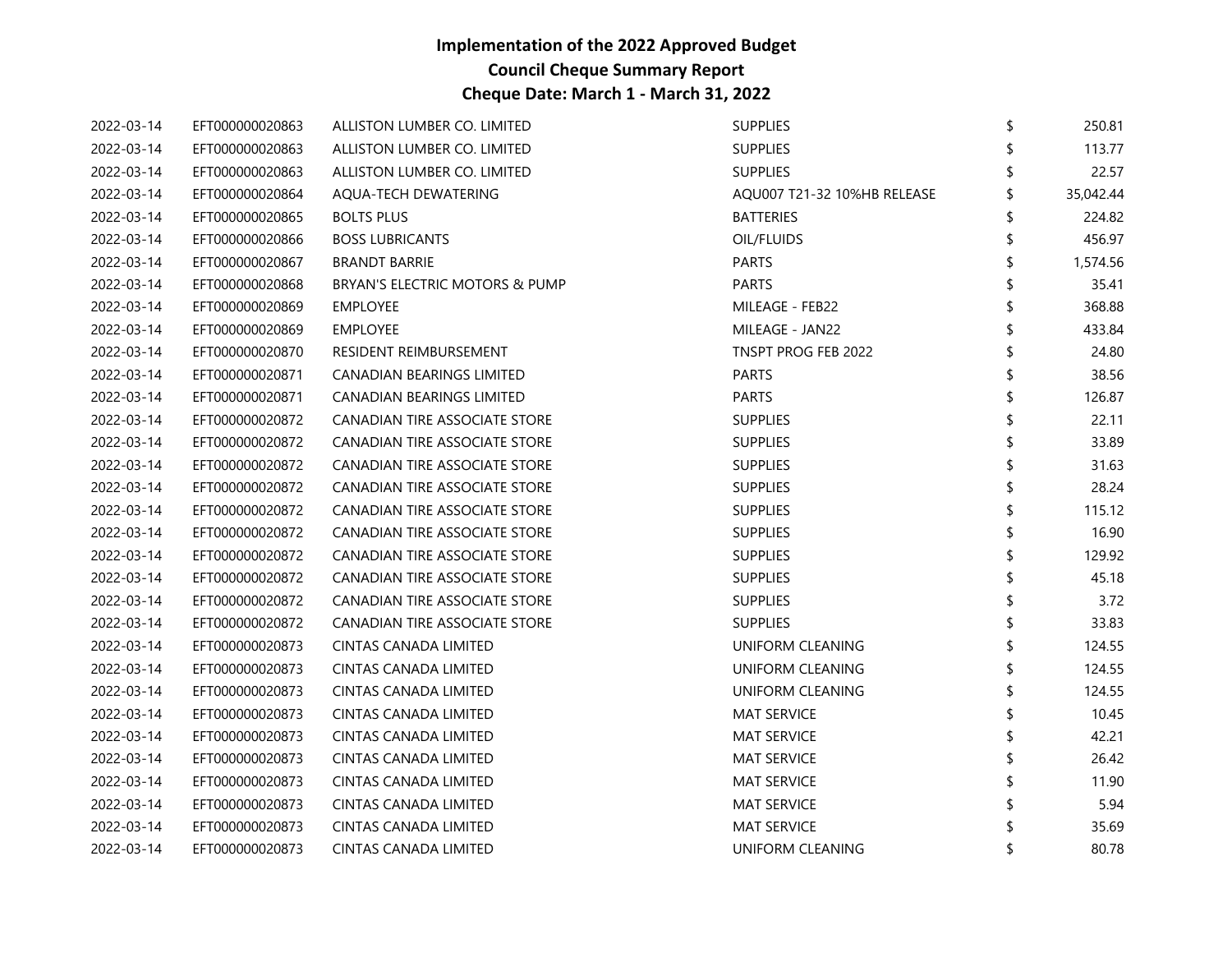| 2022-03-14 | EFT000000020863 | ALLISTON LUMBER CO. LIMITED      | <b>SUPPLIES</b>             | \$<br>250.81 |
|------------|-----------------|----------------------------------|-----------------------------|--------------|
| 2022-03-14 | EFT000000020863 | ALLISTON LUMBER CO. LIMITED      | <b>SUPPLIES</b>             | 113.77       |
| 2022-03-14 | EFT000000020863 | ALLISTON LUMBER CO. LIMITED      | <b>SUPPLIES</b>             | 22.57        |
| 2022-03-14 | EFT000000020864 | AQUA-TECH DEWATERING             | AQU007 T21-32 10%HB RELEASE | 35,042.44    |
| 2022-03-14 | EFT000000020865 | <b>BOLTS PLUS</b>                | <b>BATTERIES</b>            | 224.82       |
| 2022-03-14 | EFT000000020866 | <b>BOSS LUBRICANTS</b>           | OIL/FLUIDS                  | 456.97       |
| 2022-03-14 | EFT000000020867 | <b>BRANDT BARRIE</b>             | PARTS                       | 1,574.56     |
| 2022-03-14 | EFT000000020868 | BRYAN'S ELECTRIC MOTORS & PUMP   | PARTS                       | 35.41        |
| 2022-03-14 | EFT000000020869 | <b>EMPLOYEE</b>                  | MILEAGE - FEB22             | \$<br>368.88 |
| 2022-03-14 | EFT000000020869 | <b>EMPLOYEE</b>                  | MILEAGE - JAN22             | 433.84       |
| 2022-03-14 | EFT000000020870 | RESIDENT REIMBURSEMENT           | TNSPT PROG FEB 2022         | 24.80        |
| 2022-03-14 | EFT000000020871 | CANADIAN BEARINGS LIMITED        | <b>PARTS</b>                | \$<br>38.56  |
| 2022-03-14 | EFT000000020871 | <b>CANADIAN BEARINGS LIMITED</b> | <b>PARTS</b>                | 126.87       |
| 2022-03-14 | EFT000000020872 | CANADIAN TIRE ASSOCIATE STORE    | <b>SUPPLIES</b>             | 22.11        |
| 2022-03-14 | EFT000000020872 | CANADIAN TIRE ASSOCIATE STORE    | <b>SUPPLIES</b>             | 33.89        |
| 2022-03-14 | EFT000000020872 | CANADIAN TIRE ASSOCIATE STORE    | <b>SUPPLIES</b>             | 31.63        |
| 2022-03-14 | EFT000000020872 | CANADIAN TIRE ASSOCIATE STORE    | <b>SUPPLIES</b>             | 28.24        |
| 2022-03-14 | EFT000000020872 | CANADIAN TIRE ASSOCIATE STORE    | <b>SUPPLIES</b>             | 115.12       |
| 2022-03-14 | EFT000000020872 | CANADIAN TIRE ASSOCIATE STORE    | <b>SUPPLIES</b>             | 16.90        |
| 2022-03-14 | EFT000000020872 | CANADIAN TIRE ASSOCIATE STORE    | <b>SUPPLIES</b>             | 129.92       |
| 2022-03-14 | EFT000000020872 | CANADIAN TIRE ASSOCIATE STORE    | <b>SUPPLIES</b>             | 45.18        |
| 2022-03-14 | EFT000000020872 | CANADIAN TIRE ASSOCIATE STORE    | <b>SUPPLIES</b>             | 3.72         |
| 2022-03-14 | EFT000000020872 | CANADIAN TIRE ASSOCIATE STORE    | <b>SUPPLIES</b>             | \$<br>33.83  |
| 2022-03-14 | EFT000000020873 | CINTAS CANADA LIMITED            | UNIFORM CLEANING            | 124.55       |
| 2022-03-14 | EFT000000020873 | CINTAS CANADA LIMITED            | UNIFORM CLEANING            | 124.55       |
| 2022-03-14 | EFT000000020873 | CINTAS CANADA LIMITED            | UNIFORM CLEANING            | \$<br>124.55 |
| 2022-03-14 | EFT000000020873 | CINTAS CANADA LIMITED            | <b>MAT SERVICE</b>          | 10.45        |
| 2022-03-14 | EFT000000020873 | CINTAS CANADA LIMITED            | <b>MAT SERVICE</b>          | 42.21        |
| 2022-03-14 | EFT000000020873 | CINTAS CANADA LIMITED            | <b>MAT SERVICE</b>          | 26.42        |
| 2022-03-14 | EFT000000020873 | CINTAS CANADA LIMITED            | <b>MAT SERVICE</b>          | 11.90        |
| 2022-03-14 | EFT000000020873 | CINTAS CANADA LIMITED            | <b>MAT SERVICE</b>          | 5.94         |
| 2022-03-14 | EFT000000020873 | CINTAS CANADA LIMITED            | <b>MAT SERVICE</b>          | 35.69        |
| 2022-03-14 | EFT000000020873 | <b>CINTAS CANADA LIMITED</b>     | UNIFORM CLEANING            | \$<br>80.78  |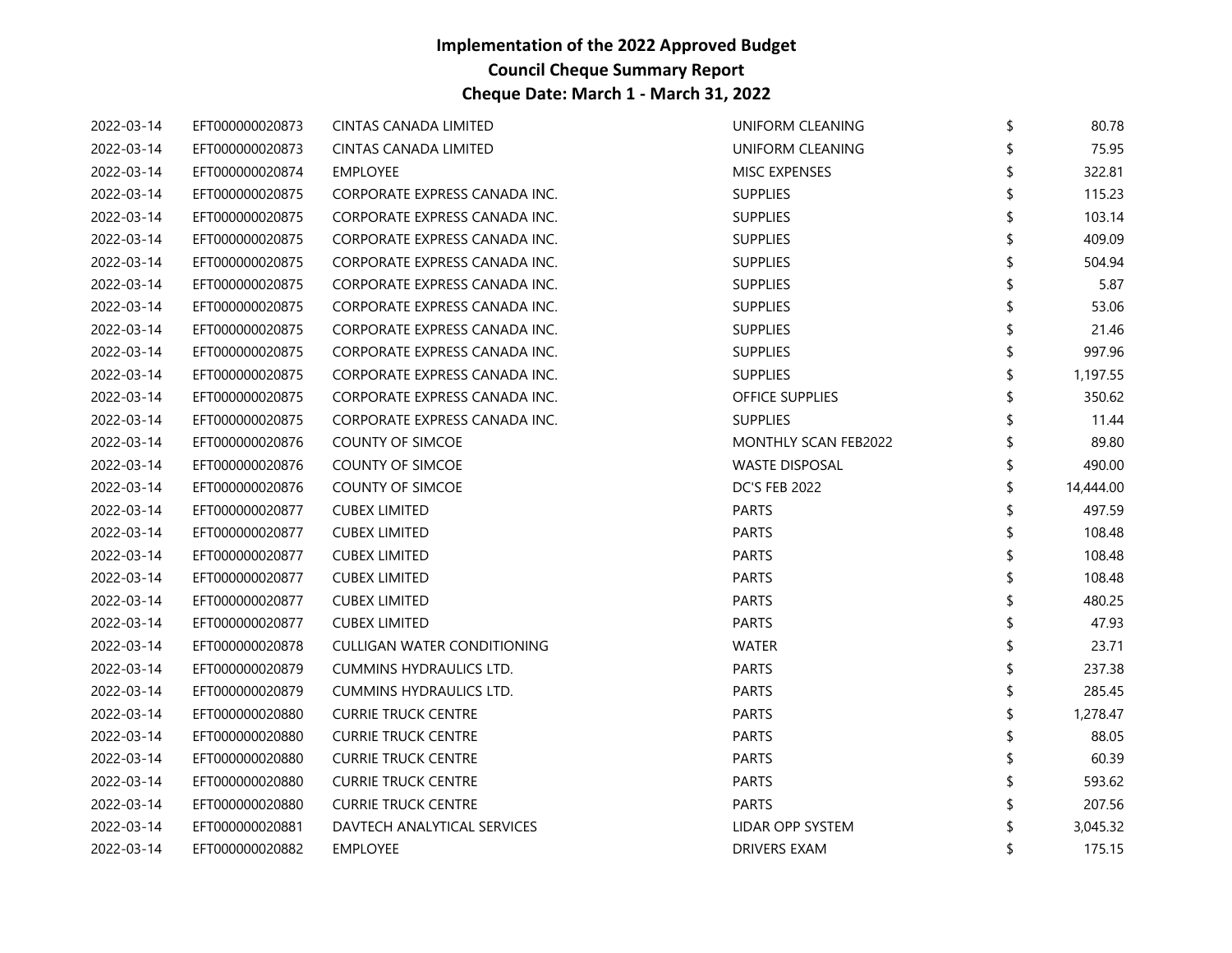| 2022-03-14 | EFT000000020873 | CINTAS CANADA LIMITED         | UNIFORM CLEANING            | \$<br>80.78  |
|------------|-----------------|-------------------------------|-----------------------------|--------------|
| 2022-03-14 | EFT000000020873 | CINTAS CANADA LIMITED         | UNIFORM CLEANING            | 75.95        |
| 2022-03-14 | EFT000000020874 | <b>EMPLOYEE</b>               | <b>MISC EXPENSES</b>        | 322.81       |
| 2022-03-14 | EFT000000020875 | CORPORATE EXPRESS CANADA INC. | <b>SUPPLIES</b>             | 115.23       |
| 2022-03-14 | EFT000000020875 | CORPORATE EXPRESS CANADA INC. | <b>SUPPLIES</b>             | 103.14       |
| 2022-03-14 | EFT000000020875 | CORPORATE EXPRESS CANADA INC. | <b>SUPPLIES</b>             | 409.09       |
| 2022-03-14 | EFT000000020875 | CORPORATE EXPRESS CANADA INC. | <b>SUPPLIES</b>             | 504.94       |
| 2022-03-14 | EFT000000020875 | CORPORATE EXPRESS CANADA INC. | <b>SUPPLIES</b>             | 5.87         |
| 2022-03-14 | EFT000000020875 | CORPORATE EXPRESS CANADA INC. | <b>SUPPLIES</b>             | 53.06        |
| 2022-03-14 | EFT000000020875 | CORPORATE EXPRESS CANADA INC. | <b>SUPPLIES</b>             | 21.46        |
| 2022-03-14 | EFT000000020875 | CORPORATE EXPRESS CANADA INC. | <b>SUPPLIES</b>             | 997.96       |
| 2022-03-14 | EFT000000020875 | CORPORATE EXPRESS CANADA INC. | <b>SUPPLIES</b>             | 1,197.55     |
| 2022-03-14 | EFT000000020875 | CORPORATE EXPRESS CANADA INC. | OFFICE SUPPLIES             | 350.62       |
| 2022-03-14 | EFT000000020875 | CORPORATE EXPRESS CANADA INC. | <b>SUPPLIES</b>             | 11.44        |
| 2022-03-14 | EFT000000020876 | <b>COUNTY OF SIMCOE</b>       | <b>MONTHLY SCAN FEB2022</b> | 89.80        |
| 2022-03-14 | EFT000000020876 | <b>COUNTY OF SIMCOE</b>       | <b>WASTE DISPOSAL</b>       | 490.00       |
| 2022-03-14 | EFT000000020876 | <b>COUNTY OF SIMCOE</b>       | <b>DC'S FEB 2022</b>        | 14,444.00    |
| 2022-03-14 | EFT000000020877 | <b>CUBEX LIMITED</b>          | <b>PARTS</b>                | 497.59       |
| 2022-03-14 | EFT000000020877 | <b>CUBEX LIMITED</b>          | <b>PARTS</b>                | 108.48       |
| 2022-03-14 | EFT000000020877 | <b>CUBEX LIMITED</b>          | <b>PARTS</b>                | 108.48       |
| 2022-03-14 | EFT000000020877 | <b>CUBEX LIMITED</b>          | <b>PARTS</b>                | 108.48       |
| 2022-03-14 | EFT000000020877 | <b>CUBEX LIMITED</b>          | <b>PARTS</b>                | 480.25       |
| 2022-03-14 | EFT000000020877 | <b>CUBEX LIMITED</b>          | <b>PARTS</b>                | 47.93        |
| 2022-03-14 | EFT000000020878 | CULLIGAN WATER CONDITIONING   | <b>WATER</b>                | 23.71        |
| 2022-03-14 | EFT000000020879 | CUMMINS HYDRAULICS LTD.       | <b>PARTS</b>                | 237.38       |
| 2022-03-14 | EFT000000020879 | CUMMINS HYDRAULICS LTD.       | <b>PARTS</b>                | 285.45       |
| 2022-03-14 | EFT000000020880 | <b>CURRIE TRUCK CENTRE</b>    | <b>PARTS</b>                | 1,278.47     |
| 2022-03-14 | EFT000000020880 | <b>CURRIE TRUCK CENTRE</b>    | <b>PARTS</b>                | 88.05        |
| 2022-03-14 | EFT000000020880 | <b>CURRIE TRUCK CENTRE</b>    | <b>PARTS</b>                | 60.39        |
| 2022-03-14 | EFT000000020880 | <b>CURRIE TRUCK CENTRE</b>    | <b>PARTS</b>                | 593.62       |
| 2022-03-14 | EFT000000020880 | <b>CURRIE TRUCK CENTRE</b>    | <b>PARTS</b>                | 207.56       |
| 2022-03-14 | EFT000000020881 | DAVTECH ANALYTICAL SERVICES   | LIDAR OPP SYSTEM            | 3,045.32     |
| 2022-03-14 | EFT000000020882 | <b>EMPLOYEE</b>               | <b>DRIVERS EXAM</b>         | \$<br>175.15 |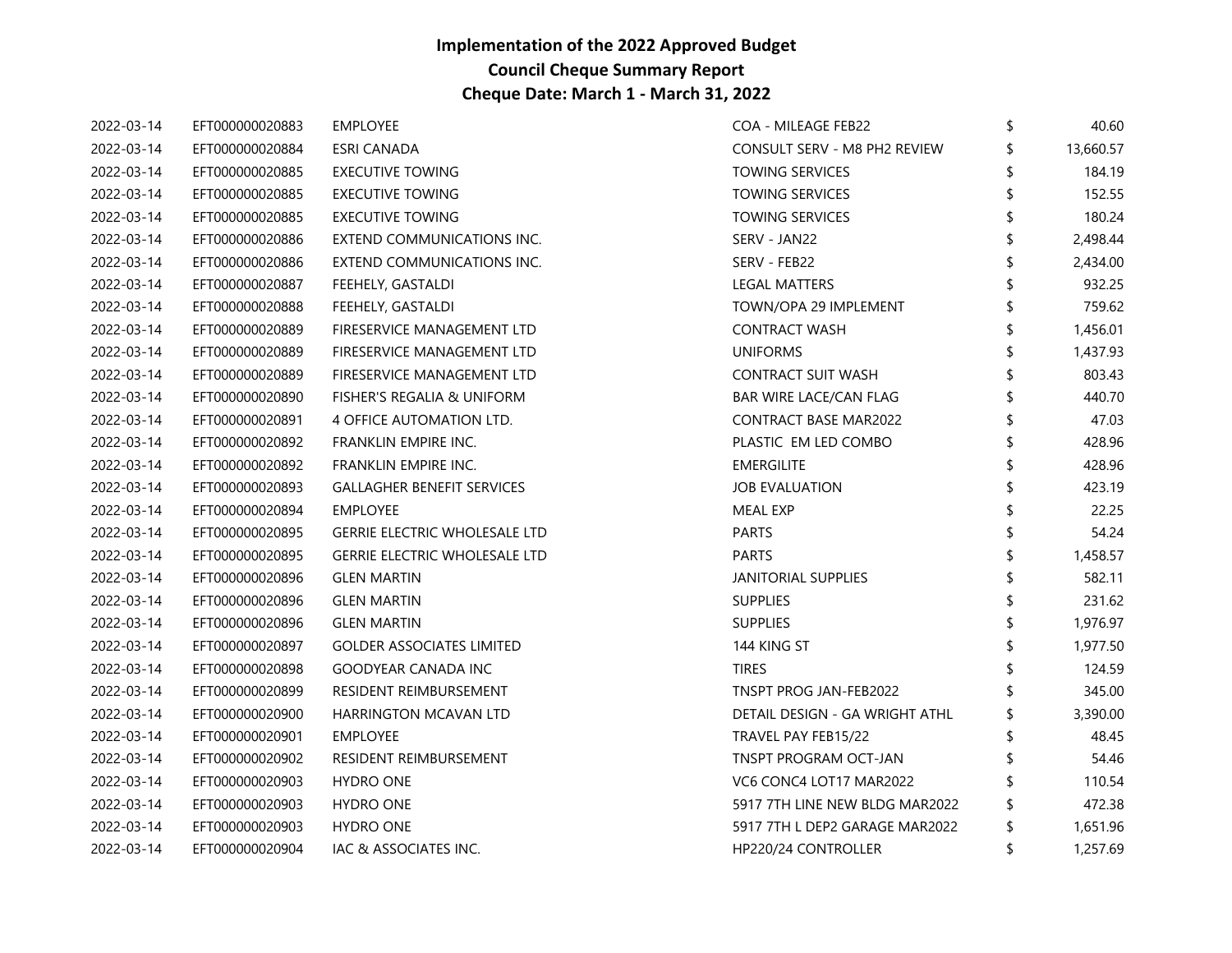| 2022-03-14 | EFT000000020883 | <b>EMPLOYEE</b>                      | COA - MILEAGE FEB22            | \$ | 40.60     |
|------------|-----------------|--------------------------------------|--------------------------------|----|-----------|
| 2022-03-14 | EFT000000020884 | ESRI CANADA                          | CONSULT SERV - M8 PH2 REVIEW   |    | 13,660.57 |
| 2022-03-14 | EFT000000020885 | <b>EXECUTIVE TOWING</b>              | <b>TOWING SERVICES</b>         |    | 184.19    |
| 2022-03-14 | EFT000000020885 | <b>EXECUTIVE TOWING</b>              | <b>TOWING SERVICES</b>         |    | 152.55    |
| 2022-03-14 | EFT000000020885 | <b>EXECUTIVE TOWING</b>              | <b>TOWING SERVICES</b>         | \$ | 180.24    |
| 2022-03-14 | EFT000000020886 | EXTEND COMMUNICATIONS INC.           | SERV - JAN22                   |    | 2,498.44  |
| 2022-03-14 | EFT000000020886 | EXTEND COMMUNICATIONS INC.           | SERV - FEB22                   |    | 2,434.00  |
| 2022-03-14 | EFT000000020887 | FEEHELY, GASTALDI                    | <b>LEGAL MATTERS</b>           |    | 932.25    |
| 2022-03-14 | EFT000000020888 | FEEHELY, GASTALDI                    | TOWN/OPA 29 IMPLEMENT          | \$ | 759.62    |
| 2022-03-14 | EFT000000020889 | FIRESERVICE MANAGEMENT LTD           | <b>CONTRACT WASH</b>           |    | 1,456.01  |
| 2022-03-14 | EFT000000020889 | FIRESERVICE MANAGEMENT LTD           | <b>UNIFORMS</b>                |    | 1,437.93  |
| 2022-03-14 | EFT000000020889 | FIRESERVICE MANAGEMENT LTD           | <b>CONTRACT SUIT WASH</b>      | \$ | 803.43    |
| 2022-03-14 | EFT000000020890 | FISHER'S REGALIA & UNIFORM           | <b>BAR WIRE LACE/CAN FLAG</b>  |    | 440.70    |
| 2022-03-14 | EFT000000020891 | 4 OFFICE AUTOMATION LTD.             | <b>CONTRACT BASE MAR2022</b>   | \$ | 47.03     |
| 2022-03-14 | EFT000000020892 | FRANKLIN EMPIRE INC.                 | PLASTIC EM LED COMBO           |    | 428.96    |
| 2022-03-14 | EFT000000020892 | FRANKLIN EMPIRE INC.                 | <b>EMERGILITE</b>              | ፍ  | 428.96    |
| 2022-03-14 | EFT000000020893 | <b>GALLAGHER BENEFIT SERVICES</b>    | <b>JOB EVALUATION</b>          |    | 423.19    |
| 2022-03-14 | EFT000000020894 | EMPLOYEE                             | <b>MEAL EXP</b>                |    | 22.25     |
| 2022-03-14 | EFT000000020895 | <b>GERRIE ELECTRIC WHOLESALE LTD</b> | <b>PARTS</b>                   | \$ | 54.24     |
| 2022-03-14 | EFT000000020895 | <b>GERRIE ELECTRIC WHOLESALE LTD</b> | <b>PARTS</b>                   |    | 1,458.57  |
| 2022-03-14 | EFT000000020896 | <b>GLEN MARTIN</b>                   | <b>JANITORIAL SUPPLIES</b>     |    | 582.11    |
| 2022-03-14 | EFT000000020896 | <b>GLEN MARTIN</b>                   | <b>SUPPLIES</b>                |    | 231.62    |
| 2022-03-14 | EFT000000020896 | <b>GLEN MARTIN</b>                   | <b>SUPPLIES</b>                | \$ | 1,976.97  |
| 2022-03-14 | EFT000000020897 | <b>GOLDER ASSOCIATES LIMITED</b>     | 144 KING ST                    |    | 1,977.50  |
| 2022-03-14 | EFT000000020898 | <b>GOODYEAR CANADA INC</b>           | <b>TIRES</b>                   |    | 124.59    |
| 2022-03-14 | EFT000000020899 | RESIDENT REIMBURSEMENT               | TNSPT PROG JAN-FEB2022         |    | 345.00    |
| 2022-03-14 | EFT000000020900 | HARRINGTON MCAVAN LTD                | DETAIL DESIGN - GA WRIGHT ATHL |    | 3,390.00  |
| 2022-03-14 | EFT000000020901 | <b>EMPLOYEE</b>                      | TRAVEL PAY FEB15/22            |    | 48.45     |
| 2022-03-14 | EFT000000020902 | RESIDENT REIMBURSEMENT               | TNSPT PROGRAM OCT-JAN          |    | 54.46     |
| 2022-03-14 | EFT000000020903 | <b>HYDRO ONE</b>                     | VC6 CONC4 LOT17 MAR2022        |    | 110.54    |
| 2022-03-14 | EFT000000020903 | <b>HYDRO ONE</b>                     | 5917 7TH LINE NEW BLDG MAR2022 | \$ | 472.38    |
| 2022-03-14 | EFT000000020903 | <b>HYDRO ONE</b>                     | 5917 7TH L DEP2 GARAGE MAR2022 | \$ | 1,651.96  |
| 2022-03-14 | EFT000000020904 | IAC & ASSOCIATES INC.                | HP220/24 CONTROLLER            | \$ | 1,257.69  |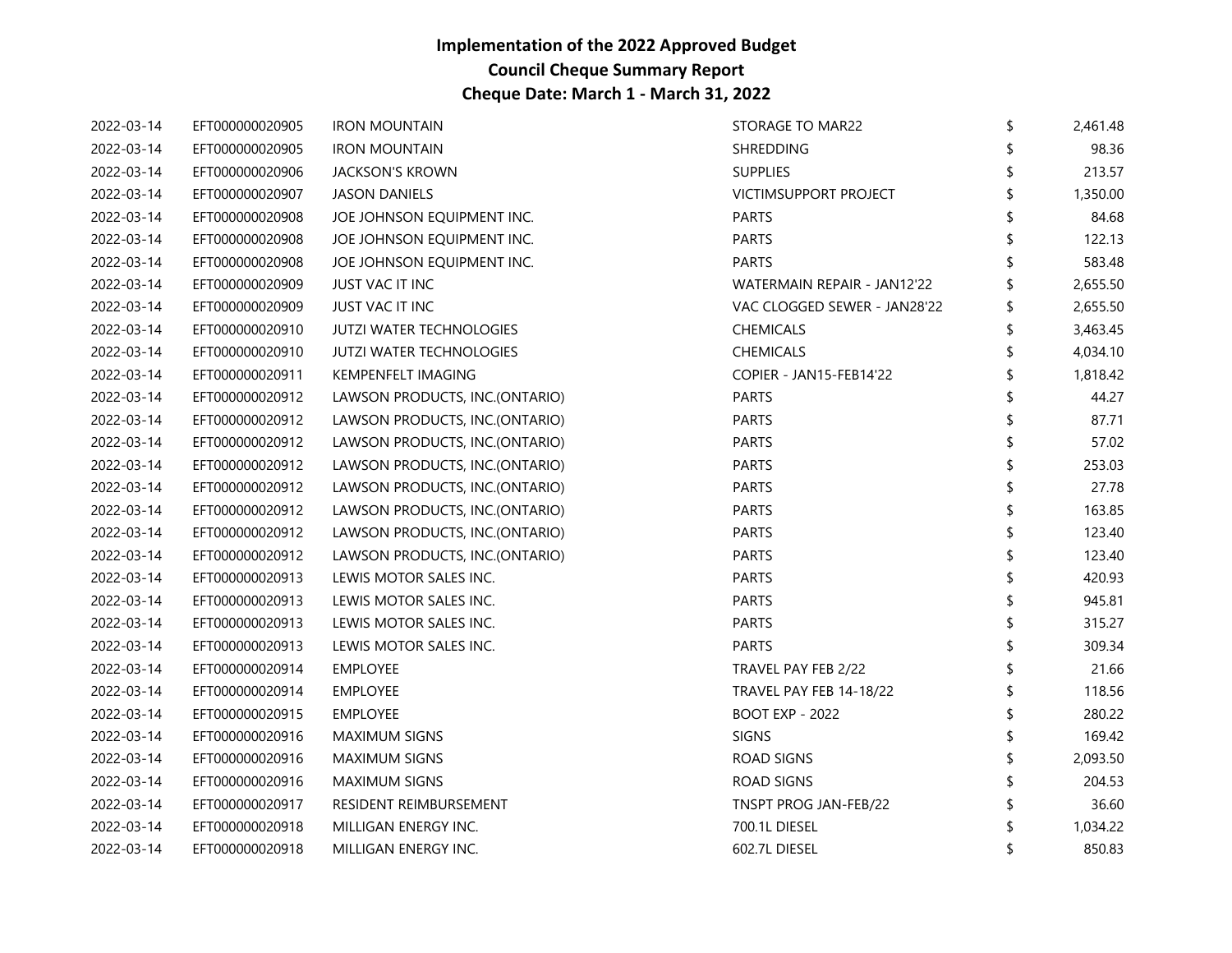| 2022-03-14 | EFT000000020905 | <b>IRON MOUNTAIN</b>            | STORAGE TO MAR22             | \$ | 2,461.48 |
|------------|-----------------|---------------------------------|------------------------------|----|----------|
| 2022-03-14 | EFT000000020905 | <b>IRON MOUNTAIN</b>            | <b>SHREDDING</b>             |    | 98.36    |
| 2022-03-14 | EFT000000020906 | <b>JACKSON'S KROWN</b>          | <b>SUPPLIES</b>              |    | 213.57   |
| 2022-03-14 | EFT000000020907 | <b>JASON DANIELS</b>            | VICTIMSUPPORT PROJECT        |    | 1,350.00 |
| 2022-03-14 | EFT000000020908 | JOE JOHNSON EQUIPMENT INC.      | <b>PARTS</b>                 |    | 84.68    |
| 2022-03-14 | EFT000000020908 | JOE JOHNSON EQUIPMENT INC.      | <b>PARTS</b>                 |    | 122.13   |
| 2022-03-14 | EFT000000020908 | JOE JOHNSON EQUIPMENT INC.      | <b>PARTS</b>                 |    | 583.48   |
| 2022-03-14 | EFT000000020909 | <b>JUST VAC IT INC</b>          | WATERMAIN REPAIR - JAN12'22  |    | 2,655.50 |
| 2022-03-14 | EFT000000020909 | <b>JUST VAC IT INC</b>          | VAC CLOGGED SEWER - JAN28'22 |    | 2,655.50 |
| 2022-03-14 | EFT000000020910 | <b>JUTZI WATER TECHNOLOGIES</b> | <b>CHEMICALS</b>             |    | 3,463.45 |
| 2022-03-14 | EFT000000020910 | <b>JUTZI WATER TECHNOLOGIES</b> | <b>CHEMICALS</b>             |    | 4,034.10 |
| 2022-03-14 | EFT000000020911 | KEMPENFELT IMAGING              | COPIER - JAN15-FEB14'22      |    | 1,818.42 |
| 2022-03-14 | EFT000000020912 | LAWSON PRODUCTS, INC.(ONTARIO)  | <b>PARTS</b>                 |    | 44.27    |
| 2022-03-14 | EFT000000020912 | LAWSON PRODUCTS, INC.(ONTARIO)  | <b>PARTS</b>                 |    | 87.71    |
| 2022-03-14 | EFT000000020912 | LAWSON PRODUCTS, INC.(ONTARIO)  | <b>PARTS</b>                 |    | 57.02    |
| 2022-03-14 | EFT000000020912 | LAWSON PRODUCTS, INC.(ONTARIO)  | <b>PARTS</b>                 | ና  | 253.03   |
| 2022-03-14 | EFT000000020912 | LAWSON PRODUCTS, INC.(ONTARIO)  | <b>PARTS</b>                 |    | 27.78    |
| 2022-03-14 | EFT000000020912 | LAWSON PRODUCTS, INC.(ONTARIO)  | PARTS                        |    | 163.85   |
| 2022-03-14 | EFT000000020912 | LAWSON PRODUCTS, INC.(ONTARIO)  | <b>PARTS</b>                 |    | 123.40   |
| 2022-03-14 | EFT000000020912 | LAWSON PRODUCTS, INC.(ONTARIO)  | <b>PARTS</b>                 |    | 123.40   |
| 2022-03-14 | EFT000000020913 | LEWIS MOTOR SALES INC.          | <b>PARTS</b>                 |    | 420.93   |
| 2022-03-14 | EFT000000020913 | LEWIS MOTOR SALES INC.          | <b>PARTS</b>                 |    | 945.81   |
| 2022-03-14 | EFT000000020913 | LEWIS MOTOR SALES INC.          | <b>PARTS</b>                 | ና  | 315.27   |
| 2022-03-14 | EFT000000020913 | LEWIS MOTOR SALES INC.          | <b>PARTS</b>                 |    | 309.34   |
| 2022-03-14 | EFT000000020914 | EMPLOYEE                        | TRAVEL PAY FEB 2/22          |    | 21.66    |
| 2022-03-14 | EFT000000020914 | EMPLOYEE                        | TRAVEL PAY FEB 14-18/22      | \$ | 118.56   |
| 2022-03-14 | EFT000000020915 | <b>EMPLOYEE</b>                 | <b>BOOT EXP - 2022</b>       |    | 280.22   |
| 2022-03-14 | EFT000000020916 | <b>MAXIMUM SIGNS</b>            | <b>SIGNS</b>                 |    | 169.42   |
| 2022-03-14 | EFT000000020916 | <b>MAXIMUM SIGNS</b>            | ROAD SIGNS                   |    | 2,093.50 |
| 2022-03-14 | EFT000000020916 | <b>MAXIMUM SIGNS</b>            | ROAD SIGNS                   | \$ | 204.53   |
| 2022-03-14 | EFT000000020917 | RESIDENT REIMBURSEMENT          | TNSPT PROG JAN-FEB/22        |    | 36.60    |
| 2022-03-14 | EFT000000020918 | MILLIGAN ENERGY INC.            | 700.1L DIESEL                |    | 1,034.22 |
| 2022-03-14 | EFT000000020918 | MILLIGAN ENERGY INC.            | 602.7L DIESEL                | \$ | 850.83   |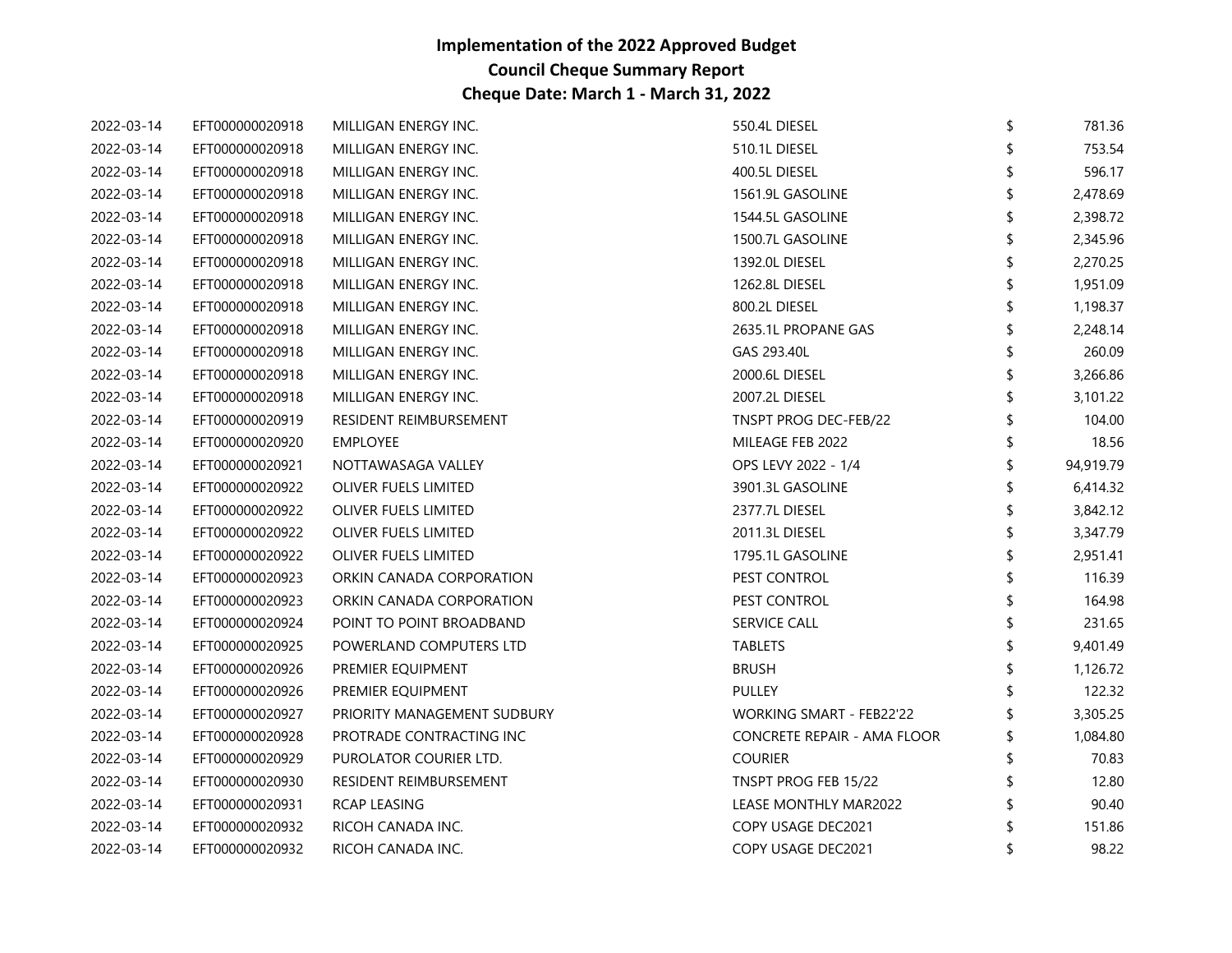| 2022-03-14 | EFT000000020918 | MILLIGAN ENERGY INC.        | 550.4L DIESEL               | \$<br>781.36    |
|------------|-----------------|-----------------------------|-----------------------------|-----------------|
| 2022-03-14 | EFT000000020918 | MILLIGAN ENERGY INC.        | 510.1L DIESEL               | 753.54          |
| 2022-03-14 | EFT000000020918 | MILLIGAN ENERGY INC.        | 400.5L DIESEL               | 596.17          |
| 2022-03-14 | EFT000000020918 | MILLIGAN ENERGY INC.        | 1561.9L GASOLINE            | 2,478.69        |
| 2022-03-14 | EFT000000020918 | MILLIGAN ENERGY INC.        | 1544.5L GASOLINE            | \$<br>2,398.72  |
| 2022-03-14 | EFT000000020918 | MILLIGAN ENERGY INC.        | 1500.7L GASOLINE            | 2,345.96        |
| 2022-03-14 | EFT000000020918 | MILLIGAN ENERGY INC.        | 1392.0L DIESEL              | 2,270.25        |
| 2022-03-14 | EFT000000020918 | MILLIGAN ENERGY INC.        | 1262.8L DIESEL              | 1,951.09        |
| 2022-03-14 | EFT000000020918 | MILLIGAN ENERGY INC.        | 800.2L DIESEL               | \$<br>1,198.37  |
| 2022-03-14 | EFT000000020918 | MILLIGAN ENERGY INC.        | 2635.1L PROPANE GAS         | 2,248.14        |
| 2022-03-14 | EFT000000020918 | MILLIGAN ENERGY INC.        | GAS 293.40L                 | 260.09          |
| 2022-03-14 | EFT000000020918 | MILLIGAN ENERGY INC.        | 2000.6L DIESEL              | \$<br>3,266.86  |
| 2022-03-14 | EFT000000020918 | MILLIGAN ENERGY INC.        | 2007.2L DIESEL              | 3,101.22        |
| 2022-03-14 | EFT000000020919 | RESIDENT REIMBURSEMENT      | TNSPT PROG DEC-FEB/22       | 104.00          |
| 2022-03-14 | EFT000000020920 | EMPLOYEE                    | MILEAGE FEB 2022            | 18.56           |
| 2022-03-14 | EFT000000020921 | NOTTAWASAGA VALLEY          | OPS LEVY 2022 - 1/4         | \$<br>94,919.79 |
| 2022-03-14 | EFT000000020922 | OLIVER FUELS LIMITED        | 3901.3L GASOLINE            | 6,414.32        |
| 2022-03-14 | EFT000000020922 | OLIVER FUELS LIMITED        | 2377.7L DIESEL              | 3,842.12        |
| 2022-03-14 | EFT000000020922 | OLIVER FUELS LIMITED        | 2011.3L DIESEL              | \$<br>3,347.79  |
| 2022-03-14 | EFT000000020922 | OLIVER FUELS LIMITED        | 1795.1L GASOLINE            | 2,951.41        |
| 2022-03-14 | EFT000000020923 | ORKIN CANADA CORPORATION    | PEST CONTROL                | 116.39          |
| 2022-03-14 | EFT000000020923 | ORKIN CANADA CORPORATION    | PEST CONTROL                | 164.98          |
| 2022-03-14 | EFT000000020924 | POINT TO POINT BROADBAND    | <b>SERVICE CALL</b>         | \$<br>231.65    |
| 2022-03-14 | EFT000000020925 | POWERLAND COMPUTERS LTD     | TABLETS                     | 9,401.49        |
| 2022-03-14 | EFT000000020926 | PREMIER EQUIPMENT           | <b>BRUSH</b>                | 1,126.72        |
| 2022-03-14 | EFT000000020926 | PREMIER EQUIPMENT           | <b>PULLEY</b>               | 122.32          |
| 2022-03-14 | EFT000000020927 | PRIORITY MANAGEMENT SUDBURY | WORKING SMART - FEB22'22    | 3,305.25        |
| 2022-03-14 | EFT000000020928 | PROTRADE CONTRACTING INC    | CONCRETE REPAIR - AMA FLOOR | 1,084.80        |
| 2022-03-14 | EFT000000020929 | PUROLATOR COURIER LTD.      | <b>COURIER</b>              | 70.83           |
| 2022-03-14 | EFT000000020930 | RESIDENT REIMBURSEMENT      | TNSPT PROG FEB 15/22        | 12.80           |
| 2022-03-14 | EFT000000020931 | RCAP LEASING                | LEASE MONTHLY MAR2022       | 90.40           |
| 2022-03-14 | EFT000000020932 | RICOH CANADA INC.           | COPY USAGE DEC2021          | 151.86          |
| 2022-03-14 | EFT000000020932 | RICOH CANADA INC.           | COPY USAGE DEC2021          | \$<br>98.22     |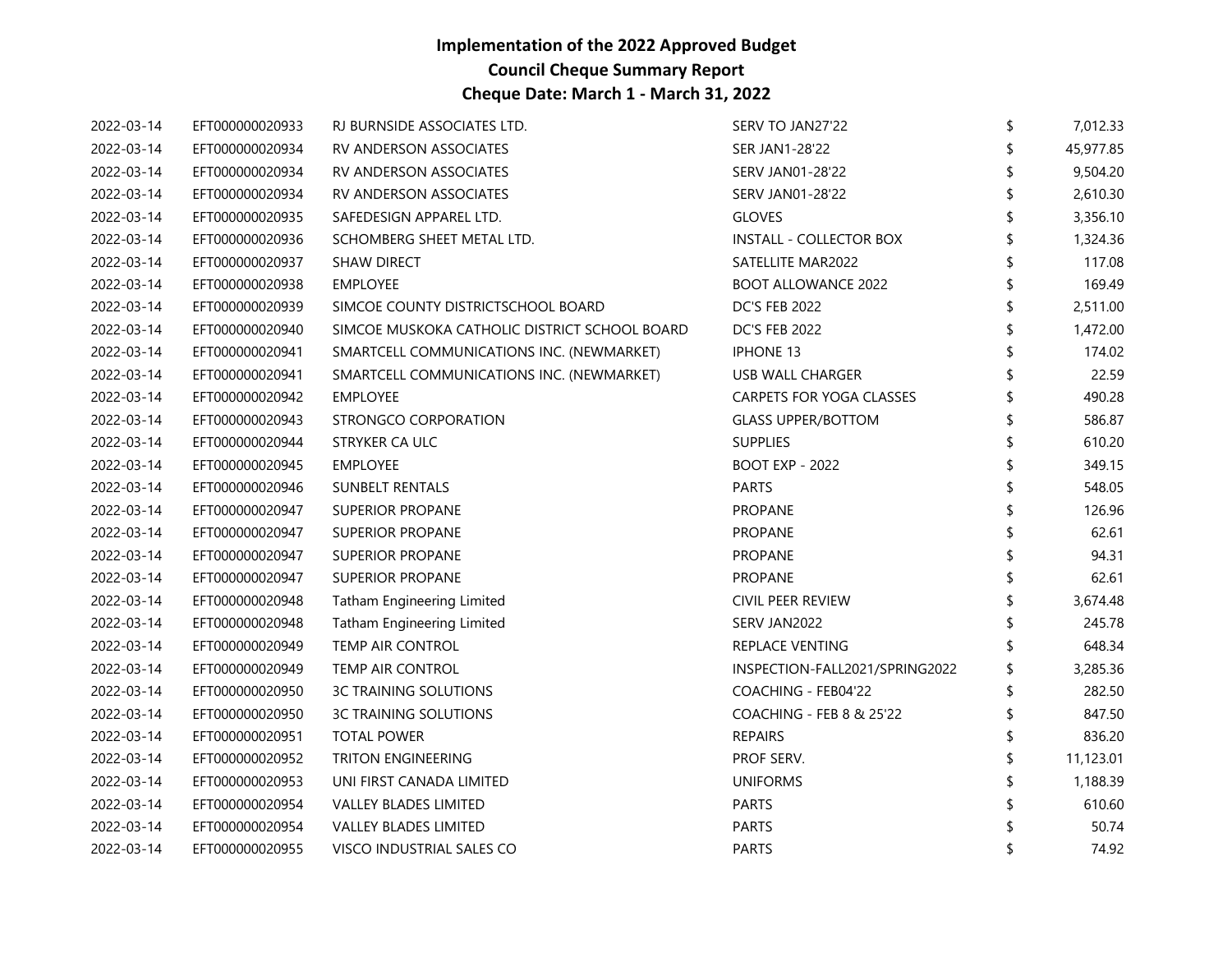| 2022-03-14 | EFT000000020933 | RJ BURNSIDE ASSOCIATES LTD.                   | SERV TO JAN27'22                    | \$<br>7,012.33 |
|------------|-----------------|-----------------------------------------------|-------------------------------------|----------------|
| 2022-03-14 | EFT000000020934 | RV ANDERSON ASSOCIATES                        | <b>SER JAN1-28'22</b>               | 45,977.85      |
| 2022-03-14 | EFT000000020934 | <b>RV ANDERSON ASSOCIATES</b>                 | <b>SERV JAN01-28'22</b>             | 9,504.20       |
| 2022-03-14 | EFT000000020934 | <b>RV ANDERSON ASSOCIATES</b>                 | <b>SERV JAN01-28'22</b>             | 2,610.30       |
| 2022-03-14 | EFT000000020935 | SAFEDESIGN APPAREL LTD.                       | <b>GLOVES</b>                       | 3,356.10       |
| 2022-03-14 | EFT000000020936 | SCHOMBERG SHEET METAL LTD.                    | <b>INSTALL - COLLECTOR BOX</b>      | 1,324.36       |
| 2022-03-14 | EFT000000020937 | <b>SHAW DIRECT</b>                            | SATELLITE MAR2022                   | 117.08         |
| 2022-03-14 | EFT000000020938 | <b>EMPLOYEE</b>                               | <b>BOOT ALLOWANCE 2022</b>          | 169.49         |
| 2022-03-14 | EFT000000020939 | SIMCOE COUNTY DISTRICTSCHOOL BOARD            | <b>DC'S FEB 2022</b>                | \$<br>2,511.00 |
| 2022-03-14 | EFT000000020940 | SIMCOE MUSKOKA CATHOLIC DISTRICT SCHOOL BOARD | <b>DC'S FEB 2022</b>                | 1,472.00       |
| 2022-03-14 | EFT000000020941 | SMARTCELL COMMUNICATIONS INC. (NEWMARKET)     | <b>IPHONE 13</b>                    | 174.02         |
| 2022-03-14 | EFT000000020941 | SMARTCELL COMMUNICATIONS INC. (NEWMARKET)     | USB WALL CHARGER                    | 22.59          |
| 2022-03-14 | EFT000000020942 | <b>EMPLOYEE</b>                               | CARPETS FOR YOGA CLASSES            | 490.28         |
| 2022-03-14 | EFT000000020943 | STRONGCO CORPORATION                          | <b>GLASS UPPER/BOTTOM</b>           | 586.87         |
| 2022-03-14 | EFT000000020944 | STRYKER CA ULC                                | <b>SUPPLIES</b>                     | 610.20         |
| 2022-03-14 | EFT000000020945 | <b>EMPLOYEE</b>                               | BOOT EXP - 2022                     | 349.15         |
| 2022-03-14 | EFT000000020946 | <b>SUNBELT RENTALS</b>                        | <b>PARTS</b>                        | 548.05         |
| 2022-03-14 | EFT000000020947 | <b>SUPERIOR PROPANE</b>                       | PROPANE                             | 126.96         |
| 2022-03-14 | EFT000000020947 | <b>SUPERIOR PROPANE</b>                       | <b>PROPANE</b>                      | 62.61          |
| 2022-03-14 | EFT000000020947 | <b>SUPERIOR PROPANE</b>                       | <b>PROPANE</b>                      | 94.31          |
| 2022-03-14 | EFT000000020947 | <b>SUPERIOR PROPANE</b>                       | <b>PROPANE</b>                      | 62.61          |
| 2022-03-14 | EFT000000020948 | <b>Tatham Engineering Limited</b>             | CIVIL PEER REVIEW                   | 3,674.48       |
| 2022-03-14 | EFT000000020948 | Tatham Engineering Limited                    | SERV JAN2022                        | 245.78         |
| 2022-03-14 | EFT000000020949 | TEMP AIR CONTROL                              | REPLACE VENTING                     | 648.34         |
| 2022-03-14 | EFT000000020949 | TEMP AIR CONTROL                              | INSPECTION-FALL2021/SPRING2022      | 3,285.36       |
| 2022-03-14 | EFT000000020950 | <b>3C TRAINING SOLUTIONS</b>                  | COACHING - FEB04'22                 | \$<br>282.50   |
| 2022-03-14 | EFT000000020950 | <b>3C TRAINING SOLUTIONS</b>                  | <b>COACHING - FEB 8 &amp; 25'22</b> | 847.50         |
| 2022-03-14 | EFT000000020951 | <b>TOTAL POWER</b>                            | <b>REPAIRS</b>                      | 836.20         |
| 2022-03-14 | EFT000000020952 | TRITON ENGINEERING                            | PROF SERV.                          | 11,123.01      |
| 2022-03-14 | EFT000000020953 | UNI FIRST CANADA LIMITED                      | <b>UNIFORMS</b>                     | 1,188.39       |
| 2022-03-14 | EFT000000020954 | VALLEY BLADES LIMITED                         | <b>PARTS</b>                        | 610.60         |
| 2022-03-14 | EFT000000020954 | VALLEY BLADES LIMITED                         | <b>PARTS</b>                        | 50.74          |
| 2022-03-14 | EFT000000020955 | VISCO INDUSTRIAL SALES CO                     | <b>PARTS</b>                        | 74.92          |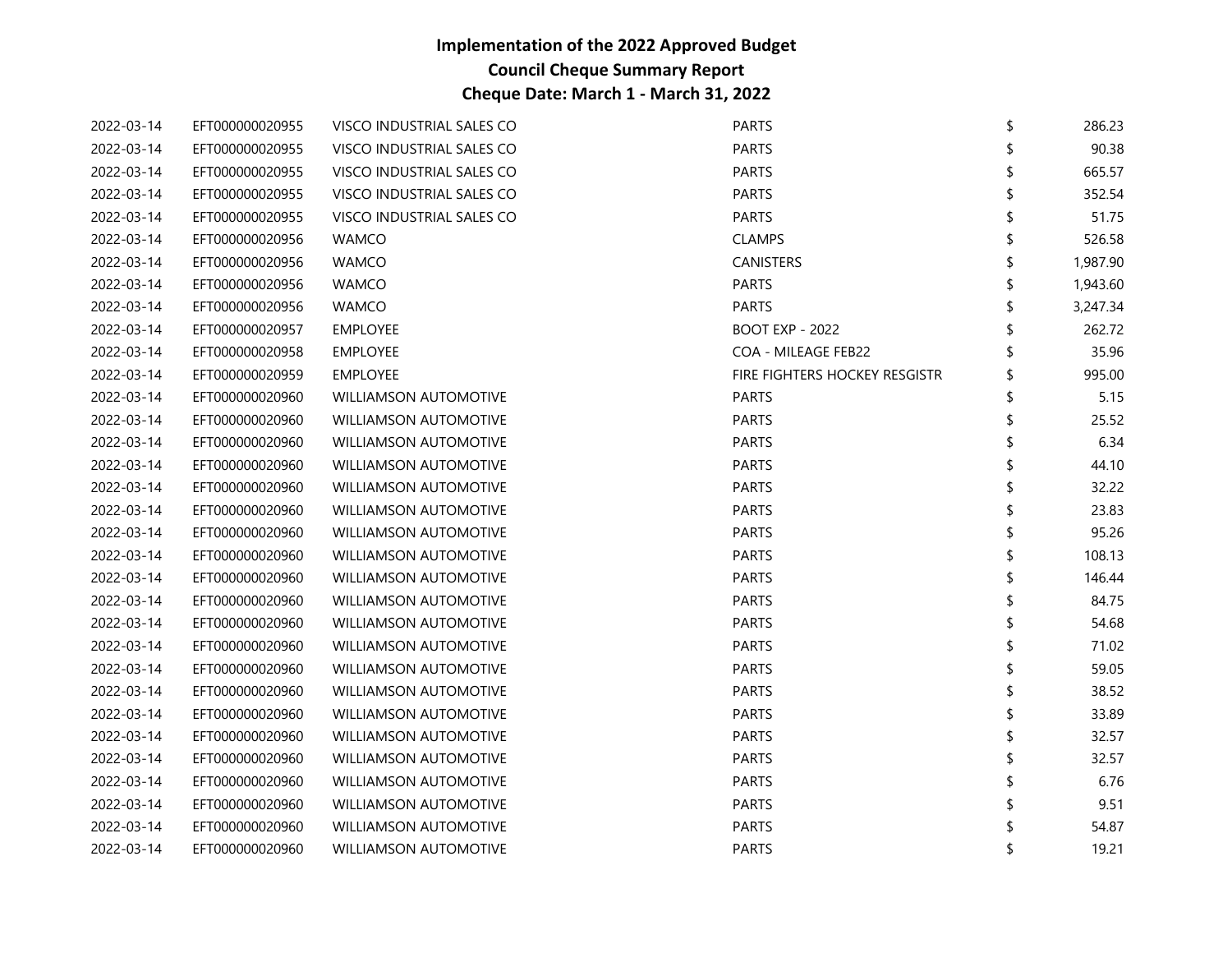| 2022-03-14 | EFT000000020955 | VISCO INDUSTRIAL SALES CO    | <b>PARTS</b>                  | \$<br>286.23   |
|------------|-----------------|------------------------------|-------------------------------|----------------|
| 2022-03-14 | EFT000000020955 | VISCO INDUSTRIAL SALES CO    | <b>PARTS</b>                  | 90.38          |
| 2022-03-14 | EFT000000020955 | VISCO INDUSTRIAL SALES CO    | <b>PARTS</b>                  | 665.57         |
| 2022-03-14 | EFT000000020955 | VISCO INDUSTRIAL SALES CO    | <b>PARTS</b>                  | 352.54         |
| 2022-03-14 | EFT000000020955 | VISCO INDUSTRIAL SALES CO    | <b>PARTS</b>                  | \$<br>51.75    |
| 2022-03-14 | EFT000000020956 | <b>WAMCO</b>                 | <b>CLAMPS</b>                 | 526.58         |
| 2022-03-14 | EFT000000020956 | <b>WAMCO</b>                 | CANISTERS                     | 1,987.90       |
| 2022-03-14 | EFT000000020956 | <b>WAMCO</b>                 | <b>PARTS</b>                  | 1,943.60       |
| 2022-03-14 | EFT000000020956 | <b>WAMCO</b>                 | <b>PARTS</b>                  | \$<br>3,247.34 |
| 2022-03-14 | EFT000000020957 | EMPLOYEE                     | <b>BOOT EXP - 2022</b>        | 262.72         |
| 2022-03-14 | EFT000000020958 | <b>EMPLOYEE</b>              | COA - MILEAGE FEB22           | 35.96          |
| 2022-03-14 | EFT000000020959 | <b>EMPLOYEE</b>              | FIRE FIGHTERS HOCKEY RESGISTR | 995.00         |
| 2022-03-14 | EFT000000020960 | <b>WILLIAMSON AUTOMOTIVE</b> | <b>PARTS</b>                  | 5.15           |
| 2022-03-14 | EFT000000020960 | <b>WILLIAMSON AUTOMOTIVE</b> | <b>PARTS</b>                  | 25.52          |
| 2022-03-14 | EFT000000020960 | WILLIAMSON AUTOMOTIVE        | <b>PARTS</b>                  | 6.34           |
| 2022-03-14 | EFT000000020960 | <b>WILLIAMSON AUTOMOTIVE</b> | <b>PARTS</b>                  | 44.10          |
| 2022-03-14 | EFT000000020960 | <b>WILLIAMSON AUTOMOTIVE</b> | <b>PARTS</b>                  | 32.22          |
| 2022-03-14 | EFT000000020960 | <b>WILLIAMSON AUTOMOTIVE</b> | <b>PARTS</b>                  | 23.83          |
| 2022-03-14 | EFT000000020960 | WILLIAMSON AUTOMOTIVE        | <b>PARTS</b>                  | 95.26          |
| 2022-03-14 | EFT000000020960 | <b>WILLIAMSON AUTOMOTIVE</b> | <b>PARTS</b>                  | \$<br>108.13   |
| 2022-03-14 | EFT000000020960 | <b>WILLIAMSON AUTOMOTIVE</b> | <b>PARTS</b>                  | 146.44         |
| 2022-03-14 | EFT000000020960 | <b>WILLIAMSON AUTOMOTIVE</b> | <b>PARTS</b>                  | 84.75          |
| 2022-03-14 | EFT000000020960 | WILLIAMSON AUTOMOTIVE        | <b>PARTS</b>                  | 54.68          |
| 2022-03-14 | EFT000000020960 | <b>WILLIAMSON AUTOMOTIVE</b> | <b>PARTS</b>                  | 71.02          |
| 2022-03-14 | EFT000000020960 | <b>WILLIAMSON AUTOMOTIVE</b> | <b>PARTS</b>                  | 59.05          |
| 2022-03-14 | EFT000000020960 | <b>WILLIAMSON AUTOMOTIVE</b> | <b>PARTS</b>                  | 38.52          |
| 2022-03-14 | EFT000000020960 | WILLIAMSON AUTOMOTIVE        | <b>PARTS</b>                  | \$<br>33.89    |
| 2022-03-14 | EFT000000020960 | <b>WILLIAMSON AUTOMOTIVE</b> | <b>PARTS</b>                  | 32.57          |
| 2022-03-14 | EFT000000020960 | <b>WILLIAMSON AUTOMOTIVE</b> | <b>PARTS</b>                  | 32.57          |
| 2022-03-14 | EFT000000020960 | <b>WILLIAMSON AUTOMOTIVE</b> | <b>PARTS</b>                  | 6.76           |
| 2022-03-14 | EFT000000020960 | WILLIAMSON AUTOMOTIVE        | <b>PARTS</b>                  | 9.51           |
| 2022-03-14 | EFT000000020960 | <b>WILLIAMSON AUTOMOTIVE</b> | <b>PARTS</b>                  | 54.87          |
| 2022-03-14 | EFT000000020960 | <b>WILLIAMSON AUTOMOTIVE</b> | <b>PARTS</b>                  | 19.21          |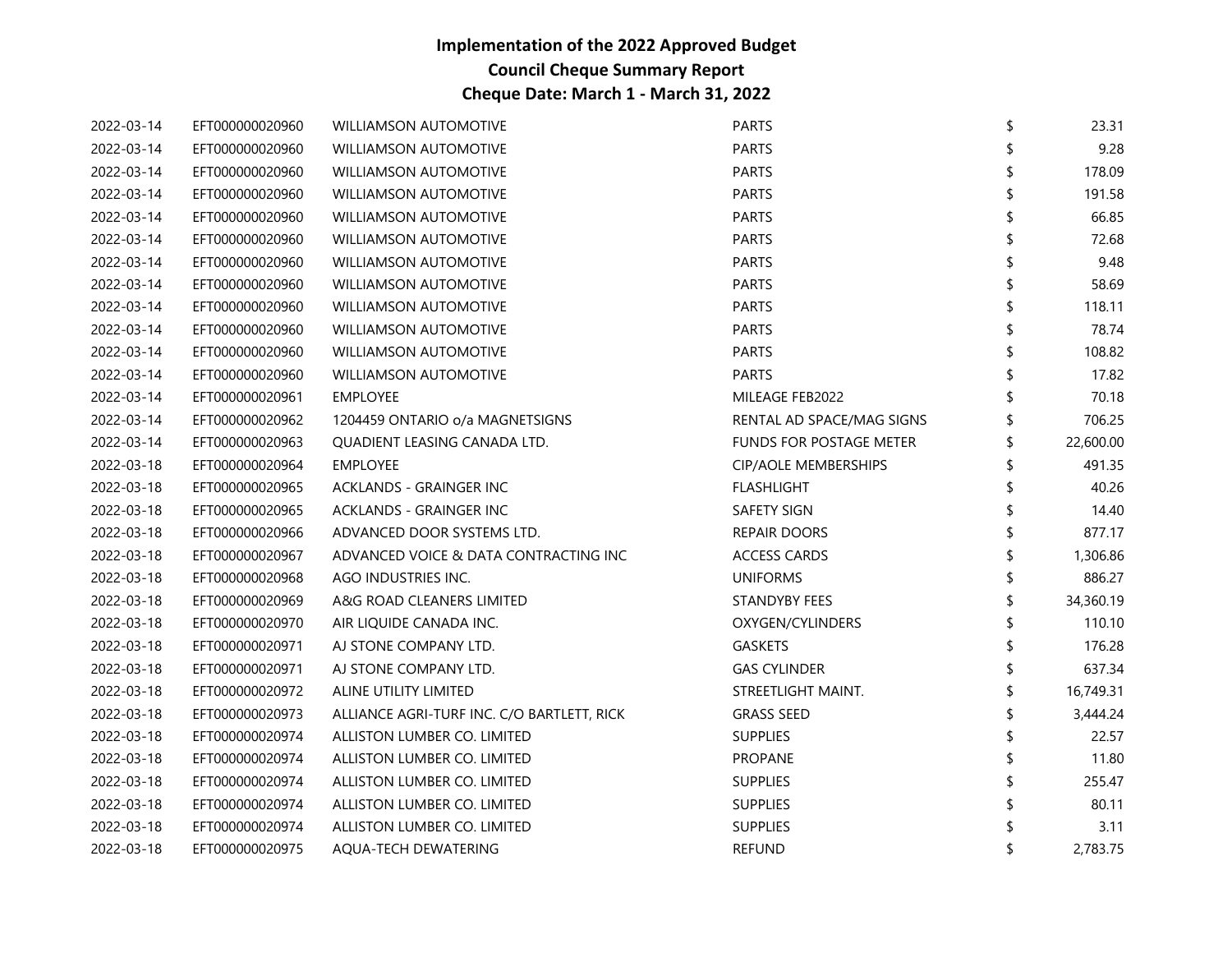| 2022-03-14 | EFT000000020960 | <b>WILLIAMSON AUTOMOTIVE</b>               | <b>PARTS</b>                   | \$<br>23.31     |
|------------|-----------------|--------------------------------------------|--------------------------------|-----------------|
| 2022-03-14 | EFT000000020960 | <b>WILLIAMSON AUTOMOTIVE</b>               | <b>PARTS</b>                   | 9.28            |
| 2022-03-14 | EFT000000020960 | <b>WILLIAMSON AUTOMOTIVE</b>               | <b>PARTS</b>                   | 178.09          |
| 2022-03-14 | EFT000000020960 | <b>WILLIAMSON AUTOMOTIVE</b>               | <b>PARTS</b>                   | 191.58          |
| 2022-03-14 | EFT000000020960 | <b>WILLIAMSON AUTOMOTIVE</b>               | <b>PARTS</b>                   | 66.85           |
| 2022-03-14 | EFT000000020960 | <b>WILLIAMSON AUTOMOTIVE</b>               | <b>PARTS</b>                   | 72.68           |
| 2022-03-14 | EFT000000020960 | <b>WILLIAMSON AUTOMOTIVE</b>               | <b>PARTS</b>                   | 9.48            |
| 2022-03-14 | EFT000000020960 | <b>WILLIAMSON AUTOMOTIVE</b>               | <b>PARTS</b>                   | 58.69           |
| 2022-03-14 | EFT000000020960 | <b>WILLIAMSON AUTOMOTIVE</b>               | <b>PARTS</b>                   | \$<br>118.11    |
| 2022-03-14 | EFT000000020960 | <b>WILLIAMSON AUTOMOTIVE</b>               | <b>PARTS</b>                   | 78.74           |
| 2022-03-14 | EFT000000020960 | <b>WILLIAMSON AUTOMOTIVE</b>               | <b>PARTS</b>                   | 108.82          |
| 2022-03-14 | EFT000000020960 | <b>WILLIAMSON AUTOMOTIVE</b>               | <b>PARTS</b>                   | 17.82           |
| 2022-03-14 | EFT000000020961 | <b>EMPLOYEE</b>                            | MILEAGE FEB2022                | 70.18           |
| 2022-03-14 | EFT000000020962 | 1204459 ONTARIO o/a MAGNETSIGNS            | RENTAL AD SPACE/MAG SIGNS      | 706.25          |
| 2022-03-14 | EFT000000020963 | QUADIENT LEASING CANADA LTD.               | <b>FUNDS FOR POSTAGE METER</b> | \$<br>22,600.00 |
| 2022-03-18 | EFT000000020964 | <b>EMPLOYEE</b>                            | <b>CIP/AOLE MEMBERSHIPS</b>    | \$<br>491.35    |
| 2022-03-18 | EFT000000020965 | ACKLANDS - GRAINGER INC                    | <b>FLASHLIGHT</b>              | 40.26           |
| 2022-03-18 | EFT000000020965 | ACKLANDS - GRAINGER INC                    | <b>SAFETY SIGN</b>             | 14.40           |
| 2022-03-18 | EFT000000020966 | ADVANCED DOOR SYSTEMS LTD.                 | <b>REPAIR DOORS</b>            | 877.17          |
| 2022-03-18 | EFT000000020967 | ADVANCED VOICE & DATA CONTRACTING INC      | <b>ACCESS CARDS</b>            | 1,306.86        |
| 2022-03-18 | EFT000000020968 | AGO INDUSTRIES INC.                        | <b>UNIFORMS</b>                | 886.27          |
| 2022-03-18 | EFT000000020969 | A&G ROAD CLEANERS LIMITED                  | <b>STANDYBY FEES</b>           | \$<br>34,360.19 |
| 2022-03-18 | EFT000000020970 | AIR LIQUIDE CANADA INC.                    | OXYGEN/CYLINDERS               | \$<br>110.10    |
| 2022-03-18 | EFT000000020971 | AJ STONE COMPANY LTD.                      | GASKETS                        | 176.28          |
| 2022-03-18 | EFT000000020971 | AJ STONE COMPANY LTD.                      | <b>GAS CYLINDER</b>            | 637.34          |
| 2022-03-18 | EFT000000020972 | ALINE UTILITY LIMITED                      | STREETLIGHT MAINT.             | 16,749.31       |
| 2022-03-18 | EFT000000020973 | ALLIANCE AGRI-TURF INC. C/O BARTLETT, RICK | <b>GRASS SEED</b>              | 3,444.24        |
| 2022-03-18 | EFT000000020974 | ALLISTON LUMBER CO. LIMITED                | <b>SUPPLIES</b>                | 22.57           |
| 2022-03-18 | EFT000000020974 | ALLISTON LUMBER CO. LIMITED                | <b>PROPANE</b>                 | 11.80           |
| 2022-03-18 | EFT000000020974 | ALLISTON LUMBER CO. LIMITED                | <b>SUPPLIES</b>                | 255.47          |
| 2022-03-18 | EFT000000020974 | ALLISTON LUMBER CO. LIMITED                | <b>SUPPLIES</b>                | 80.11           |
| 2022-03-18 | EFT000000020974 | ALLISTON LUMBER CO. LIMITED                | <b>SUPPLIES</b>                | 3.11            |
| 2022-03-18 | EFT000000020975 | AQUA-TECH DEWATERING                       | <b>REFUND</b>                  | 2.783.75        |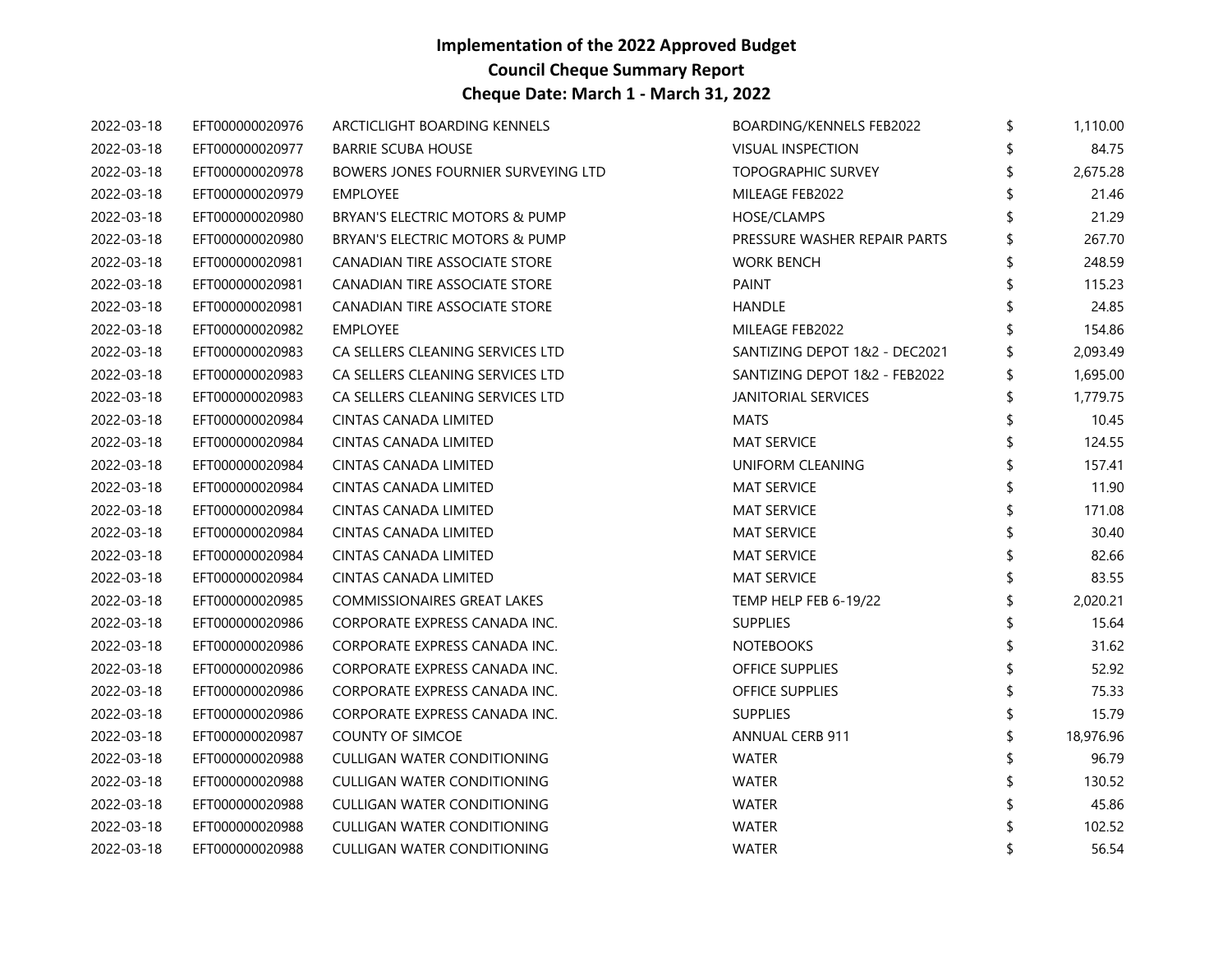| 2022-03-18 | EFT000000020976 | ARCTICLIGHT BOARDING KENNELS        | BOARDING/KENNELS FEB2022      | \$<br>1,110.00 |
|------------|-----------------|-------------------------------------|-------------------------------|----------------|
| 2022-03-18 | EFT000000020977 | <b>BARRIE SCUBA HOUSE</b>           | <b>VISUAL INSPECTION</b>      | 84.75          |
| 2022-03-18 | EFT000000020978 | BOWERS JONES FOURNIER SURVEYING LTD | <b>TOPOGRAPHIC SURVEY</b>     | 2,675.28       |
| 2022-03-18 | EFT000000020979 | <b>EMPLOYEE</b>                     | MILEAGE FEB2022               | 21.46          |
| 2022-03-18 | EFT000000020980 | BRYAN'S ELECTRIC MOTORS & PUMP      | HOSE/CLAMPS                   | 21.29          |
| 2022-03-18 | EFT000000020980 | BRYAN'S ELECTRIC MOTORS & PUMP      | PRESSURE WASHER REPAIR PARTS  | 267.70         |
| 2022-03-18 | EFT000000020981 | CANADIAN TIRE ASSOCIATE STORE       | <b>WORK BENCH</b>             | 248.59         |
| 2022-03-18 | EFT000000020981 | CANADIAN TIRE ASSOCIATE STORE       | PAINT                         | 115.23         |
| 2022-03-18 | EFT000000020981 | CANADIAN TIRE ASSOCIATE STORE       | <b>HANDLE</b>                 | 24.85          |
| 2022-03-18 | EFT000000020982 | <b>EMPLOYEE</b>                     | MILEAGE FEB2022               | 154.86         |
| 2022-03-18 | EFT000000020983 | CA SELLERS CLEANING SERVICES LTD    | SANTIZING DEPOT 1&2 - DEC2021 | 2,093.49       |
| 2022-03-18 | EFT000000020983 | CA SELLERS CLEANING SERVICES LTD    | SANTIZING DEPOT 1&2 - FEB2022 | \$<br>1,695.00 |
| 2022-03-18 | EFT000000020983 | CA SELLERS CLEANING SERVICES LTD    | <b>JANITORIAL SERVICES</b>    | 1,779.75       |
| 2022-03-18 | EFT000000020984 | CINTAS CANADA LIMITED               | <b>MATS</b>                   | 10.45          |
| 2022-03-18 | EFT000000020984 | CINTAS CANADA LIMITED               | <b>MAT SERVICE</b>            | 124.55         |
| 2022-03-18 | EFT000000020984 | CINTAS CANADA LIMITED               | UNIFORM CLEANING              | 157.41         |
| 2022-03-18 | EFT000000020984 | CINTAS CANADA LIMITED               | <b>MAT SERVICE</b>            | 11.90          |
| 2022-03-18 | EFT000000020984 | CINTAS CANADA LIMITED               | <b>MAT SERVICE</b>            | 171.08         |
| 2022-03-18 | EFT000000020984 | CINTAS CANADA LIMITED               | <b>MAT SERVICE</b>            | 30.40          |
| 2022-03-18 | EFT000000020984 | CINTAS CANADA LIMITED               | <b>MAT SERVICE</b>            | 82.66          |
| 2022-03-18 | EFT000000020984 | CINTAS CANADA LIMITED               | <b>MAT SERVICE</b>            | 83.55          |
| 2022-03-18 | EFT000000020985 | <b>COMMISSIONAIRES GREAT LAKES</b>  | TEMP HELP FEB 6-19/22         | 2,020.21       |
| 2022-03-18 | EFT000000020986 | CORPORATE EXPRESS CANADA INC.       | <b>SUPPLIES</b>               | \$<br>15.64    |
| 2022-03-18 | EFT000000020986 | CORPORATE EXPRESS CANADA INC.       | <b>NOTEBOOKS</b>              | 31.62          |
| 2022-03-18 | EFT000000020986 | CORPORATE EXPRESS CANADA INC.       | OFFICE SUPPLIES               | 52.92          |
| 2022-03-18 | EFT000000020986 | CORPORATE EXPRESS CANADA INC.       | OFFICE SUPPLIES               | \$<br>75.33    |
| 2022-03-18 | EFT000000020986 | CORPORATE EXPRESS CANADA INC.       | <b>SUPPLIES</b>               | 15.79          |
| 2022-03-18 | EFT000000020987 | <b>COUNTY OF SIMCOE</b>             | <b>ANNUAL CERB 911</b>        | 18,976.96      |
| 2022-03-18 | EFT000000020988 | CULLIGAN WATER CONDITIONING         | WATER                         | 96.79          |
| 2022-03-18 | EFT000000020988 | CULLIGAN WATER CONDITIONING         | WATER                         | 130.52         |
| 2022-03-18 | EFT000000020988 | CULLIGAN WATER CONDITIONING         | <b>WATER</b>                  | 45.86          |
| 2022-03-18 | EFT000000020988 | CULLIGAN WATER CONDITIONING         | <b>WATER</b>                  | 102.52         |
| 2022-03-18 | EFT000000020988 | CULLIGAN WATER CONDITIONING         | <b>WATER</b>                  | 56.54          |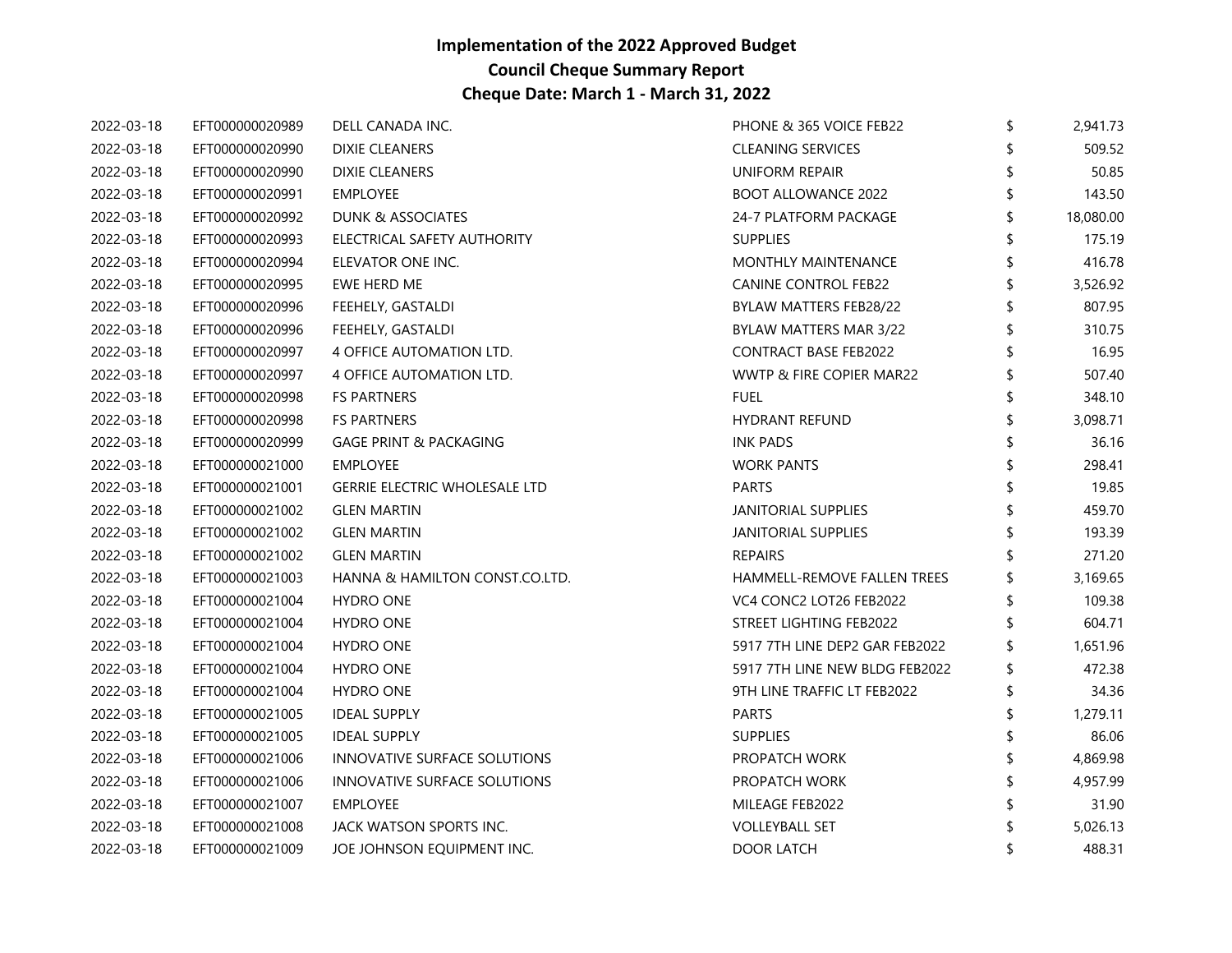| 2022-03-18 | EFT000000020989 | DELL CANADA INC.                     | PHONE & 365 VOICE FEB22        | \$<br>2,941.73  |
|------------|-----------------|--------------------------------------|--------------------------------|-----------------|
| 2022-03-18 | EFT000000020990 | <b>DIXIE CLEANERS</b>                | <b>CLEANING SERVICES</b>       | 509.52          |
| 2022-03-18 | EFT000000020990 | <b>DIXIE CLEANERS</b>                | UNIFORM REPAIR                 | 50.85           |
| 2022-03-18 | EFT000000020991 | <b>EMPLOYEE</b>                      | <b>BOOT ALLOWANCE 2022</b>     | 143.50          |
| 2022-03-18 | EFT000000020992 | DUNK & ASSOCIATES                    | 24-7 PLATFORM PACKAGE          | \$<br>18,080.00 |
| 2022-03-18 | EFT000000020993 | ELECTRICAL SAFETY AUTHORITY          | <b>SUPPLIES</b>                | 175.19          |
| 2022-03-18 | EFT000000020994 | ELEVATOR ONE INC.                    | MONTHLY MAINTENANCE            | 416.78          |
| 2022-03-18 | EFT000000020995 | EWE HERD ME                          | <b>CANINE CONTROL FEB22</b>    | 3,526.92        |
| 2022-03-18 | EFT000000020996 | FEEHELY, GASTALDI                    | BYLAW MATTERS FEB28/22         | \$<br>807.95    |
| 2022-03-18 | EFT000000020996 | FEEHELY, GASTALDI                    | BYLAW MATTERS MAR 3/22         | 310.75          |
| 2022-03-18 | EFT000000020997 | 4 OFFICE AUTOMATION LTD.             | <b>CONTRACT BASE FEB2022</b>   | 16.95           |
| 2022-03-18 | EFT000000020997 | 4 OFFICE AUTOMATION LTD.             | WWTP & FIRE COPIER MAR22       | 507.40          |
| 2022-03-18 | EFT000000020998 | <b>FS PARTNERS</b>                   | <b>FUEL</b>                    | 348.10          |
| 2022-03-18 | EFT000000020998 | <b>FS PARTNERS</b>                   | <b>HYDRANT REFUND</b>          | 3,098.71        |
| 2022-03-18 | EFT000000020999 | <b>GAGE PRINT &amp; PACKAGING</b>    | <b>INK PADS</b>                | 36.16           |
| 2022-03-18 | EFT000000021000 | EMPLOYEE                             | <b>WORK PANTS</b>              | 298.41          |
| 2022-03-18 | EFT000000021001 | <b>GERRIE ELECTRIC WHOLESALE LTD</b> | <b>PARTS</b>                   | 19.85           |
| 2022-03-18 | EFT000000021002 | <b>GLEN MARTIN</b>                   | <b>JANITORIAL SUPPLIES</b>     | 459.70          |
| 2022-03-18 | EFT000000021002 | <b>GLEN MARTIN</b>                   | <b>JANITORIAL SUPPLIES</b>     | 193.39          |
| 2022-03-18 | EFT000000021002 | <b>GLEN MARTIN</b>                   | <b>REPAIRS</b>                 | 271.20          |
| 2022-03-18 | EFT000000021003 | HANNA & HAMILTON CONST.CO.LTD.       | HAMMELL-REMOVE FALLEN TREES    | 3,169.65        |
| 2022-03-18 | EFT000000021004 | <b>HYDRO ONE</b>                     | VC4 CONC2 LOT26 FEB2022        | 109.38          |
| 2022-03-18 | EFT000000021004 | <b>HYDRO ONE</b>                     | STREET LIGHTING FEB2022        | 604.71          |
| 2022-03-18 | EFT000000021004 | <b>HYDRO ONE</b>                     | 5917 7TH LINE DEP2 GAR FEB2022 | 1,651.96        |
| 2022-03-18 | EFT000000021004 | <b>HYDRO ONE</b>                     | 5917 7TH LINE NEW BLDG FEB2022 | 472.38          |
| 2022-03-18 | EFT000000021004 | <b>HYDRO ONE</b>                     | 9TH LINE TRAFFIC LT FEB2022    | 34.36           |
| 2022-03-18 | EFT000000021005 | <b>IDEAL SUPPLY</b>                  | <b>PARTS</b>                   | 1,279.11        |
| 2022-03-18 | EFT000000021005 | <b>IDEAL SUPPLY</b>                  | <b>SUPPLIES</b>                | 86.06           |
| 2022-03-18 | EFT000000021006 | INNOVATIVE SURFACE SOLUTIONS         | PROPATCH WORK                  | 4,869.98        |
| 2022-03-18 | EFT000000021006 | INNOVATIVE SURFACE SOLUTIONS         | PROPATCH WORK                  | 4,957.99        |
| 2022-03-18 | EFT000000021007 | EMPLOYEE                             | MILEAGE FEB2022                | 31.90           |
| 2022-03-18 | EFT000000021008 | JACK WATSON SPORTS INC.              | <b>VOLLEYBALL SET</b>          | 5,026.13        |
| 2022-03-18 | EFT000000021009 | JOE JOHNSON EQUIPMENT INC.           | <b>DOOR LATCH</b>              | \$<br>488.31    |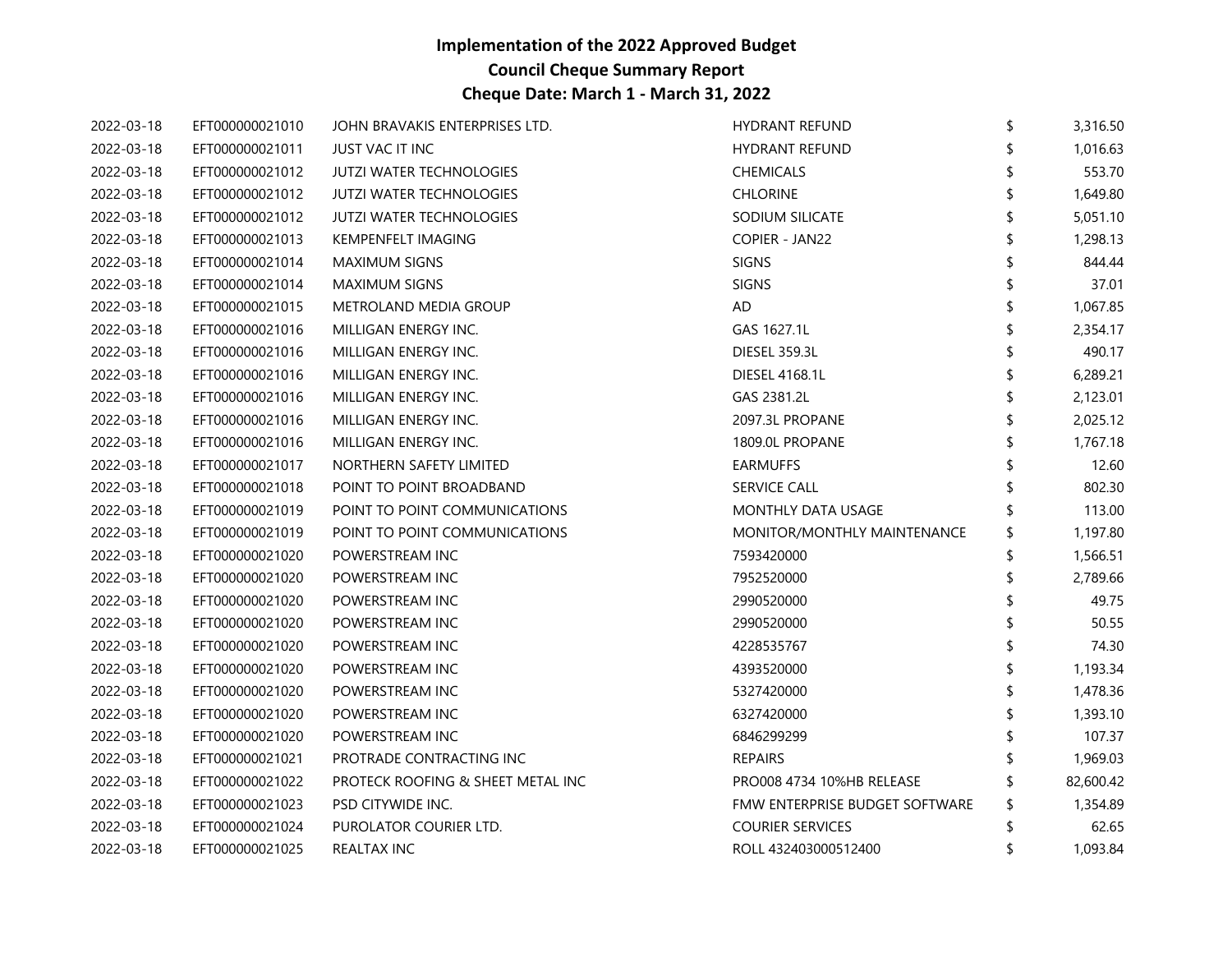| 2022-03-18 | EFT000000021010 | JOHN BRAVAKIS ENTERPRISES LTD.    | <b>HYDRANT REFUND</b>          | \$<br>3,316.50 |
|------------|-----------------|-----------------------------------|--------------------------------|----------------|
| 2022-03-18 | EFT000000021011 | JUST VAC IT INC                   | <b>HYDRANT REFUND</b>          | 1,016.63       |
| 2022-03-18 | EFT000000021012 | <b>JUTZI WATER TECHNOLOGIES</b>   | <b>CHEMICALS</b>               | 553.70         |
| 2022-03-18 | EFT000000021012 | <b>JUTZI WATER TECHNOLOGIES</b>   | <b>CHLORINE</b>                | 1,649.80       |
| 2022-03-18 | EFT000000021012 | <b>JUTZI WATER TECHNOLOGIES</b>   | SODIUM SILICATE                | \$<br>5,051.10 |
| 2022-03-18 | EFT000000021013 | <b>KEMPENFELT IMAGING</b>         | COPIER - JAN22                 | 1,298.13       |
| 2022-03-18 | EFT000000021014 | <b>MAXIMUM SIGNS</b>              | <b>SIGNS</b>                   | 844.44         |
| 2022-03-18 | EFT000000021014 | <b>MAXIMUM SIGNS</b>              | <b>SIGNS</b>                   | 37.01          |
| 2022-03-18 | EFT000000021015 | METROLAND MEDIA GROUP             | AD                             | \$<br>1,067.85 |
| 2022-03-18 | EFT000000021016 | MILLIGAN ENERGY INC.              | GAS 1627.1L                    | 2,354.17       |
| 2022-03-18 | EFT000000021016 | MILLIGAN ENERGY INC.              | DIESEL 359.3L                  | 490.17         |
| 2022-03-18 | EFT000000021016 | MILLIGAN ENERGY INC.              | DIESEL 4168.1L                 | \$<br>6,289.21 |
| 2022-03-18 | EFT000000021016 | MILLIGAN ENERGY INC.              | GAS 2381.2L                    | 2,123.01       |
| 2022-03-18 | EFT000000021016 | MILLIGAN ENERGY INC.              | 2097.3L PROPANE                | 2,025.12       |
| 2022-03-18 | EFT000000021016 | MILLIGAN ENERGY INC.              | 1809.0L PROPANE                | 1,767.18       |
| 2022-03-18 | EFT000000021017 | NORTHERN SAFETY LIMITED           | <b>EARMUFFS</b>                | 12.60          |
| 2022-03-18 | EFT000000021018 | POINT TO POINT BROADBAND          | SERVICE CALL                   | 802.30         |
| 2022-03-18 | EFT000000021019 | POINT TO POINT COMMUNICATIONS     | MONTHLY DATA USAGE             | 113.00         |
| 2022-03-18 | EFT000000021019 | POINT TO POINT COMMUNICATIONS     | MONITOR/MONTHLY MAINTENANCE    | \$<br>1,197.80 |
| 2022-03-18 | EFT000000021020 | POWERSTREAM INC                   | 7593420000                     | 1,566.51       |
| 2022-03-18 | EFT000000021020 | POWERSTREAM INC                   | 7952520000                     | 2,789.66       |
| 2022-03-18 | EFT000000021020 | POWERSTREAM INC                   | 2990520000                     | 49.75          |
| 2022-03-18 | EFT000000021020 | POWERSTREAM INC                   | 2990520000                     | 50.55          |
| 2022-03-18 | EFT000000021020 | POWERSTREAM INC                   | 4228535767                     | 74.30          |
| 2022-03-18 | EFT000000021020 | POWERSTREAM INC                   | 4393520000                     | 1,193.34       |
| 2022-03-18 | EFT000000021020 | POWERSTREAM INC                   | 5327420000                     | \$<br>1,478.36 |
| 2022-03-18 | EFT000000021020 | POWERSTREAM INC                   | 6327420000                     | 1,393.10       |
| 2022-03-18 | EFT000000021020 | POWERSTREAM INC                   | 6846299299                     | 107.37         |
| 2022-03-18 | EFT000000021021 | PROTRADE CONTRACTING INC          | <b>REPAIRS</b>                 | 1,969.03       |
| 2022-03-18 | EFT000000021022 | PROTECK ROOFING & SHEET METAL INC | PRO008 4734 10%HB RELEASE      | 82,600.42      |
| 2022-03-18 | EFT000000021023 | PSD CITYWIDE INC.                 | FMW ENTERPRISE BUDGET SOFTWARE | \$<br>1,354.89 |
| 2022-03-18 | EFT000000021024 | PUROLATOR COURIER LTD.            | <b>COURIER SERVICES</b>        | 62.65          |
| 2022-03-18 | EFT000000021025 | <b>REALTAX INC</b>                | ROLL 432403000512400           | \$<br>1,093.84 |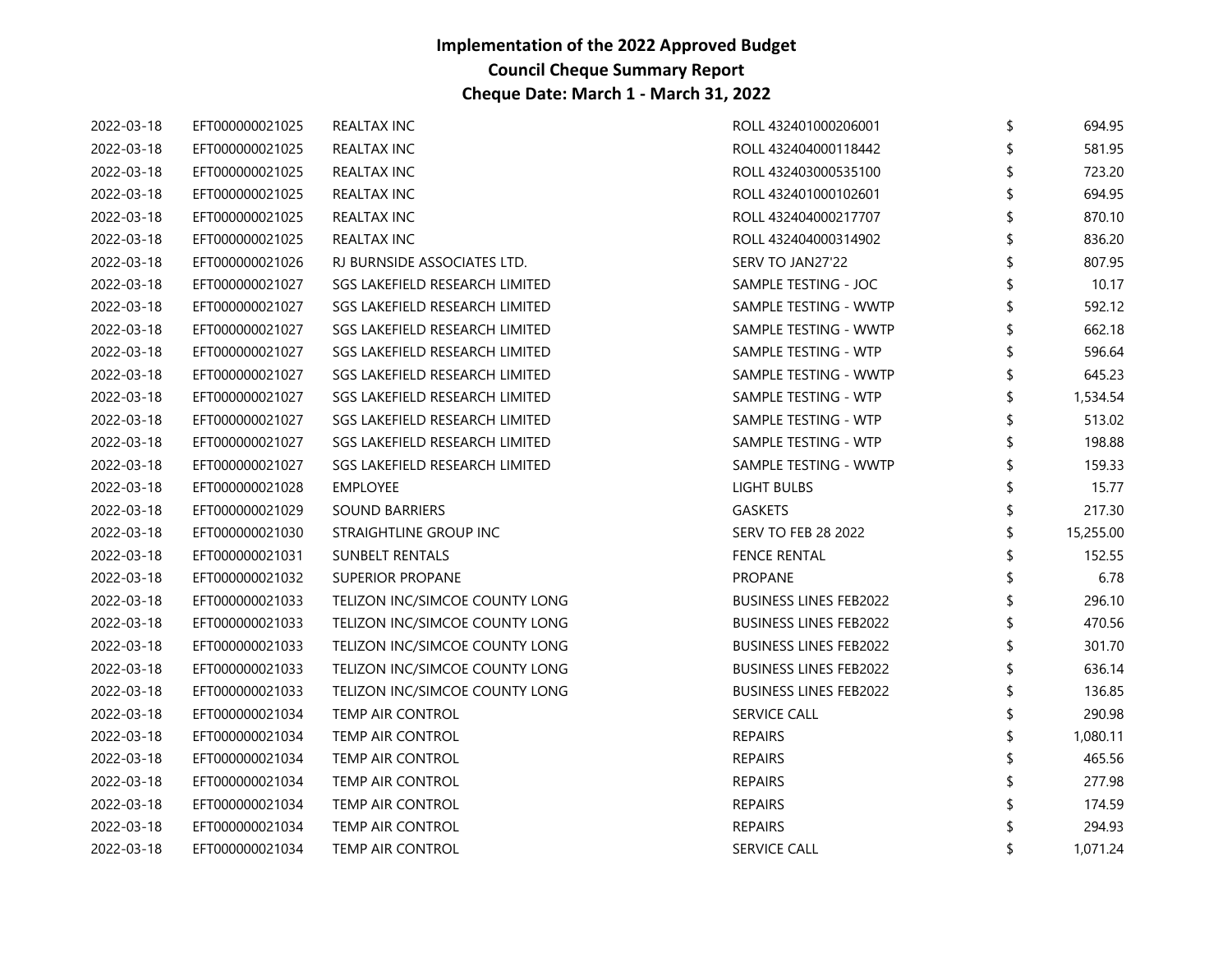| 2022-03-18 | EFT000000021025 | REALTAX INC                    | ROLL 432401000206001          | \$<br>694.95   |
|------------|-----------------|--------------------------------|-------------------------------|----------------|
| 2022-03-18 | EFT000000021025 | REALTAX INC                    | ROLL 432404000118442          | 581.95         |
| 2022-03-18 | EFT000000021025 | REALTAX INC                    | ROLL 432403000535100          | 723.20         |
| 2022-03-18 | EFT000000021025 | REALTAX INC                    | ROLL 432401000102601          | 694.95         |
| 2022-03-18 | EFT000000021025 | REALTAX INC                    | ROLL 432404000217707          | \$<br>870.10   |
| 2022-03-18 | EFT000000021025 | REALTAX INC                    | ROLL 432404000314902          | 836.20         |
| 2022-03-18 | EFT000000021026 | RJ BURNSIDE ASSOCIATES LTD.    | SERV TO JAN27'22              | 807.95         |
| 2022-03-18 | EFT000000021027 | SGS LAKEFIELD RESEARCH LIMITED | SAMPLE TESTING - JOC          | 10.17          |
| 2022-03-18 | EFT000000021027 | SGS LAKEFIELD RESEARCH LIMITED | SAMPLE TESTING - WWTP         | \$<br>592.12   |
| 2022-03-18 | EFT000000021027 | SGS LAKEFIELD RESEARCH LIMITED | SAMPLE TESTING - WWTP         | 662.18         |
| 2022-03-18 | EFT000000021027 | SGS LAKEFIELD RESEARCH LIMITED | SAMPLE TESTING - WTP          | 596.64         |
| 2022-03-18 | EFT000000021027 | SGS LAKEFIELD RESEARCH LIMITED | SAMPLE TESTING - WWTP         | \$<br>645.23   |
| 2022-03-18 | EFT000000021027 | SGS LAKEFIELD RESEARCH LIMITED | SAMPLE TESTING - WTP          | 1,534.54       |
| 2022-03-18 | EFT000000021027 | SGS LAKEFIELD RESEARCH LIMITED | SAMPLE TESTING - WTP          | 513.02         |
| 2022-03-18 | EFT000000021027 | SGS LAKEFIELD RESEARCH LIMITED | SAMPLE TESTING - WTP          | 198.88         |
| 2022-03-18 | EFT000000021027 | SGS LAKEFIELD RESEARCH LIMITED | SAMPLE TESTING - WWTP         | 159.33         |
| 2022-03-18 | EFT000000021028 | <b>EMPLOYEE</b>                | LIGHT BULBS                   | 15.77          |
| 2022-03-18 | EFT000000021029 | <b>SOUND BARRIERS</b>          | GASKETS                       | 217.30         |
| 2022-03-18 | EFT000000021030 | STRAIGHTLINE GROUP INC         | <b>SERV TO FEB 28 2022</b>    | 15,255.00      |
| 2022-03-18 | EFT000000021031 | <b>SUNBELT RENTALS</b>         | <b>FENCE RENTAL</b>           | 152.55         |
| 2022-03-18 | EFT000000021032 | <b>SUPERIOR PROPANE</b>        | <b>PROPANE</b>                | 6.78           |
| 2022-03-18 | EFT000000021033 | TELIZON INC/SIMCOE COUNTY LONG | <b>BUSINESS LINES FEB2022</b> | 296.10         |
| 2022-03-18 | EFT000000021033 | TELIZON INC/SIMCOE COUNTY LONG | <b>BUSINESS LINES FEB2022</b> | 470.56         |
| 2022-03-18 | EFT000000021033 | TELIZON INC/SIMCOE COUNTY LONG | <b>BUSINESS LINES FEB2022</b> | 301.70         |
| 2022-03-18 | EFT000000021033 | TELIZON INC/SIMCOE COUNTY LONG | <b>BUSINESS LINES FEB2022</b> | 636.14         |
| 2022-03-18 | EFT000000021033 | TELIZON INC/SIMCOE COUNTY LONG | <b>BUSINESS LINES FEB2022</b> | \$<br>136.85   |
| 2022-03-18 | EFT000000021034 | TEMP AIR CONTROL               | <b>SERVICE CALL</b>           | 290.98         |
| 2022-03-18 | EFT000000021034 | <b>TEMP AIR CONTROL</b>        | <b>REPAIRS</b>                | 1,080.11       |
| 2022-03-18 | EFT000000021034 | TEMP AIR CONTROL               | <b>REPAIRS</b>                | 465.56         |
| 2022-03-18 | EFT000000021034 | TEMP AIR CONTROL               | <b>REPAIRS</b>                | 277.98         |
| 2022-03-18 | EFT000000021034 | TEMP AIR CONTROL               | <b>REPAIRS</b>                | 174.59         |
| 2022-03-18 | EFT000000021034 | <b>TEMP AIR CONTROL</b>        | <b>REPAIRS</b>                | 294.93         |
| 2022-03-18 | EFT000000021034 | <b>TEMP AIR CONTROL</b>        | <b>SERVICE CALL</b>           | \$<br>1,071.24 |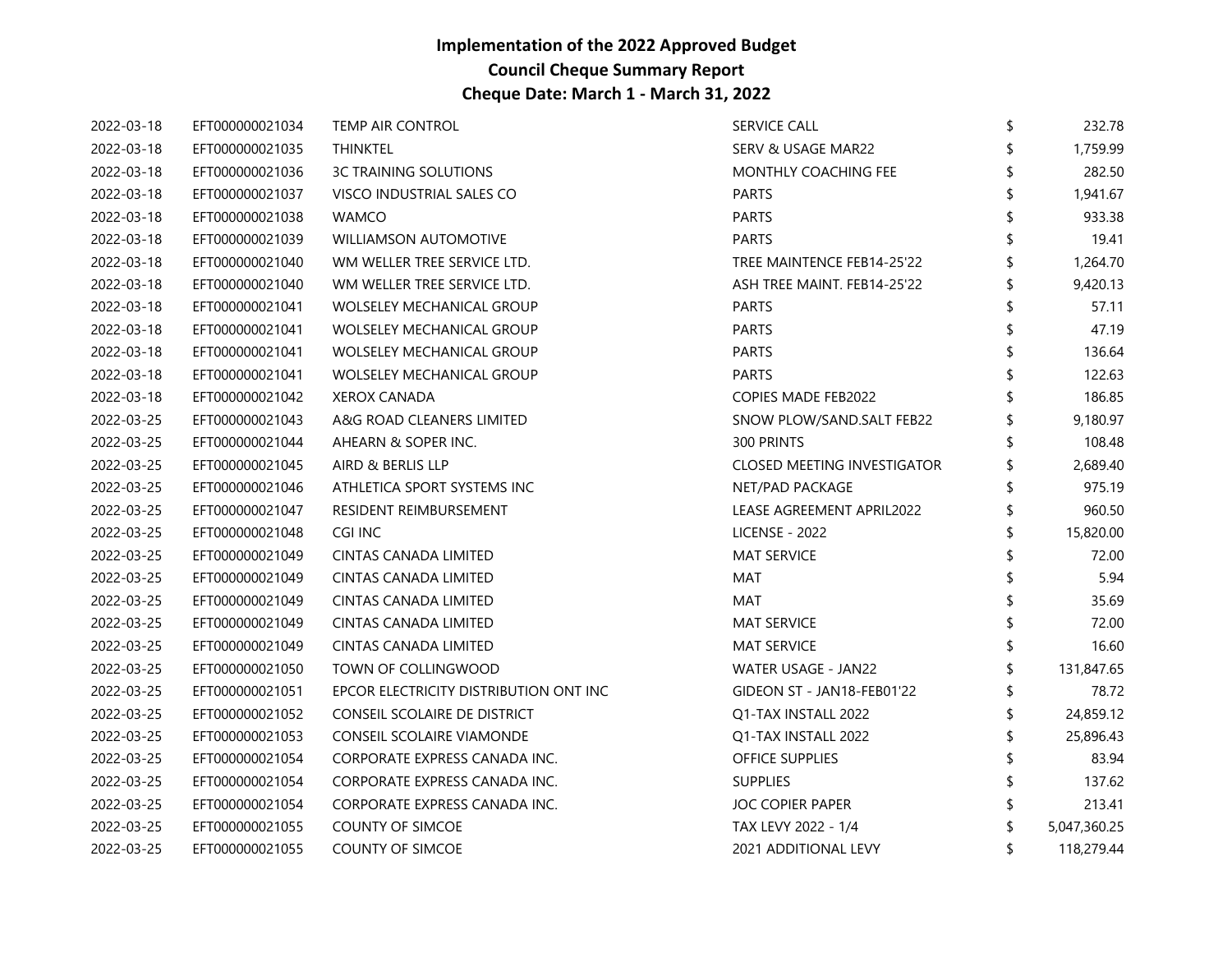| 2022-03-18 | EFT000000021034 | TEMP AIR CONTROL                       | <b>SERVICE CALL</b>                | \$<br>232.78     |
|------------|-----------------|----------------------------------------|------------------------------------|------------------|
| 2022-03-18 | EFT000000021035 | <b>THINKTEL</b>                        | SERV & USAGE MAR22                 | \$<br>1,759.99   |
| 2022-03-18 | EFT000000021036 | <b>3C TRAINING SOLUTIONS</b>           | <b>MONTHLY COACHING FEE</b>        | 282.50           |
| 2022-03-18 | EFT000000021037 | VISCO INDUSTRIAL SALES CO              | <b>PARTS</b>                       | 1,941.67         |
| 2022-03-18 | EFT000000021038 | <b>WAMCO</b>                           | <b>PARTS</b>                       | \$<br>933.38     |
| 2022-03-18 | EFT000000021039 | <b>WILLIAMSON AUTOMOTIVE</b>           | <b>PARTS</b>                       | 19.41            |
| 2022-03-18 | EFT000000021040 | WM WELLER TREE SERVICE LTD.            | TREE MAINTENCE FEB14-25'22         | 1,264.70         |
| 2022-03-18 | EFT000000021040 | WM WELLER TREE SERVICE LTD.            | ASH TREE MAINT. FEB14-25'22        | 9,420.13         |
| 2022-03-18 | EFT000000021041 | <b>WOLSELEY MECHANICAL GROUP</b>       | <b>PARTS</b>                       | 57.11            |
| 2022-03-18 | EFT000000021041 | <b>WOLSELEY MECHANICAL GROUP</b>       | <b>PARTS</b>                       | 47.19            |
| 2022-03-18 | EFT000000021041 | <b>WOLSELEY MECHANICAL GROUP</b>       | <b>PARTS</b>                       | 136.64           |
| 2022-03-18 | EFT000000021041 | <b>WOLSELEY MECHANICAL GROUP</b>       | <b>PARTS</b>                       | 122.63           |
| 2022-03-18 | EFT000000021042 | <b>XEROX CANADA</b>                    | <b>COPIES MADE FEB2022</b>         | 186.85           |
| 2022-03-25 | EFT000000021043 | A&G ROAD CLEANERS LIMITED              | SNOW PLOW/SAND.SALT FEB22          | 9,180.97         |
| 2022-03-25 | EFT000000021044 | AHEARN & SOPER INC.                    | 300 PRINTS                         | 108.48           |
| 2022-03-25 | EFT000000021045 | AIRD & BERLIS LLP                      | <b>CLOSED MEETING INVESTIGATOR</b> | 2,689.40         |
| 2022-03-25 | EFT000000021046 | ATHLETICA SPORT SYSTEMS INC            | NET/PAD PACKAGE                    | 975.19           |
| 2022-03-25 | EFT000000021047 | RESIDENT REIMBURSEMENT                 | LEASE AGREEMENT APRIL2022          | 960.50           |
| 2022-03-25 | EFT000000021048 | CGI INC                                | <b>LICENSE - 2022</b>              | \$<br>15,820.00  |
| 2022-03-25 | EFT000000021049 | CINTAS CANADA LIMITED                  | <b>MAT SERVICE</b>                 | 72.00            |
| 2022-03-25 | EFT000000021049 | CINTAS CANADA LIMITED                  | MAT                                | 5.94             |
| 2022-03-25 | EFT000000021049 | CINTAS CANADA LIMITED                  | MAT                                | 35.69            |
| 2022-03-25 | EFT000000021049 | CINTAS CANADA LIMITED                  | <b>MAT SERVICE</b>                 | 72.00            |
| 2022-03-25 | EFT000000021049 | CINTAS CANADA LIMITED                  | <b>MAT SERVICE</b>                 | 16.60            |
| 2022-03-25 | EFT000000021050 | TOWN OF COLLINGWOOD                    | WATER USAGE - JAN22                | 131,847.65       |
| 2022-03-25 | EFT000000021051 | EPCOR ELECTRICITY DISTRIBUTION ONT INC | GIDEON ST - JAN18-FEB01'22         | \$<br>78.72      |
| 2022-03-25 | EFT000000021052 | CONSEIL SCOLAIRE DE DISTRICT           | Q1-TAX INSTALL 2022                | 24,859.12        |
| 2022-03-25 | EFT000000021053 | CONSEIL SCOLAIRE VIAMONDE              | Q1-TAX INSTALL 2022                | 25,896.43        |
| 2022-03-25 | EFT000000021054 | CORPORATE EXPRESS CANADA INC.          | OFFICE SUPPLIES                    | 83.94            |
| 2022-03-25 | EFT000000021054 | CORPORATE EXPRESS CANADA INC.          | <b>SUPPLIES</b>                    | 137.62           |
| 2022-03-25 | EFT000000021054 | CORPORATE EXPRESS CANADA INC.          | <b>JOC COPIER PAPER</b>            | 213.41           |
| 2022-03-25 | EFT000000021055 | <b>COUNTY OF SIMCOE</b>                | TAX LEVY 2022 - 1/4                | 5,047,360.25     |
| 2022-03-25 | EFT000000021055 | <b>COUNTY OF SIMCOE</b>                | 2021 ADDITIONAL LEVY               | \$<br>118,279.44 |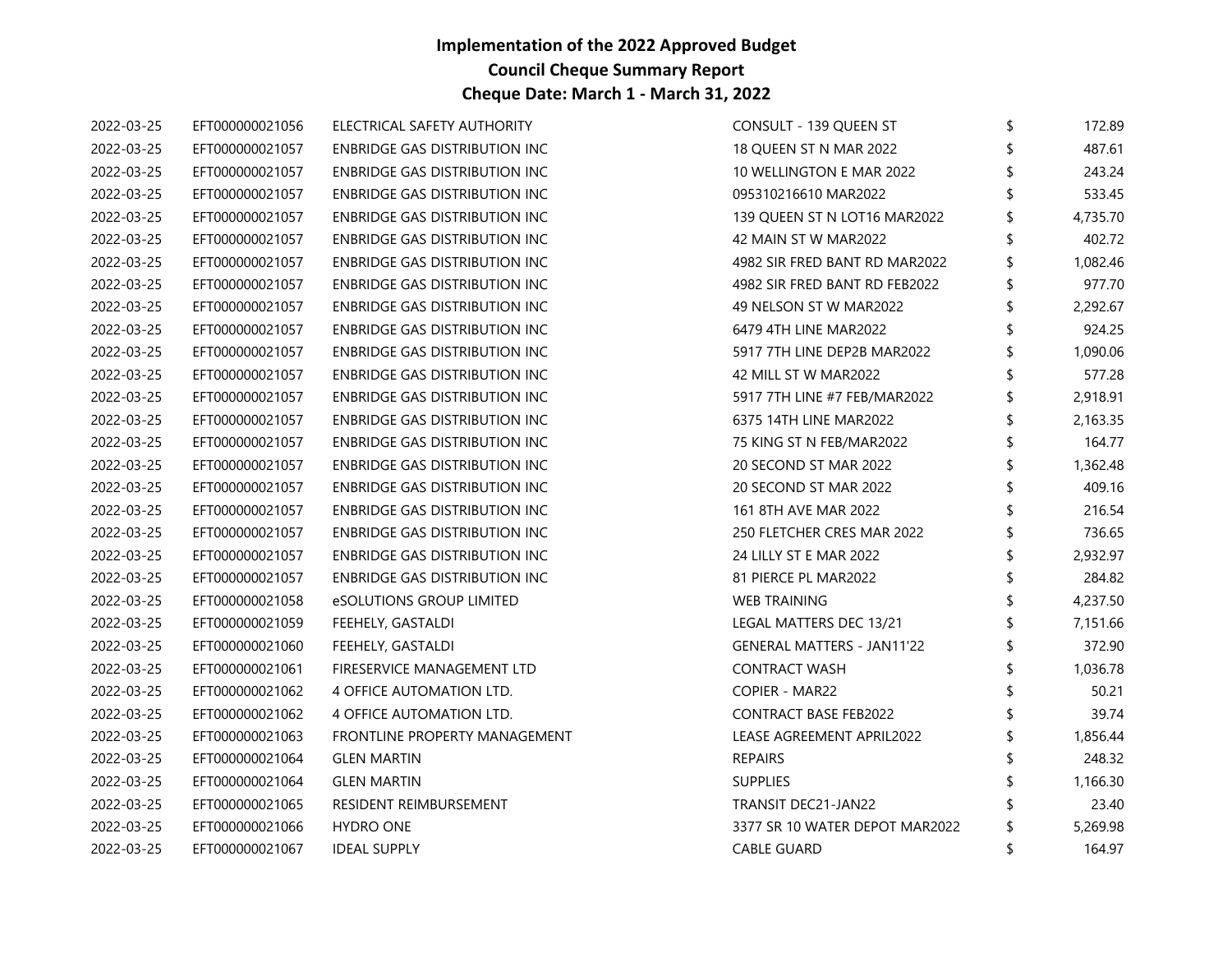| 2022-03-25 | EFT000000021056 | ELECTRICAL SAFETY AUTHORITY          | CONSULT - 139 QUEEN ST            | \$<br>172.89   |
|------------|-----------------|--------------------------------------|-----------------------------------|----------------|
| 2022-03-25 | EFT000000021057 | ENBRIDGE GAS DISTRIBUTION INC        | 18 QUEEN ST N MAR 2022            | 487.61         |
| 2022-03-25 | EFT000000021057 | ENBRIDGE GAS DISTRIBUTION INC        | 10 WELLINGTON E MAR 2022          | 243.24         |
| 2022-03-25 | EFT000000021057 | ENBRIDGE GAS DISTRIBUTION INC        | 095310216610 MAR2022              | 533.45         |
| 2022-03-25 | EFT000000021057 | ENBRIDGE GAS DISTRIBUTION INC        | 139 QUEEN ST N LOT16 MAR2022      | \$<br>4,735.70 |
| 2022-03-25 | EFT000000021057 | ENBRIDGE GAS DISTRIBUTION INC        | 42 MAIN ST W MAR2022              | 402.72         |
| 2022-03-25 | EFT000000021057 | ENBRIDGE GAS DISTRIBUTION INC        | 4982 SIR FRED BANT RD MAR2022     | 1,082.46       |
| 2022-03-25 | EFT000000021057 | ENBRIDGE GAS DISTRIBUTION INC        | 4982 SIR FRED BANT RD FEB2022     | 977.70         |
| 2022-03-25 | EFT000000021057 | ENBRIDGE GAS DISTRIBUTION INC        | 49 NELSON ST W MAR2022            | 2,292.67       |
| 2022-03-25 | EFT000000021057 | <b>ENBRIDGE GAS DISTRIBUTION INC</b> | 6479 4TH LINE MAR2022             | 924.25         |
| 2022-03-25 | EFT000000021057 | ENBRIDGE GAS DISTRIBUTION INC        | 5917 7TH LINE DEP2B MAR2022       | 1,090.06       |
| 2022-03-25 | EFT000000021057 | ENBRIDGE GAS DISTRIBUTION INC        | 42 MILL ST W MAR2022              | \$<br>577.28   |
| 2022-03-25 | EFT000000021057 | ENBRIDGE GAS DISTRIBUTION INC        | 5917 7TH LINE #7 FEB/MAR2022      | 2,918.91       |
| 2022-03-25 | EFT000000021057 | ENBRIDGE GAS DISTRIBUTION INC        | 6375 14TH LINE MAR2022            | 2,163.35       |
| 2022-03-25 | EFT000000021057 | ENBRIDGE GAS DISTRIBUTION INC        | 75 KING ST N FEB/MAR2022          | \$<br>164.77   |
| 2022-03-25 | EFT000000021057 | ENBRIDGE GAS DISTRIBUTION INC        | 20 SECOND ST MAR 2022             | \$<br>1,362.48 |
| 2022-03-25 | EFT000000021057 | ENBRIDGE GAS DISTRIBUTION INC        | 20 SECOND ST MAR 2022             | 409.16         |
| 2022-03-25 | EFT000000021057 | ENBRIDGE GAS DISTRIBUTION INC        | 161 8TH AVE MAR 2022              | 216.54         |
| 2022-03-25 | EFT000000021057 | ENBRIDGE GAS DISTRIBUTION INC        | 250 FLETCHER CRES MAR 2022        | \$<br>736.65   |
| 2022-03-25 | EFT000000021057 | ENBRIDGE GAS DISTRIBUTION INC        | 24 LILLY ST E MAR 2022            | 2,932.97       |
| 2022-03-25 | EFT000000021057 | ENBRIDGE GAS DISTRIBUTION INC        | 81 PIERCE PL MAR2022              | 284.82         |
| 2022-03-25 | EFT000000021058 | eSOLUTIONS GROUP LIMITED             | <b>WEB TRAINING</b>               | \$<br>4,237.50 |
| 2022-03-25 | EFT000000021059 | FEEHELY, GASTALDI                    | LEGAL MATTERS DEC 13/21           | 7,151.66       |
| 2022-03-25 | EFT000000021060 | FEEHELY, GASTALDI                    | <b>GENERAL MATTERS - JAN11'22</b> | \$<br>372.90   |
| 2022-03-25 | EFT000000021061 | FIRESERVICE MANAGEMENT LTD           | <b>CONTRACT WASH</b>              | 1,036.78       |
| 2022-03-25 | EFT000000021062 | 4 OFFICE AUTOMATION LTD.             | COPIER - MAR22                    | \$<br>50.21    |
| 2022-03-25 | EFT000000021062 | <b>4 OFFICE AUTOMATION LTD.</b>      | <b>CONTRACT BASE FEB2022</b>      | 39.74          |
| 2022-03-25 | EFT000000021063 | FRONTLINE PROPERTY MANAGEMENT        | LEASE AGREEMENT APRIL2022         | 1,856.44       |
| 2022-03-25 | EFT000000021064 | <b>GLEN MARTIN</b>                   | <b>REPAIRS</b>                    | 248.32         |
| 2022-03-25 | EFT000000021064 | <b>GLEN MARTIN</b>                   | <b>SUPPLIES</b>                   | 1,166.30       |
| 2022-03-25 | EFT000000021065 | RESIDENT REIMBURSEMENT               | TRANSIT DEC21-JAN22               | 23.40          |
| 2022-03-25 | EFT000000021066 | <b>HYDRO ONE</b>                     | 3377 SR 10 WATER DEPOT MAR2022    | 5,269.98       |
| 2022-03-25 | EFT000000021067 | <b>IDEAL SUPPLY</b>                  | <b>CABLE GUARD</b>                | \$<br>164.97   |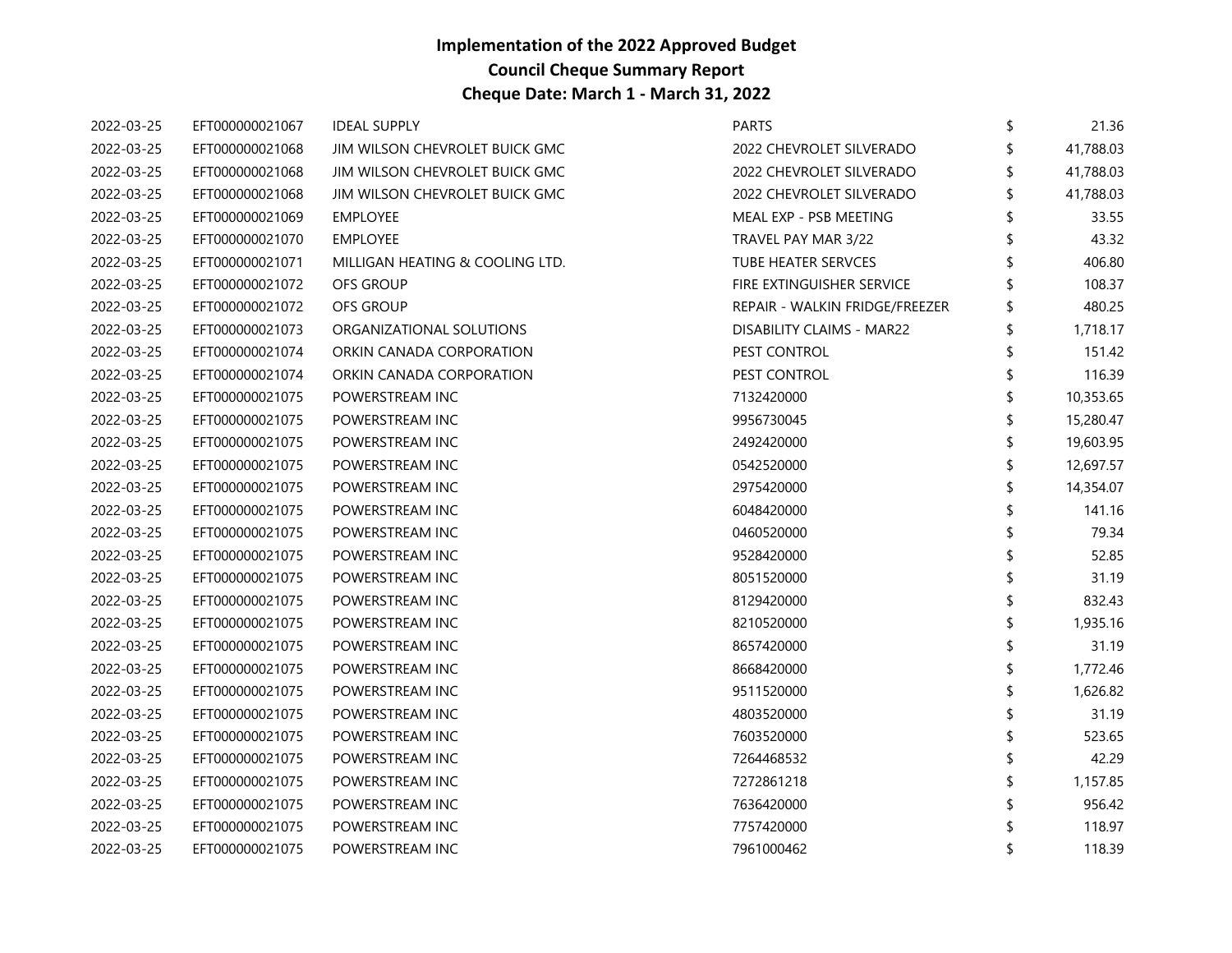| 2022-03-25 | EFT000000021067 | <b>IDEAL SUPPLY</b>             | <b>PARTS</b>                     | \$ | 21.36     |
|------------|-----------------|---------------------------------|----------------------------------|----|-----------|
| 2022-03-25 | EFT000000021068 | JIM WILSON CHEVROLET BUICK GMC  | 2022 CHEVROLET SILVERADO         |    | 41,788.03 |
| 2022-03-25 | EFT000000021068 | JIM WILSON CHEVROLET BUICK GMC  | 2022 CHEVROLET SILVERADO         | \$ | 41,788.03 |
| 2022-03-25 | EFT000000021068 | JIM WILSON CHEVROLET BUICK GMC  | 2022 CHEVROLET SILVERADO         | \$ | 41,788.03 |
| 2022-03-25 | EFT000000021069 | <b>EMPLOYEE</b>                 | MEAL EXP - PSB MEETING           | \$ | 33.55     |
| 2022-03-25 | EFT000000021070 | <b>EMPLOYEE</b>                 | TRAVEL PAY MAR 3/22              |    | 43.32     |
| 2022-03-25 | EFT000000021071 | MILLIGAN HEATING & COOLING LTD. | TUBE HEATER SERVCES              |    | 406.80    |
| 2022-03-25 | EFT000000021072 | OFS GROUP                       | FIRE EXTINGUISHER SERVICE        |    | 108.37    |
| 2022-03-25 | EFT000000021072 | OFS GROUP                       | REPAIR - WALKIN FRIDGE/FREEZER   |    | 480.25    |
| 2022-03-25 | EFT000000021073 | ORGANIZATIONAL SOLUTIONS        | <b>DISABILITY CLAIMS - MAR22</b> |    | 1,718.17  |
| 2022-03-25 | EFT000000021074 | ORKIN CANADA CORPORATION        | PEST CONTROL                     |    | 151.42    |
| 2022-03-25 | EFT000000021074 | ORKIN CANADA CORPORATION        | PEST CONTROL                     | \$ | 116.39    |
| 2022-03-25 | EFT000000021075 | POWERSTREAM INC                 | 7132420000                       |    | 10,353.65 |
| 2022-03-25 | EFT000000021075 | POWERSTREAM INC                 | 9956730045                       |    | 15,280.47 |
| 2022-03-25 | EFT000000021075 | POWERSTREAM INC                 | 2492420000                       |    | 19,603.95 |
| 2022-03-25 | EFT000000021075 | POWERSTREAM INC                 | 0542520000                       | \$ | 12,697.57 |
| 2022-03-25 | EFT000000021075 | POWERSTREAM INC                 | 2975420000                       |    | 14,354.07 |
| 2022-03-25 | EFT000000021075 | POWERSTREAM INC                 | 6048420000                       |    | 141.16    |
| 2022-03-25 | EFT000000021075 | POWERSTREAM INC                 | 0460520000                       |    | 79.34     |
| 2022-03-25 | EFT000000021075 | POWERSTREAM INC                 | 9528420000                       |    | 52.85     |
| 2022-03-25 | EFT000000021075 | POWERSTREAM INC                 | 8051520000                       |    | 31.19     |
| 2022-03-25 | EFT000000021075 | POWERSTREAM INC                 | 8129420000                       |    | 832.43    |
| 2022-03-25 | EFT000000021075 | POWERSTREAM INC                 | 8210520000                       | S  | 1,935.16  |
| 2022-03-25 | EFT000000021075 | POWERSTREAM INC                 | 8657420000                       |    | 31.19     |
| 2022-03-25 | EFT000000021075 | POWERSTREAM INC                 | 8668420000                       |    | 1,772.46  |
| 2022-03-25 | EFT000000021075 | POWERSTREAM INC                 | 9511520000                       |    | 1,626.82  |
| 2022-03-25 | EFT000000021075 | POWERSTREAM INC                 | 4803520000                       |    | 31.19     |
| 2022-03-25 | EFT000000021075 | POWERSTREAM INC                 | 7603520000                       |    | 523.65    |
| 2022-03-25 | EFT000000021075 | POWERSTREAM INC                 | 7264468532                       |    | 42.29     |
| 2022-03-25 | EFT000000021075 | POWERSTREAM INC                 | 7272861218                       |    | 1,157.85  |
| 2022-03-25 | EFT000000021075 | POWERSTREAM INC                 | 7636420000                       |    | 956.42    |
| 2022-03-25 | EFT000000021075 | POWERSTREAM INC                 | 7757420000                       |    | 118.97    |
| 2022-03-25 | EFT000000021075 | POWERSTREAM INC                 | 7961000462                       |    | 118.39    |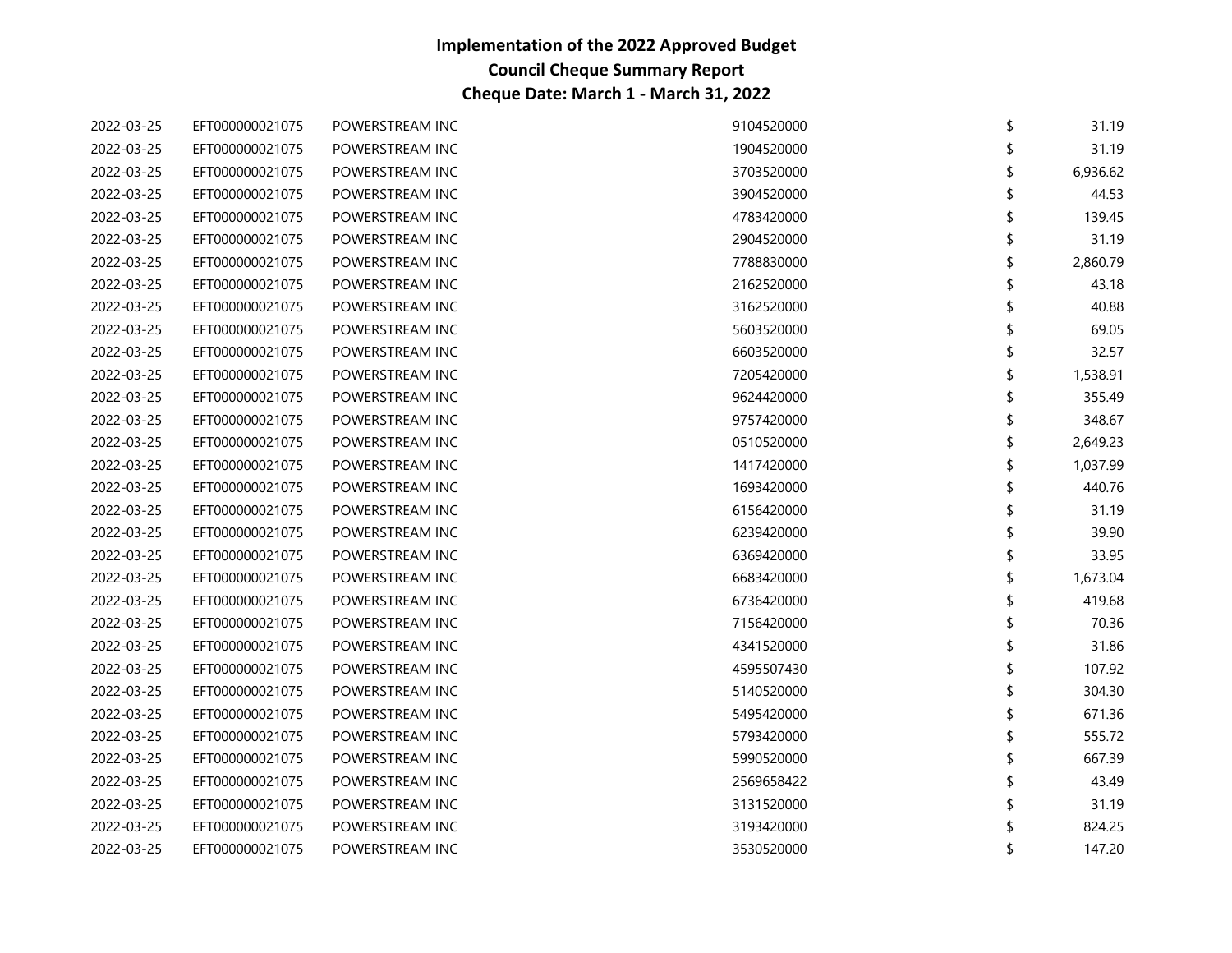| 2022-03-25 | EFT000000021075 | POWERSTREAM INC | 9104520000 | \$<br>31.19  |
|------------|-----------------|-----------------|------------|--------------|
| 2022-03-25 | EFT000000021075 | POWERSTREAM INC | 1904520000 | 31.19        |
| 2022-03-25 | EFT000000021075 | POWERSTREAM INC | 3703520000 | 6,936.62     |
| 2022-03-25 | EFT000000021075 | POWERSTREAM INC | 3904520000 | 44.53        |
| 2022-03-25 | EFT000000021075 | POWERSTREAM INC | 4783420000 | 139.45       |
| 2022-03-25 | EFT000000021075 | POWERSTREAM INC | 2904520000 | 31.19        |
| 2022-03-25 | EFT000000021075 | POWERSTREAM INC | 7788830000 | 2,860.79     |
| 2022-03-25 | EFT000000021075 | POWERSTREAM INC | 2162520000 | 43.18        |
| 2022-03-25 | EFT000000021075 | POWERSTREAM INC | 3162520000 | 40.88        |
| 2022-03-25 | EFT000000021075 | POWERSTREAM INC | 5603520000 | 69.05        |
| 2022-03-25 | EFT000000021075 | POWERSTREAM INC | 6603520000 | 32.57        |
| 2022-03-25 | EFT000000021075 | POWERSTREAM INC | 7205420000 | 1,538.91     |
| 2022-03-25 | EFT000000021075 | POWERSTREAM INC | 9624420000 | 355.49       |
| 2022-03-25 | EFT000000021075 | POWERSTREAM INC | 9757420000 | 348.67       |
| 2022-03-25 | EFT000000021075 | POWERSTREAM INC | 0510520000 | 2,649.23     |
| 2022-03-25 | EFT000000021075 | POWERSTREAM INC | 1417420000 | 1,037.99     |
| 2022-03-25 | EFT000000021075 | POWERSTREAM INC | 1693420000 | 440.76       |
| 2022-03-25 | EFT000000021075 | POWERSTREAM INC | 6156420000 | 31.19        |
| 2022-03-25 | EFT000000021075 | POWERSTREAM INC | 6239420000 | 39.90        |
| 2022-03-25 | EFT000000021075 | POWERSTREAM INC | 6369420000 | 33.95        |
| 2022-03-25 | EFT000000021075 | POWERSTREAM INC | 6683420000 | 1,673.04     |
| 2022-03-25 | EFT000000021075 | POWERSTREAM INC | 6736420000 | 419.68       |
| 2022-03-25 | EFT000000021075 | POWERSTREAM INC | 7156420000 | 70.36        |
| 2022-03-25 | EFT000000021075 | POWERSTREAM INC | 4341520000 | 31.86        |
| 2022-03-25 | EFT000000021075 | POWERSTREAM INC | 4595507430 | 107.92       |
| 2022-03-25 | EFT000000021075 | POWERSTREAM INC | 5140520000 | \$<br>304.30 |
| 2022-03-25 | EFT000000021075 | POWERSTREAM INC | 5495420000 | 671.36       |
| 2022-03-25 | EFT000000021075 | POWERSTREAM INC | 5793420000 | 555.72       |
| 2022-03-25 | EFT000000021075 | POWERSTREAM INC | 5990520000 | 667.39       |
| 2022-03-25 | EFT000000021075 | POWERSTREAM INC | 2569658422 | 43.49        |
| 2022-03-25 | EFT000000021075 | POWERSTREAM INC | 3131520000 | 31.19        |
| 2022-03-25 | EFT000000021075 | POWERSTREAM INC | 3193420000 | 824.25       |
| 2022-03-25 | EFT000000021075 | POWERSTREAM INC | 3530520000 | 147.20       |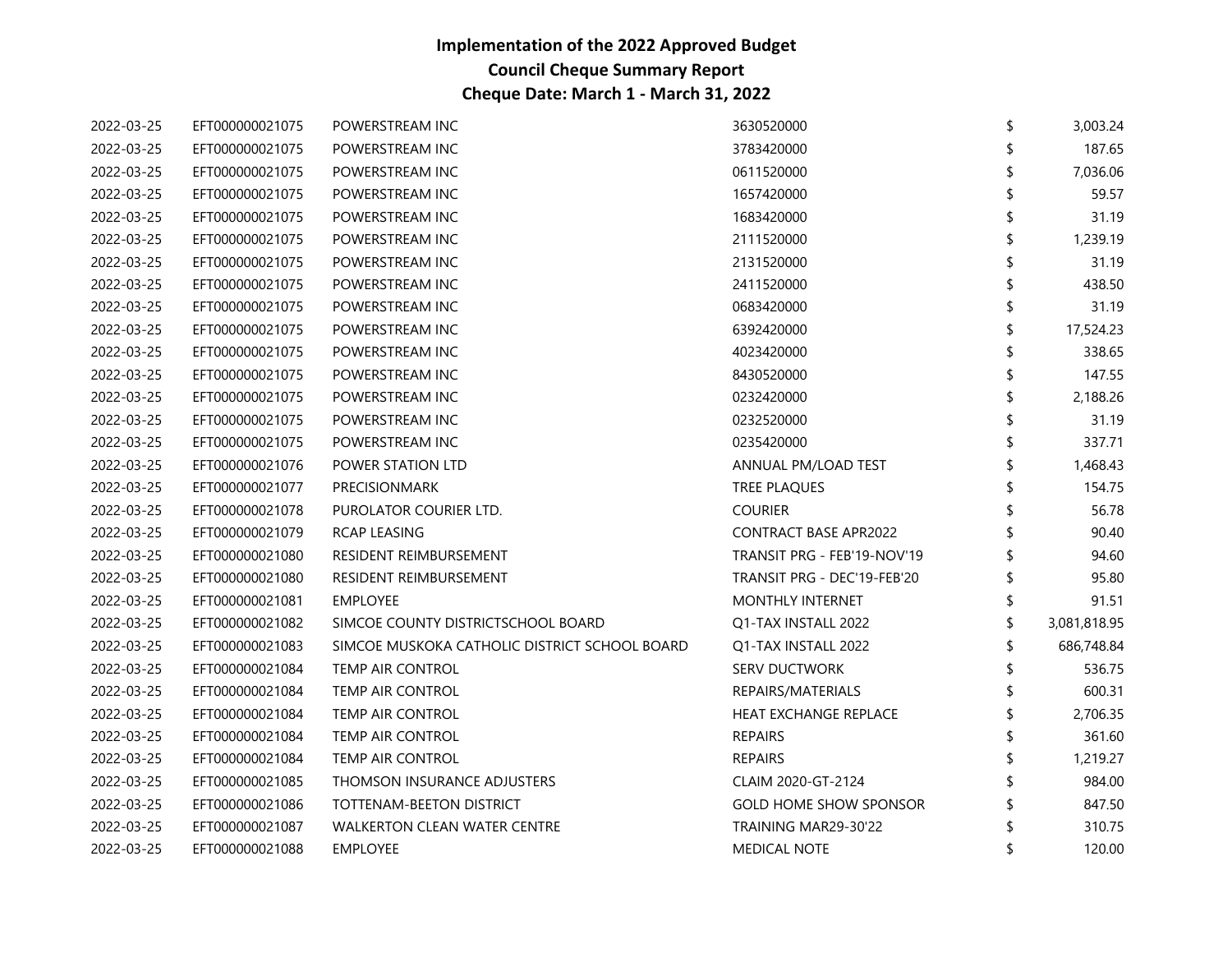| 2022-03-25 | EFT000000021075 | POWERSTREAM INC                               | 3630520000                    | \$<br>3,003.24 |
|------------|-----------------|-----------------------------------------------|-------------------------------|----------------|
| 2022-03-25 | EFT000000021075 | POWERSTREAM INC                               | 3783420000                    | 187.65         |
| 2022-03-25 | EFT000000021075 | POWERSTREAM INC                               | 0611520000                    | 7,036.06       |
| 2022-03-25 | EFT000000021075 | POWERSTREAM INC                               | 1657420000                    | 59.57          |
| 2022-03-25 | EFT000000021075 | POWERSTREAM INC                               | 1683420000                    | 31.19          |
| 2022-03-25 | EFT000000021075 | POWERSTREAM INC                               | 2111520000                    | 1,239.19       |
| 2022-03-25 | EFT000000021075 | POWERSTREAM INC                               | 2131520000                    | 31.19          |
| 2022-03-25 | EFT000000021075 | POWERSTREAM INC                               | 2411520000                    | 438.50         |
| 2022-03-25 | EFT000000021075 | POWERSTREAM INC                               | 0683420000                    | 31.19          |
| 2022-03-25 | EFT000000021075 | POWERSTREAM INC                               | 6392420000                    | 17,524.23      |
| 2022-03-25 | EFT000000021075 | POWERSTREAM INC                               | 4023420000                    | 338.65         |
| 2022-03-25 | EFT000000021075 | POWERSTREAM INC                               | 8430520000                    | \$<br>147.55   |
| 2022-03-25 | EFT000000021075 | POWERSTREAM INC                               | 0232420000                    | 2,188.26       |
| 2022-03-25 | EFT000000021075 | POWERSTREAM INC                               | 0232520000                    | 31.19          |
| 2022-03-25 | EFT000000021075 | POWERSTREAM INC                               | 0235420000                    | 337.71         |
| 2022-03-25 | EFT000000021076 | POWER STATION LTD                             | ANNUAL PM/LOAD TEST           | 1,468.43       |
| 2022-03-25 | EFT000000021077 | <b>PRECISIONMARK</b>                          | TREE PLAQUES                  | 154.75         |
| 2022-03-25 | EFT000000021078 | PUROLATOR COURIER LTD.                        | <b>COURIER</b>                | 56.78          |
| 2022-03-25 | EFT000000021079 | RCAP LEASING                                  | <b>CONTRACT BASE APR2022</b>  | 90.40          |
| 2022-03-25 | EFT000000021080 | RESIDENT REIMBURSEMENT                        | TRANSIT PRG - FEB'19-NOV'19   | 94.60          |
| 2022-03-25 | EFT000000021080 | RESIDENT REIMBURSEMENT                        | TRANSIT PRG - DEC'19-FEB'20   | 95.80          |
| 2022-03-25 | EFT000000021081 | <b>EMPLOYEE</b>                               | MONTHLY INTERNET              | 91.51          |
| 2022-03-25 | EFT000000021082 | SIMCOE COUNTY DISTRICTSCHOOL BOARD            | Q1-TAX INSTALL 2022           | 3,081,818.95   |
| 2022-03-25 | EFT000000021083 | SIMCOE MUSKOKA CATHOLIC DISTRICT SCHOOL BOARD | Q1-TAX INSTALL 2022           | 686,748.84     |
| 2022-03-25 | EFT000000021084 | TEMP AIR CONTROL                              | <b>SERV DUCTWORK</b>          | 536.75         |
| 2022-03-25 | EFT000000021084 | TEMP AIR CONTROL                              | REPAIRS/MATERIALS             | \$<br>600.31   |
| 2022-03-25 | EFT000000021084 | TEMP AIR CONTROL                              | HEAT EXCHANGE REPLACE         | 2,706.35       |
| 2022-03-25 | EFT000000021084 | TEMP AIR CONTROL                              | <b>REPAIRS</b>                | 361.60         |
| 2022-03-25 | EFT000000021084 | TEMP AIR CONTROL                              | <b>REPAIRS</b>                | 1,219.27       |
| 2022-03-25 | EFT000000021085 | THOMSON INSURANCE ADJUSTERS                   | CLAIM 2020-GT-2124            | 984.00         |
| 2022-03-25 | EFT000000021086 | TOTTENAM-BEETON DISTRICT                      | <b>GOLD HOME SHOW SPONSOR</b> | 847.50         |
| 2022-03-25 | EFT000000021087 | <b>WALKERTON CLEAN WATER CENTRE</b>           | TRAINING MAR29-30'22          | 310.75         |
| 2022-03-25 | EFT000000021088 | <b>EMPLOYEE</b>                               | <b>MEDICAL NOTE</b>           | 120.00         |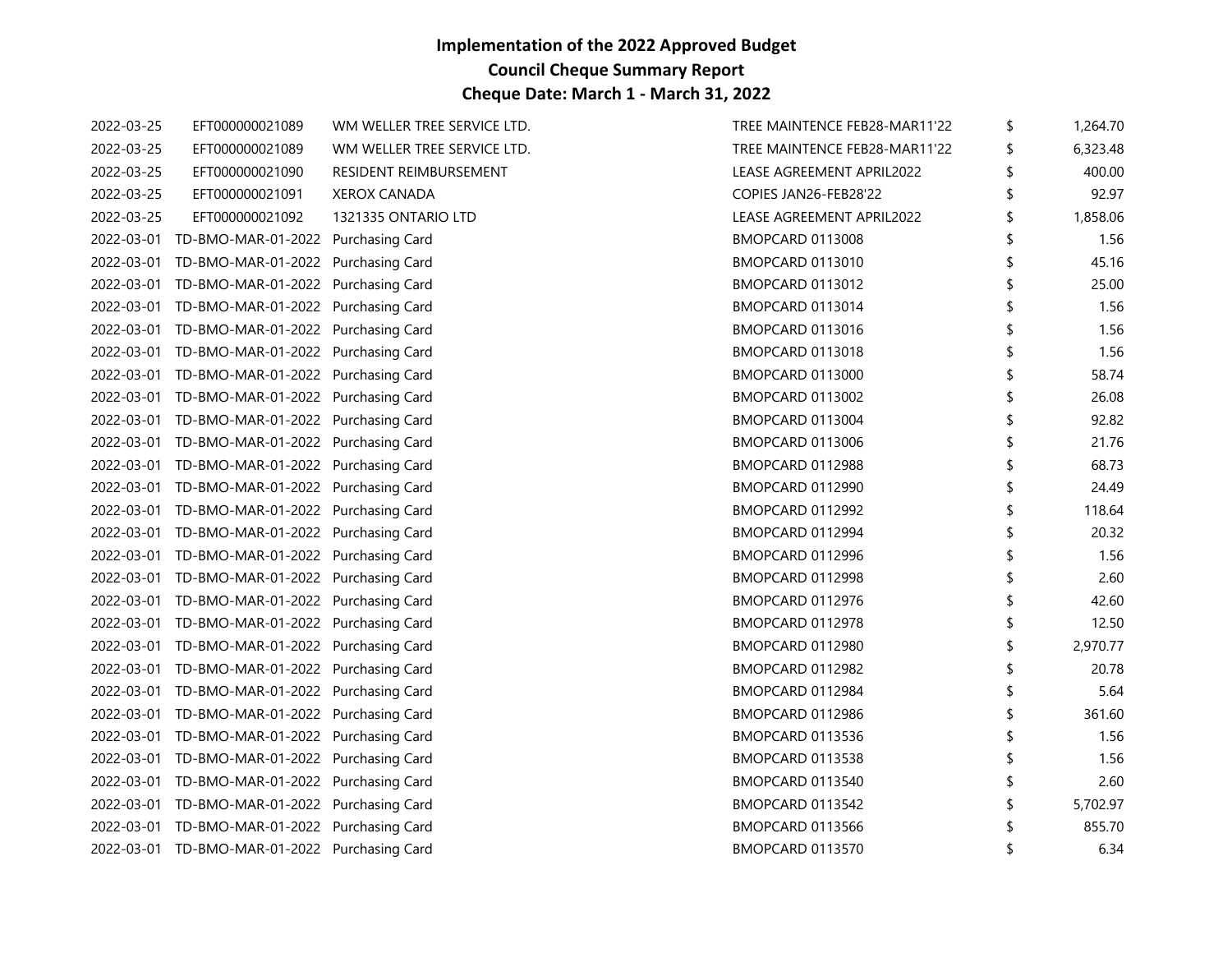| 2022-03-25 | EFT000000021089                               | WM WELLER TREE SERVICE LTD. | TREE MAINTENCE FEB28-MAR11'22 | \$<br>1,264.70 |
|------------|-----------------------------------------------|-----------------------------|-------------------------------|----------------|
| 2022-03-25 | EFT000000021089                               | WM WELLER TREE SERVICE LTD. | TREE MAINTENCE FEB28-MAR11'22 | \$<br>6,323.48 |
| 2022-03-25 | EFT000000021090                               | RESIDENT REIMBURSEMENT      | LEASE AGREEMENT APRIL2022     | \$<br>400.00   |
| 2022-03-25 | EFT000000021091                               | <b>XEROX CANADA</b>         | COPIES JAN26-FEB28'22         | 92.97          |
| 2022-03-25 | EFT000000021092                               | 1321335 ONTARIO LTD         | LEASE AGREEMENT APRIL2022     | \$<br>1,858.06 |
|            | 2022-03-01 TD-BMO-MAR-01-2022 Purchasing Card |                             | BMOPCARD 0113008              | 1.56           |
|            | 2022-03-01 TD-BMO-MAR-01-2022 Purchasing Card |                             | BMOPCARD 0113010              | 45.16          |
|            | 2022-03-01 TD-BMO-MAR-01-2022 Purchasing Card |                             | BMOPCARD 0113012              | 25.00          |
|            | 2022-03-01 TD-BMO-MAR-01-2022 Purchasing Card |                             | BMOPCARD 0113014              | \$<br>1.56     |
|            | 2022-03-01 TD-BMO-MAR-01-2022 Purchasing Card |                             | BMOPCARD 0113016              | 1.56           |
|            | 2022-03-01 TD-BMO-MAR-01-2022 Purchasing Card |                             | BMOPCARD 0113018              | 1.56           |
|            | 2022-03-01 TD-BMO-MAR-01-2022 Purchasing Card |                             | BMOPCARD 0113000              | \$<br>58.74    |
|            | 2022-03-01 TD-BMO-MAR-01-2022 Purchasing Card |                             | BMOPCARD 0113002              | 26.08          |
|            | 2022-03-01 TD-BMO-MAR-01-2022 Purchasing Card |                             | BMOPCARD 0113004              | 92.82          |
|            | 2022-03-01 TD-BMO-MAR-01-2022 Purchasing Card |                             | BMOPCARD 0113006              | 21.76          |
|            | 2022-03-01 TD-BMO-MAR-01-2022 Purchasing Card |                             | BMOPCARD 0112988              | \$<br>68.73    |
|            | 2022-03-01 TD-BMO-MAR-01-2022 Purchasing Card |                             | BMOPCARD 0112990              | 24.49          |
|            | 2022-03-01 TD-BMO-MAR-01-2022 Purchasing Card |                             | BMOPCARD 0112992              | 118.64         |
|            | 2022-03-01 TD-BMO-MAR-01-2022 Purchasing Card |                             | BMOPCARD 0112994              | \$<br>20.32    |
|            | 2022-03-01 TD-BMO-MAR-01-2022 Purchasing Card |                             | BMOPCARD 0112996              | 1.56           |
|            | 2022-03-01 TD-BMO-MAR-01-2022 Purchasing Card |                             | BMOPCARD 0112998              | 2.60           |
|            | 2022-03-01 TD-BMO-MAR-01-2022 Purchasing Card |                             | BMOPCARD 0112976              | 42.60          |
|            | 2022-03-01 TD-BMO-MAR-01-2022 Purchasing Card |                             | BMOPCARD 0112978              | \$<br>12.50    |
|            | 2022-03-01 TD-BMO-MAR-01-2022 Purchasing Card |                             | BMOPCARD 0112980              | 2,970.77       |
|            | 2022-03-01 TD-BMO-MAR-01-2022 Purchasing Card |                             | BMOPCARD 0112982              | 20.78          |
|            | 2022-03-01 TD-BMO-MAR-01-2022 Purchasing Card |                             | BMOPCARD 0112984              | 5.64           |
|            | 2022-03-01 TD-BMO-MAR-01-2022 Purchasing Card |                             | BMOPCARD 0112986              | \$<br>361.60   |
|            | 2022-03-01 TD-BMO-MAR-01-2022 Purchasing Card |                             | BMOPCARD 0113536              | 1.56           |
|            | 2022-03-01 TD-BMO-MAR-01-2022 Purchasing Card |                             | BMOPCARD 0113538              | 1.56           |
|            | 2022-03-01 TD-BMO-MAR-01-2022 Purchasing Card |                             | BMOPCARD 0113540              | \$<br>2.60     |
|            | 2022-03-01 TD-BMO-MAR-01-2022 Purchasing Card |                             | BMOPCARD 0113542              | 5,702.97       |
|            | 2022-03-01 TD-BMO-MAR-01-2022 Purchasing Card |                             | BMOPCARD 0113566              | 855.70         |
|            | 2022-03-01 TD-BMO-MAR-01-2022 Purchasing Card |                             | BMOPCARD 0113570              | 6.34           |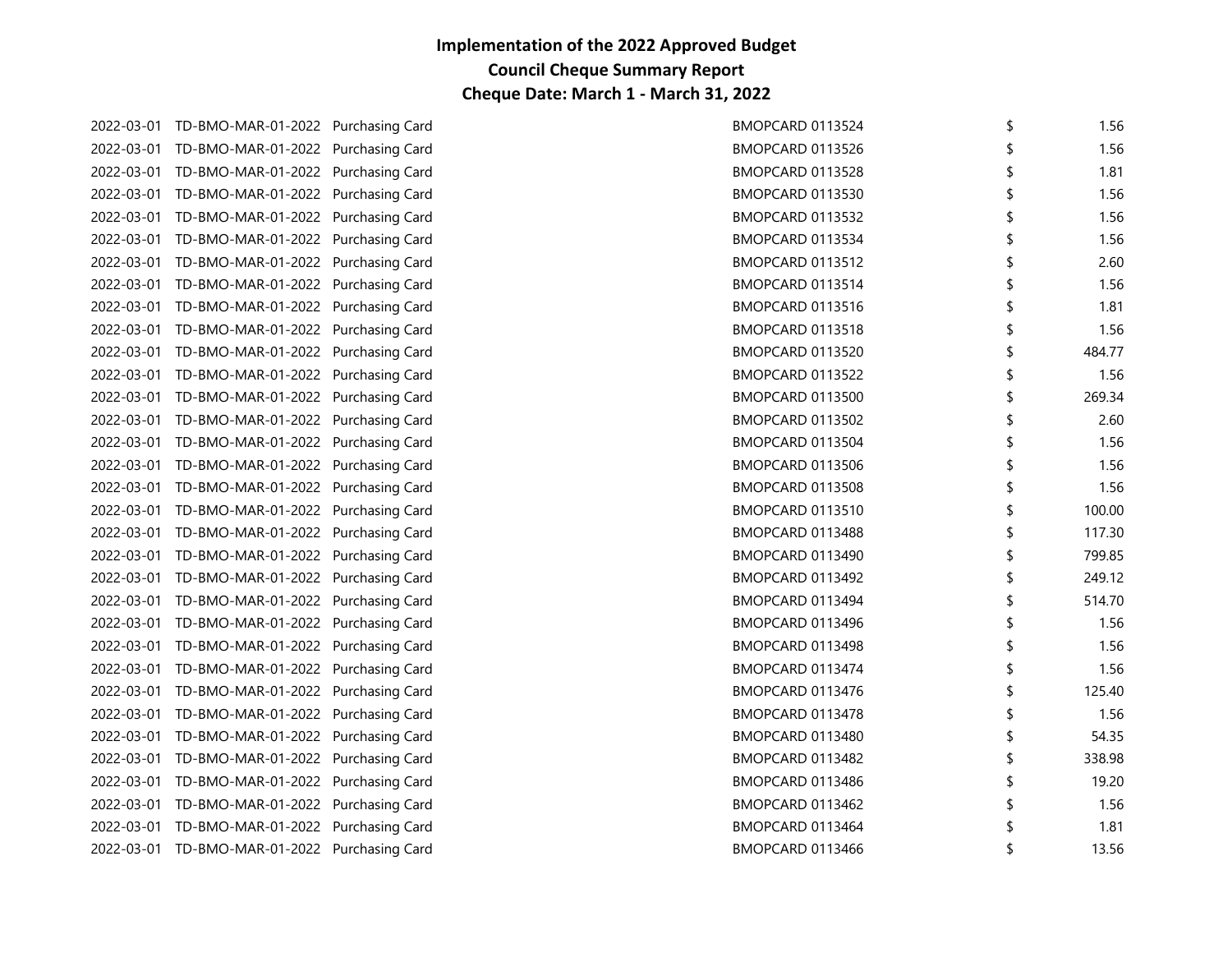| 2022-03-01 TD-BMO-MAR-01-2022 Purchasing Card | BMOPCARD 0113524        | \$<br>1.56   |
|-----------------------------------------------|-------------------------|--------------|
| 2022-03-01 TD-BMO-MAR-01-2022 Purchasing Card | BMOPCARD 0113526        | 1.56         |
| 2022-03-01 TD-BMO-MAR-01-2022 Purchasing Card | BMOPCARD 0113528        | 1.81         |
| 2022-03-01 TD-BMO-MAR-01-2022 Purchasing Card | BMOPCARD 0113530        | \$<br>1.56   |
| 2022-03-01 TD-BMO-MAR-01-2022 Purchasing Card | BMOPCARD 0113532        | 1.56         |
| 2022-03-01 TD-BMO-MAR-01-2022 Purchasing Card | BMOPCARD 0113534        | 1.56         |
| 2022-03-01 TD-BMO-MAR-01-2022 Purchasing Card | <b>BMOPCARD 0113512</b> | \$<br>2.60   |
| 2022-03-01 TD-BMO-MAR-01-2022 Purchasing Card | BMOPCARD 0113514        | \$<br>1.56   |
| 2022-03-01 TD-BMO-MAR-01-2022 Purchasing Card | BMOPCARD 0113516        | \$<br>1.81   |
| 2022-03-01 TD-BMO-MAR-01-2022 Purchasing Card | <b>BMOPCARD 0113518</b> | 1.56         |
| 2022-03-01 TD-BMO-MAR-01-2022 Purchasing Card | BMOPCARD 0113520        | \$<br>484.77 |
| 2022-03-01 TD-BMO-MAR-01-2022 Purchasing Card | BMOPCARD 0113522        | 1.56         |
| 2022-03-01 TD-BMO-MAR-01-2022 Purchasing Card | BMOPCARD 0113500        | 269.34       |
| 2022-03-01 TD-BMO-MAR-01-2022 Purchasing Card | BMOPCARD 0113502        | \$<br>2.60   |
| 2022-03-01 TD-BMO-MAR-01-2022 Purchasing Card | BMOPCARD 0113504        | \$<br>1.56   |
| 2022-03-01 TD-BMO-MAR-01-2022 Purchasing Card | BMOPCARD 0113506        | 1.56         |
| 2022-03-01 TD-BMO-MAR-01-2022 Purchasing Card | BMOPCARD 0113508        | \$<br>1.56   |
| 2022-03-01 TD-BMO-MAR-01-2022 Purchasing Card | BMOPCARD 0113510        | \$<br>100.00 |
| 2022-03-01 TD-BMO-MAR-01-2022 Purchasing Card | BMOPCARD 0113488        | \$<br>117.30 |
| 2022-03-01 TD-BMO-MAR-01-2022 Purchasing Card | BMOPCARD 0113490        | \$<br>799.85 |
| 2022-03-01 TD-BMO-MAR-01-2022 Purchasing Card | BMOPCARD 0113492        | 249.12       |
| 2022-03-01 TD-BMO-MAR-01-2022 Purchasing Card | BMOPCARD 0113494        | \$<br>514.70 |
| 2022-03-01 TD-BMO-MAR-01-2022 Purchasing Card | BMOPCARD 0113496        | 1.56         |
| 2022-03-01 TD-BMO-MAR-01-2022 Purchasing Card | BMOPCARD 0113498        | 1.56         |
| 2022-03-01 TD-BMO-MAR-01-2022 Purchasing Card | BMOPCARD 0113474        | 1.56         |
| 2022-03-01 TD-BMO-MAR-01-2022 Purchasing Card | BMOPCARD 0113476        | \$<br>125.40 |
| 2022-03-01 TD-BMO-MAR-01-2022 Purchasing Card | BMOPCARD 0113478        | 1.56         |
| 2022-03-01 TD-BMO-MAR-01-2022 Purchasing Card | BMOPCARD 0113480        | 54.35        |
| 2022-03-01 TD-BMO-MAR-01-2022 Purchasing Card | BMOPCARD 0113482        | \$<br>338.98 |
| 2022-03-01 TD-BMO-MAR-01-2022 Purchasing Card | BMOPCARD 0113486        | \$<br>19.20  |
| 2022-03-01 TD-BMO-MAR-01-2022 Purchasing Card | BMOPCARD 0113462        | 1.56         |
| 2022-03-01 TD-BMO-MAR-01-2022 Purchasing Card | BMOPCARD 0113464        | 1.81         |
| 2022-03-01 TD-BMO-MAR-01-2022 Purchasing Card | BMOPCARD 0113466        | \$<br>13.56  |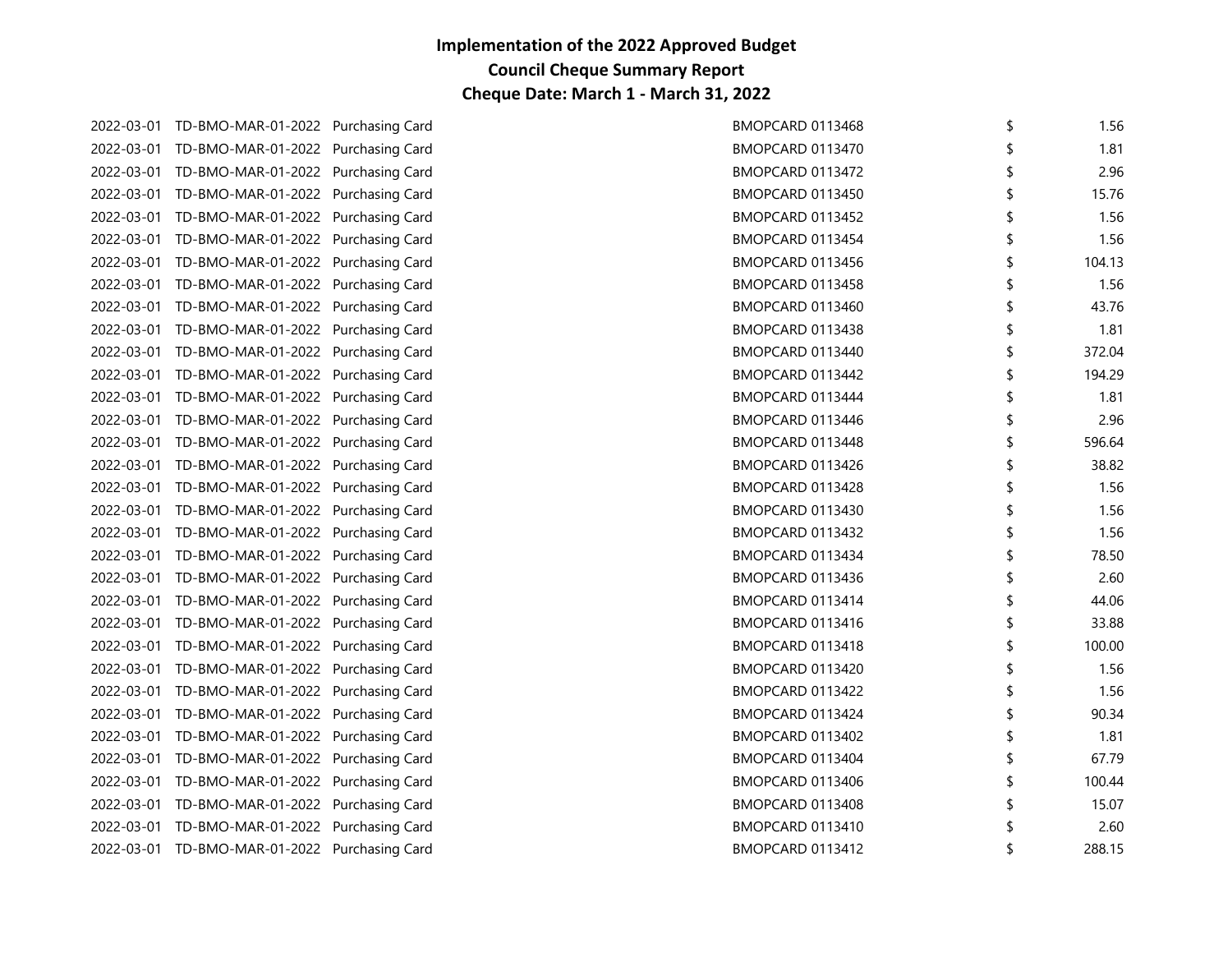| 2022-03-01 TD-BMO-MAR-01-2022 Purchasing Card | BMOPCARD 0113468 | 1.56         |
|-----------------------------------------------|------------------|--------------|
| 2022-03-01 TD-BMO-MAR-01-2022 Purchasing Card | BMOPCARD 0113470 | 1.81         |
| 2022-03-01 TD-BMO-MAR-01-2022 Purchasing Card | BMOPCARD 0113472 | 2.96         |
| 2022-03-01 TD-BMO-MAR-01-2022 Purchasing Card | BMOPCARD 0113450 | 15.76        |
| 2022-03-01 TD-BMO-MAR-01-2022 Purchasing Card | BMOPCARD 0113452 | 1.56         |
| 2022-03-01 TD-BMO-MAR-01-2022 Purchasing Card | BMOPCARD 0113454 | 1.56         |
| 2022-03-01 TD-BMO-MAR-01-2022 Purchasing Card | BMOPCARD 0113456 | \$<br>104.13 |
| 2022-03-01 TD-BMO-MAR-01-2022 Purchasing Card | BMOPCARD 0113458 | \$<br>1.56   |
| 2022-03-01 TD-BMO-MAR-01-2022 Purchasing Card | BMOPCARD 0113460 | 43.76        |
| 2022-03-01 TD-BMO-MAR-01-2022 Purchasing Card | BMOPCARD 0113438 | 1.81         |
| 2022-03-01 TD-BMO-MAR-01-2022 Purchasing Card | BMOPCARD 0113440 | \$<br>372.04 |
| 2022-03-01 TD-BMO-MAR-01-2022 Purchasing Card | BMOPCARD 0113442 | 194.29       |
| 2022-03-01 TD-BMO-MAR-01-2022 Purchasing Card | BMOPCARD 0113444 | 1.81         |
| 2022-03-01 TD-BMO-MAR-01-2022 Purchasing Card | BMOPCARD 0113446 | 2.96         |
| 2022-03-01 TD-BMO-MAR-01-2022 Purchasing Card | BMOPCARD 0113448 | \$<br>596.64 |
| 2022-03-01 TD-BMO-MAR-01-2022 Purchasing Card | BMOPCARD 0113426 | 38.82        |
| 2022-03-01 TD-BMO-MAR-01-2022 Purchasing Card | BMOPCARD 0113428 | 1.56         |
| 2022-03-01 TD-BMO-MAR-01-2022 Purchasing Card | BMOPCARD 0113430 | 1.56         |
| 2022-03-01 TD-BMO-MAR-01-2022 Purchasing Card | BMOPCARD 0113432 | 1.56         |
| 2022-03-01 TD-BMO-MAR-01-2022 Purchasing Card | BMOPCARD 0113434 | 78.50        |
| 2022-03-01 TD-BMO-MAR-01-2022 Purchasing Card | BMOPCARD 0113436 | 2.60         |
| 2022-03-01 TD-BMO-MAR-01-2022 Purchasing Card | BMOPCARD 0113414 | \$<br>44.06  |
| 2022-03-01 TD-BMO-MAR-01-2022 Purchasing Card | BMOPCARD 0113416 | 33.88        |
| 2022-03-01 TD-BMO-MAR-01-2022 Purchasing Card | BMOPCARD 0113418 | 100.00       |
| 2022-03-01 TD-BMO-MAR-01-2022 Purchasing Card | BMOPCARD 0113420 | 1.56         |
| 2022-03-01 TD-BMO-MAR-01-2022 Purchasing Card | BMOPCARD 0113422 | 1.56         |
| 2022-03-01 TD-BMO-MAR-01-2022 Purchasing Card | BMOPCARD 0113424 | 90.34        |
| 2022-03-01 TD-BMO-MAR-01-2022 Purchasing Card | BMOPCARD 0113402 | 1.81         |
| 2022-03-01 TD-BMO-MAR-01-2022 Purchasing Card | BMOPCARD 0113404 | \$<br>67.79  |
| 2022-03-01 TD-BMO-MAR-01-2022 Purchasing Card | BMOPCARD 0113406 | 100.44       |
| 2022-03-01 TD-BMO-MAR-01-2022 Purchasing Card | BMOPCARD 0113408 | 15.07        |
| 2022-03-01 TD-BMO-MAR-01-2022 Purchasing Card | BMOPCARD 0113410 | 2.60         |
| 2022-03-01 TD-BMO-MAR-01-2022 Purchasing Card | BMOPCARD 0113412 | \$<br>288.15 |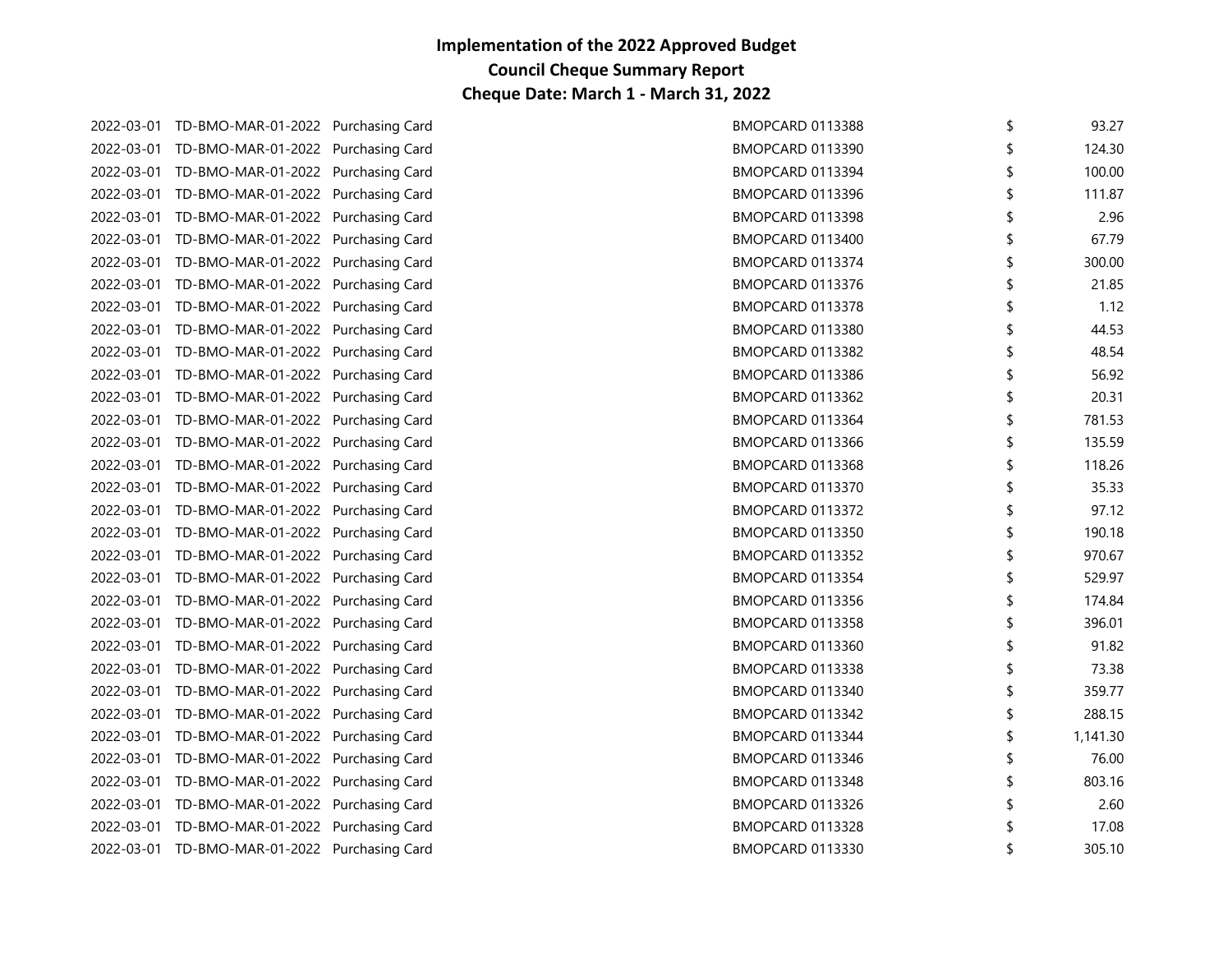| 2022-03-01 TD-BMO-MAR-01-2022 Purchasing Card | BMOPCARD 0113388 | \$<br>93.27    |
|-----------------------------------------------|------------------|----------------|
| 2022-03-01 TD-BMO-MAR-01-2022 Purchasing Card | BMOPCARD 0113390 | 124.30         |
| 2022-03-01 TD-BMO-MAR-01-2022 Purchasing Card | BMOPCARD 0113394 | 100.00         |
| 2022-03-01 TD-BMO-MAR-01-2022 Purchasing Card | BMOPCARD 0113396 | \$<br>111.87   |
| 2022-03-01 TD-BMO-MAR-01-2022 Purchasing Card | BMOPCARD 0113398 | 2.96           |
| 2022-03-01 TD-BMO-MAR-01-2022 Purchasing Card | BMOPCARD 0113400 | \$<br>67.79    |
| 2022-03-01 TD-BMO-MAR-01-2022 Purchasing Card | BMOPCARD 0113374 | \$<br>300.00   |
| 2022-03-01 TD-BMO-MAR-01-2022 Purchasing Card | BMOPCARD 0113376 | \$<br>21.85    |
| 2022-03-01 TD-BMO-MAR-01-2022 Purchasing Card | BMOPCARD 0113378 | \$<br>1.12     |
| 2022-03-01 TD-BMO-MAR-01-2022 Purchasing Card | BMOPCARD 0113380 | 44.53          |
| 2022-03-01 TD-BMO-MAR-01-2022 Purchasing Card | BMOPCARD 0113382 | \$<br>48.54    |
| 2022-03-01 TD-BMO-MAR-01-2022 Purchasing Card | BMOPCARD 0113386 | 56.92          |
| 2022-03-01 TD-BMO-MAR-01-2022 Purchasing Card | BMOPCARD 0113362 | 20.31          |
| 2022-03-01 TD-BMO-MAR-01-2022 Purchasing Card | BMOPCARD 0113364 | \$<br>781.53   |
| 2022-03-01 TD-BMO-MAR-01-2022 Purchasing Card | BMOPCARD 0113366 | \$<br>135.59   |
| 2022-03-01 TD-BMO-MAR-01-2022 Purchasing Card | BMOPCARD 0113368 | 118.26         |
| 2022-03-01 TD-BMO-MAR-01-2022 Purchasing Card | BMOPCARD 0113370 | 35.33          |
| 2022-03-01 TD-BMO-MAR-01-2022 Purchasing Card | BMOPCARD 0113372 | \$<br>97.12    |
| 2022-03-01 TD-BMO-MAR-01-2022 Purchasing Card | BMOPCARD 0113350 | \$<br>190.18   |
| 2022-03-01 TD-BMO-MAR-01-2022 Purchasing Card | BMOPCARD 0113352 | 970.67         |
| 2022-03-01 TD-BMO-MAR-01-2022 Purchasing Card | BMOPCARD 0113354 | 529.97         |
| 2022-03-01 TD-BMO-MAR-01-2022 Purchasing Card | BMOPCARD 0113356 | \$<br>174.84   |
| 2022-03-01 TD-BMO-MAR-01-2022 Purchasing Card | BMOPCARD 0113358 | 396.01         |
| 2022-03-01 TD-BMO-MAR-01-2022 Purchasing Card | BMOPCARD 0113360 | 91.82          |
| 2022-03-01 TD-BMO-MAR-01-2022 Purchasing Card | BMOPCARD 0113338 | \$<br>73.38    |
| 2022-03-01 TD-BMO-MAR-01-2022 Purchasing Card | BMOPCARD 0113340 | \$<br>359.77   |
| 2022-03-01 TD-BMO-MAR-01-2022 Purchasing Card | BMOPCARD 0113342 | 288.15         |
| 2022-03-01 TD-BMO-MAR-01-2022 Purchasing Card | BMOPCARD 0113344 | \$<br>1,141.30 |
| 2022-03-01 TD-BMO-MAR-01-2022 Purchasing Card | BMOPCARD 0113346 | \$<br>76.00    |
| 2022-03-01 TD-BMO-MAR-01-2022 Purchasing Card | BMOPCARD 0113348 | \$<br>803.16   |
| 2022-03-01 TD-BMO-MAR-01-2022 Purchasing Card | BMOPCARD 0113326 | 2.60           |
| 2022-03-01 TD-BMO-MAR-01-2022 Purchasing Card | BMOPCARD 0113328 | 17.08          |
| 2022-03-01 TD-BMO-MAR-01-2022 Purchasing Card | BMOPCARD 0113330 | \$<br>305.10   |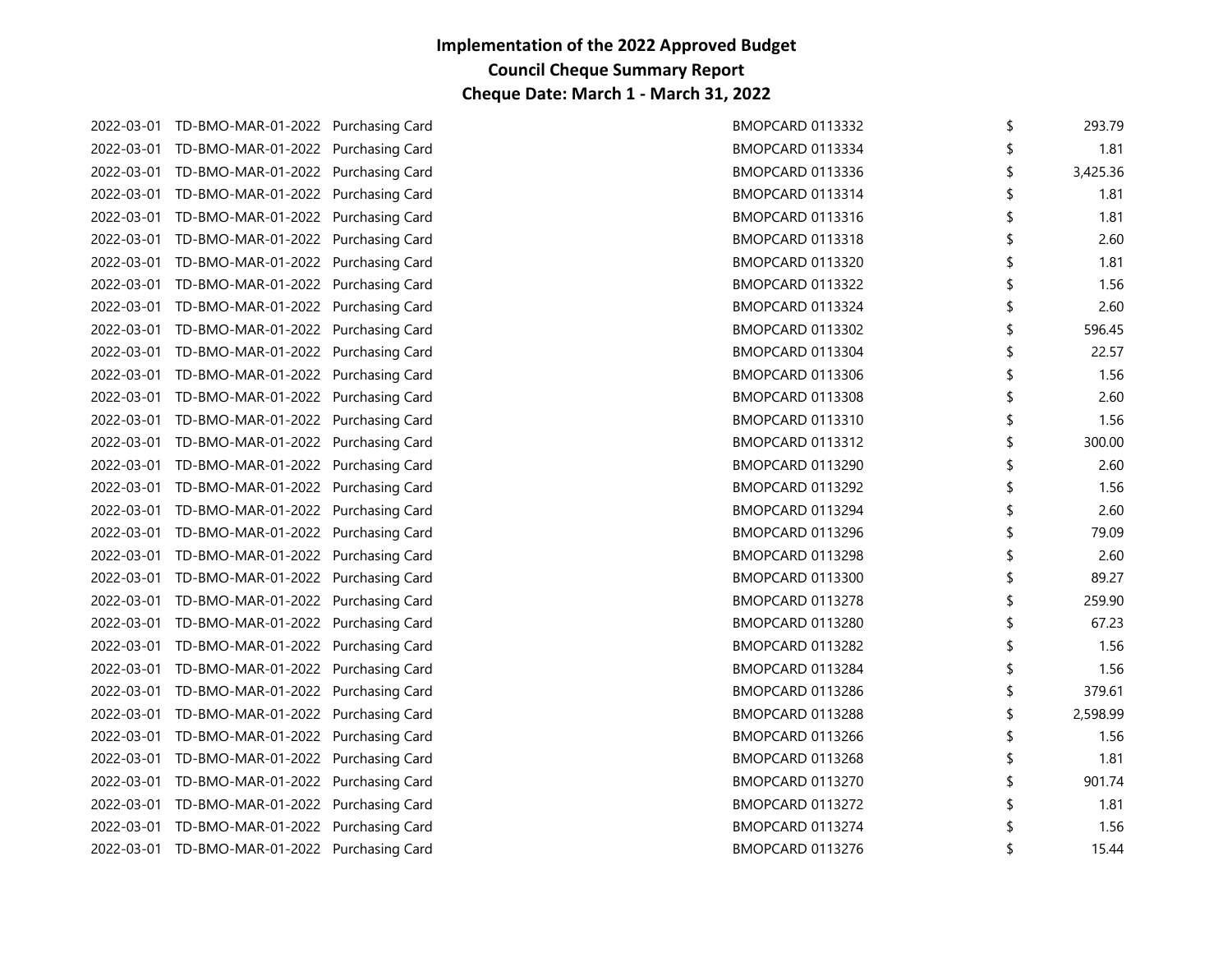| 293.79   | <b>BMOPCARD 0113332</b> | 2022-03-01 TD-BMO-MAR-01-2022 Purchasing Card |  |
|----------|-------------------------|-----------------------------------------------|--|
| 1.81     | BMOPCARD 0113334        | 2022-03-01 TD-BMO-MAR-01-2022 Purchasing Card |  |
| 3,425.36 | \$<br>BMOPCARD 0113336  | 2022-03-01 TD-BMO-MAR-01-2022 Purchasing Card |  |
| 1.81     | \$<br>BMOPCARD 0113314  | 2022-03-01 TD-BMO-MAR-01-2022 Purchasing Card |  |
| 1.81     | BMOPCARD 0113316        | 2022-03-01 TD-BMO-MAR-01-2022 Purchasing Card |  |
| 2.60     | BMOPCARD 0113318        | 2022-03-01 TD-BMO-MAR-01-2022 Purchasing Card |  |
| 1.81     | \$<br>BMOPCARD 0113320  | 2022-03-01 TD-BMO-MAR-01-2022 Purchasing Card |  |
| 1.56     | \$<br>BMOPCARD 0113322  | 2022-03-01 TD-BMO-MAR-01-2022 Purchasing Card |  |
| 2.60     | BMOPCARD 0113324        | 2022-03-01 TD-BMO-MAR-01-2022 Purchasing Card |  |
| 596.45   | BMOPCARD 0113302        | 2022-03-01 TD-BMO-MAR-01-2022 Purchasing Card |  |
| 22.57    | \$<br>BMOPCARD 0113304  | 2022-03-01 TD-BMO-MAR-01-2022 Purchasing Card |  |
| 1.56     | BMOPCARD 0113306        | 2022-03-01 TD-BMO-MAR-01-2022 Purchasing Card |  |
| 2.60     | BMOPCARD 0113308        | 2022-03-01 TD-BMO-MAR-01-2022 Purchasing Card |  |
| 1.56     | BMOPCARD 0113310        | 2022-03-01 TD-BMO-MAR-01-2022 Purchasing Card |  |
| 300.00   | \$<br>BMOPCARD 0113312  | 2022-03-01 TD-BMO-MAR-01-2022 Purchasing Card |  |
| 2.60     | BMOPCARD 0113290        | 2022-03-01 TD-BMO-MAR-01-2022 Purchasing Card |  |
| 1.56     | BMOPCARD 0113292        | 2022-03-01 TD-BMO-MAR-01-2022 Purchasing Card |  |
| 2.60     | \$<br>BMOPCARD 0113294  | 2022-03-01 TD-BMO-MAR-01-2022 Purchasing Card |  |
| 79.09    | \$<br>BMOPCARD 0113296  | 2022-03-01 TD-BMO-MAR-01-2022 Purchasing Card |  |
| 2.60     | BMOPCARD 0113298        | 2022-03-01 TD-BMO-MAR-01-2022 Purchasing Card |  |
| 89.27    | BMOPCARD 0113300        | 2022-03-01 TD-BMO-MAR-01-2022 Purchasing Card |  |
| 259.90   | \$<br>BMOPCARD 0113278  | 2022-03-01 TD-BMO-MAR-01-2022 Purchasing Card |  |
| 67.23    | BMOPCARD 0113280        | 2022-03-01 TD-BMO-MAR-01-2022 Purchasing Card |  |
| 1.56     | BMOPCARD 0113282        | 2022-03-01 TD-BMO-MAR-01-2022 Purchasing Card |  |
| 1.56     | BMOPCARD 0113284        | 2022-03-01 TD-BMO-MAR-01-2022 Purchasing Card |  |
| 379.61   | \$<br>BMOPCARD 0113286  | 2022-03-01 TD-BMO-MAR-01-2022 Purchasing Card |  |
| 2,598.99 | BMOPCARD 0113288        | 2022-03-01 TD-BMO-MAR-01-2022 Purchasing Card |  |
| 1.56     | BMOPCARD 0113266        | 2022-03-01 TD-BMO-MAR-01-2022 Purchasing Card |  |
| 1.81     | \$<br>BMOPCARD 0113268  | 2022-03-01 TD-BMO-MAR-01-2022 Purchasing Card |  |
| 901.74   | \$<br>BMOPCARD 0113270  | 2022-03-01 TD-BMO-MAR-01-2022 Purchasing Card |  |
| 1.81     | BMOPCARD 0113272        | 2022-03-01 TD-BMO-MAR-01-2022 Purchasing Card |  |
| 1.56     | BMOPCARD 0113274        | 2022-03-01 TD-BMO-MAR-01-2022 Purchasing Card |  |
| 15.44    | \$<br>BMOPCARD 0113276  | 2022-03-01 TD-BMO-MAR-01-2022 Purchasing Card |  |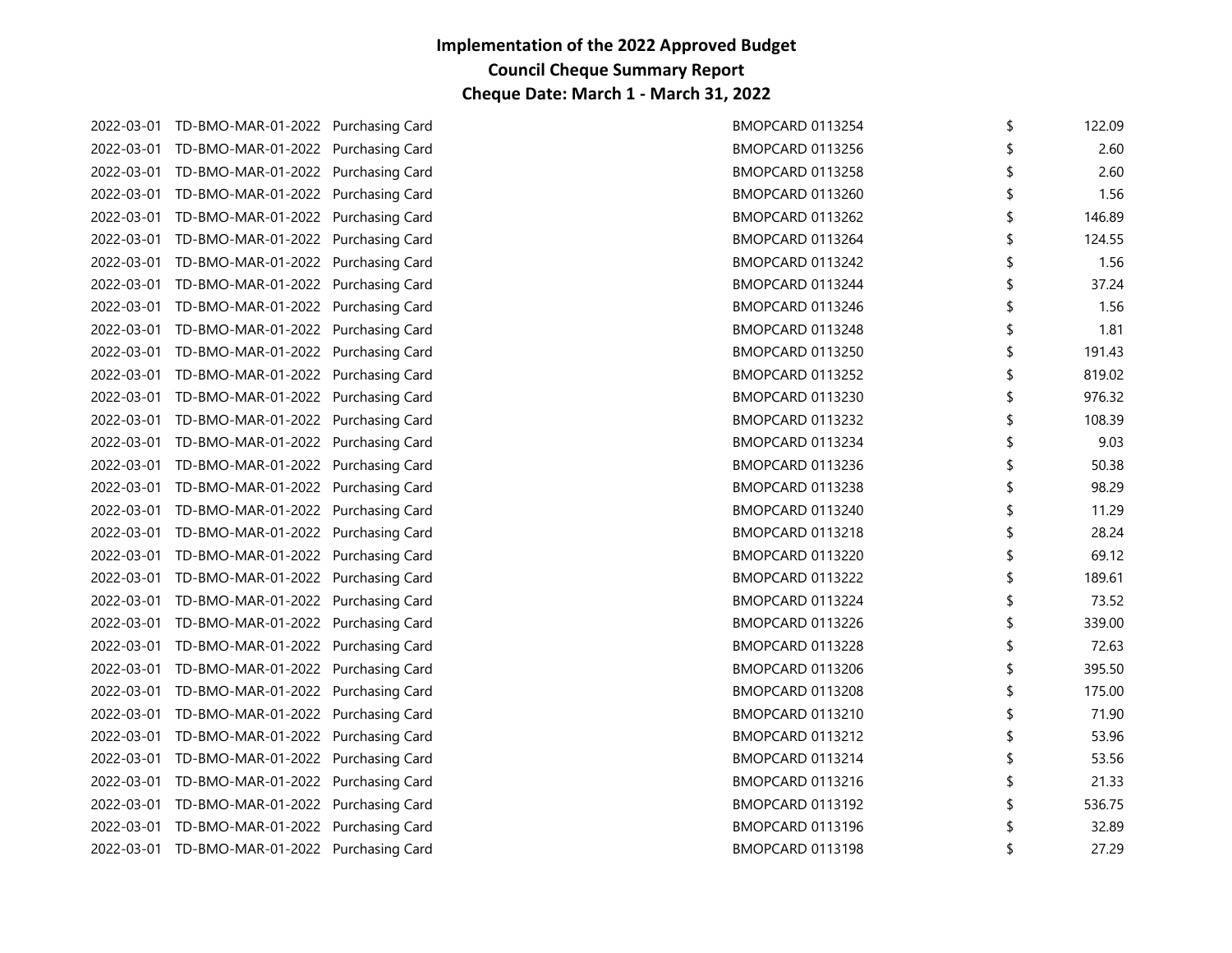| 2022-03-01 TD-BMO-MAR-01-2022 Purchasing Card | BMOPCARD 0113254 | 122.09       |
|-----------------------------------------------|------------------|--------------|
| 2022-03-01 TD-BMO-MAR-01-2022 Purchasing Card | BMOPCARD 0113256 | 2.60         |
| 2022-03-01 TD-BMO-MAR-01-2022 Purchasing Card | BMOPCARD 0113258 | 2.60         |
| 2022-03-01 TD-BMO-MAR-01-2022 Purchasing Card | BMOPCARD 0113260 | 1.56         |
| 2022-03-01 TD-BMO-MAR-01-2022 Purchasing Card | BMOPCARD 0113262 | 146.89       |
| 2022-03-01 TD-BMO-MAR-01-2022 Purchasing Card | BMOPCARD 0113264 | 124.55       |
| 2022-03-01 TD-BMO-MAR-01-2022 Purchasing Card | BMOPCARD 0113242 | \$<br>1.56   |
| 2022-03-01 TD-BMO-MAR-01-2022 Purchasing Card | BMOPCARD 0113244 | \$<br>37.24  |
| 2022-03-01 TD-BMO-MAR-01-2022 Purchasing Card | BMOPCARD 0113246 | 1.56         |
| 2022-03-01 TD-BMO-MAR-01-2022 Purchasing Card | BMOPCARD 0113248 | 1.81         |
| 2022-03-01 TD-BMO-MAR-01-2022 Purchasing Card | BMOPCARD 0113250 | \$<br>191.43 |
| 2022-03-01 TD-BMO-MAR-01-2022 Purchasing Card | BMOPCARD 0113252 | 819.02       |
| 2022-03-01 TD-BMO-MAR-01-2022 Purchasing Card | BMOPCARD 0113230 | 976.32       |
| 2022-03-01 TD-BMO-MAR-01-2022 Purchasing Card | BMOPCARD 0113232 | 108.39       |
| 2022-03-01 TD-BMO-MAR-01-2022 Purchasing Card | BMOPCARD 0113234 | \$<br>9.03   |
| 2022-03-01 TD-BMO-MAR-01-2022 Purchasing Card | BMOPCARD 0113236 | 50.38        |
| 2022-03-01 TD-BMO-MAR-01-2022 Purchasing Card | BMOPCARD 0113238 | 98.29        |
| 2022-03-01 TD-BMO-MAR-01-2022 Purchasing Card | BMOPCARD 0113240 | 11.29        |
| 2022-03-01 TD-BMO-MAR-01-2022 Purchasing Card | BMOPCARD 0113218 | 28.24        |
| 2022-03-01 TD-BMO-MAR-01-2022 Purchasing Card | BMOPCARD 0113220 | 69.12        |
| 2022-03-01 TD-BMO-MAR-01-2022 Purchasing Card | BMOPCARD 0113222 | 189.61       |
| 2022-03-01 TD-BMO-MAR-01-2022 Purchasing Card | BMOPCARD 0113224 | \$<br>73.52  |
| 2022-03-01 TD-BMO-MAR-01-2022 Purchasing Card | BMOPCARD 0113226 | 339.00       |
| 2022-03-01 TD-BMO-MAR-01-2022 Purchasing Card | BMOPCARD 0113228 | 72.63        |
| 2022-03-01 TD-BMO-MAR-01-2022 Purchasing Card | BMOPCARD 0113206 | 395.50       |
| 2022-03-01 TD-BMO-MAR-01-2022 Purchasing Card | BMOPCARD 0113208 | 175.00       |
| 2022-03-01 TD-BMO-MAR-01-2022 Purchasing Card | BMOPCARD 0113210 | 71.90        |
| 2022-03-01 TD-BMO-MAR-01-2022 Purchasing Card | BMOPCARD 0113212 | 53.96        |
| 2022-03-01 TD-BMO-MAR-01-2022 Purchasing Card | BMOPCARD 0113214 | 53.56        |
| 2022-03-01 TD-BMO-MAR-01-2022 Purchasing Card | BMOPCARD 0113216 | 21.33        |
| 2022-03-01 TD-BMO-MAR-01-2022 Purchasing Card | BMOPCARD 0113192 | 536.75       |
| 2022-03-01 TD-BMO-MAR-01-2022 Purchasing Card | BMOPCARD 0113196 | 32.89        |
| 2022-03-01 TD-BMO-MAR-01-2022 Purchasing Card | BMOPCARD 0113198 | \$<br>27.29  |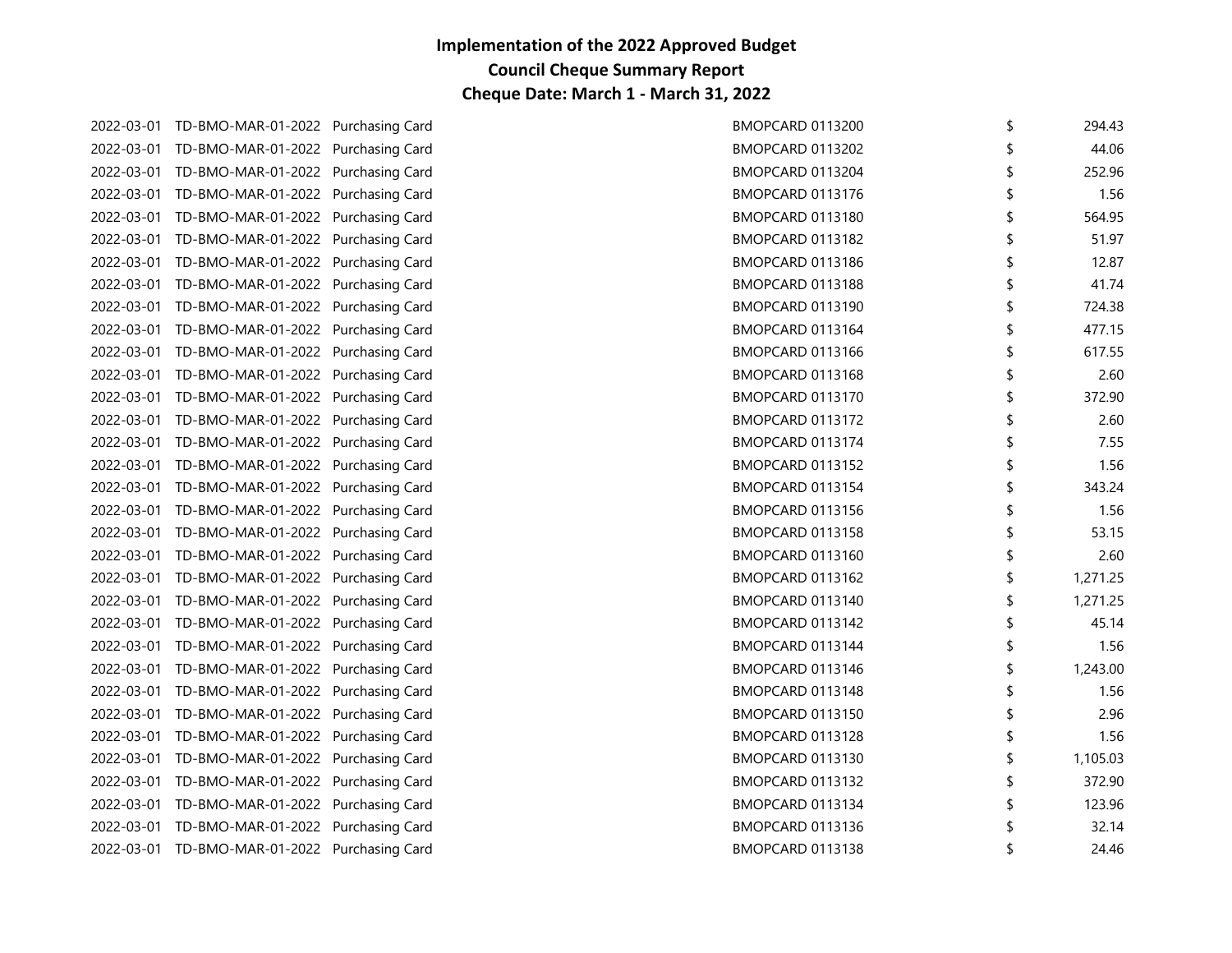| 2022-03-01 TD-BMO-MAR-01-2022 Purchasing Card | BMOPCARD 0113200 | \$<br>294.43   |
|-----------------------------------------------|------------------|----------------|
| 2022-03-01 TD-BMO-MAR-01-2022 Purchasing Card | BMOPCARD 0113202 | 44.06          |
| 2022-03-01 TD-BMO-MAR-01-2022 Purchasing Card | BMOPCARD 0113204 | 252.96         |
| 2022-03-01 TD-BMO-MAR-01-2022 Purchasing Card | BMOPCARD 0113176 | 1.56           |
| 2022-03-01 TD-BMO-MAR-01-2022 Purchasing Card | BMOPCARD 0113180 | \$<br>564.95   |
| 2022-03-01 TD-BMO-MAR-01-2022 Purchasing Card | BMOPCARD 0113182 | 51.97          |
| 2022-03-01 TD-BMO-MAR-01-2022 Purchasing Card | BMOPCARD 0113186 | 12.87          |
| 2022-03-01 TD-BMO-MAR-01-2022 Purchasing Card | BMOPCARD 0113188 | 41.74          |
| 2022-03-01 TD-BMO-MAR-01-2022 Purchasing Card | BMOPCARD 0113190 | \$<br>724.38   |
| 2022-03-01 TD-BMO-MAR-01-2022 Purchasing Card | BMOPCARD 0113164 | 477.15         |
| 2022-03-01 TD-BMO-MAR-01-2022 Purchasing Card | BMOPCARD 0113166 | 617.55         |
| 2022-03-01 TD-BMO-MAR-01-2022 Purchasing Card | BMOPCARD 0113168 | \$<br>2.60     |
| 2022-03-01 TD-BMO-MAR-01-2022 Purchasing Card | BMOPCARD 0113170 | 372.90         |
| 2022-03-01 TD-BMO-MAR-01-2022 Purchasing Card | BMOPCARD 0113172 | 2.60           |
| 2022-03-01 TD-BMO-MAR-01-2022 Purchasing Card | BMOPCARD 0113174 | 7.55           |
| 2022-03-01 TD-BMO-MAR-01-2022 Purchasing Card | BMOPCARD 0113152 | \$<br>1.56     |
| 2022-03-01 TD-BMO-MAR-01-2022 Purchasing Card | BMOPCARD 0113154 | 343.24         |
| 2022-03-01 TD-BMO-MAR-01-2022 Purchasing Card | BMOPCARD 0113156 | 1.56           |
| 2022-03-01 TD-BMO-MAR-01-2022 Purchasing Card | BMOPCARD 0113158 | \$<br>53.15    |
| 2022-03-01 TD-BMO-MAR-01-2022 Purchasing Card | BMOPCARD 0113160 | 2.60           |
| 2022-03-01 TD-BMO-MAR-01-2022 Purchasing Card | BMOPCARD 0113162 | 1,271.25       |
| 2022-03-01 TD-BMO-MAR-01-2022 Purchasing Card | BMOPCARD 0113140 | \$<br>1,271.25 |
| 2022-03-01 TD-BMO-MAR-01-2022 Purchasing Card | BMOPCARD 0113142 | \$<br>45.14    |
| 2022-03-01 TD-BMO-MAR-01-2022 Purchasing Card | BMOPCARD 0113144 | 1.56           |
| 2022-03-01 TD-BMO-MAR-01-2022 Purchasing Card | BMOPCARD 0113146 | 1,243.00       |
| 2022-03-01 TD-BMO-MAR-01-2022 Purchasing Card | BMOPCARD 0113148 | \$<br>1.56     |
| 2022-03-01 TD-BMO-MAR-01-2022 Purchasing Card | BMOPCARD 0113150 | 2.96           |
| 2022-03-01 TD-BMO-MAR-01-2022 Purchasing Card | BMOPCARD 0113128 | 1.56           |
| 2022-03-01 TD-BMO-MAR-01-2022 Purchasing Card | BMOPCARD 0113130 | 1,105.03       |
| 2022-03-01 TD-BMO-MAR-01-2022 Purchasing Card | BMOPCARD 0113132 | \$<br>372.90   |
| 2022-03-01 TD-BMO-MAR-01-2022 Purchasing Card | BMOPCARD 0113134 | 123.96         |
| 2022-03-01 TD-BMO-MAR-01-2022 Purchasing Card | BMOPCARD 0113136 | 32.14          |
| 2022-03-01 TD-BMO-MAR-01-2022 Purchasing Card | BMOPCARD 0113138 | 24.46          |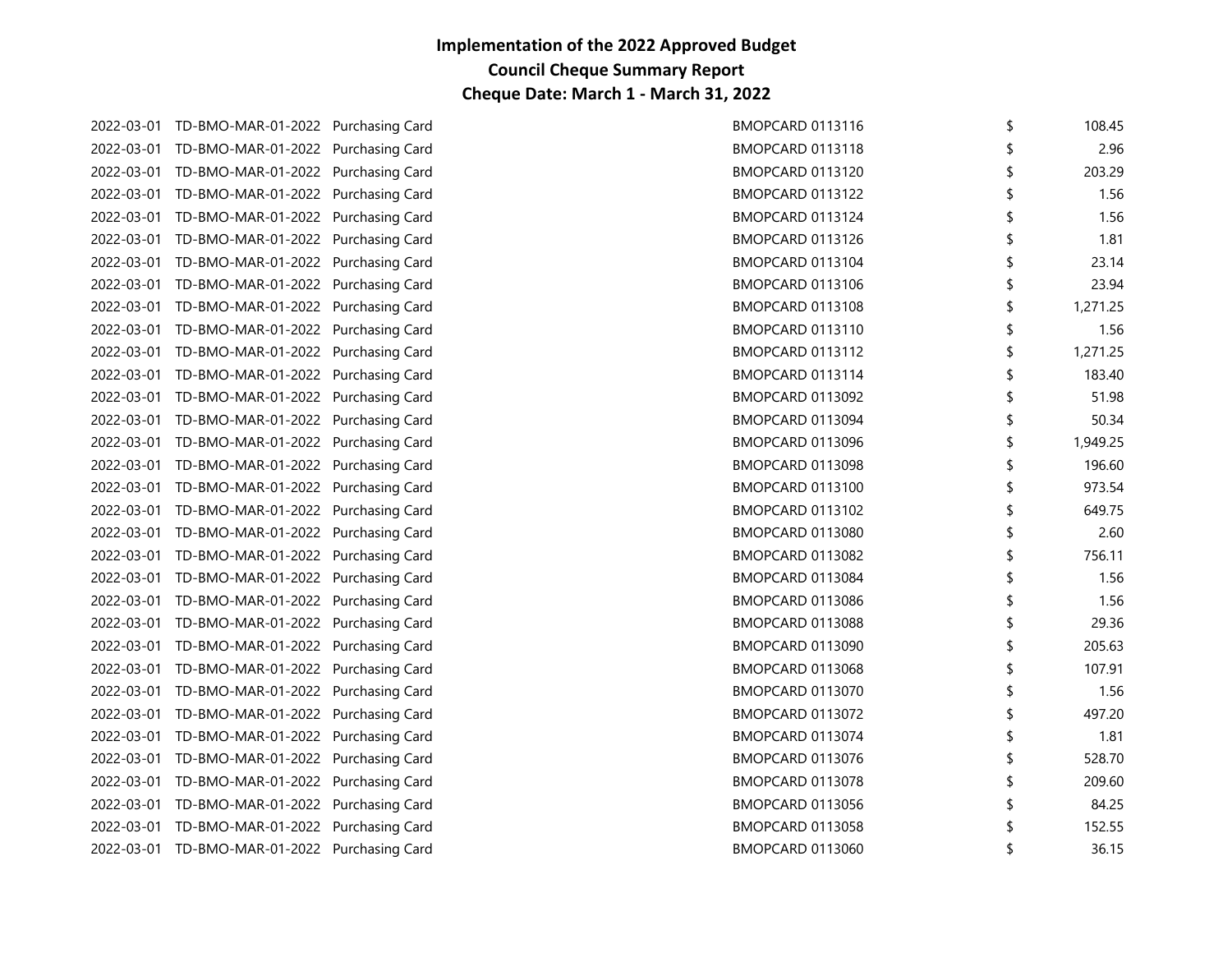| 2022-03-01 TD-BMO-MAR-01-2022 Purchasing Card | BMOPCARD 0113116 | \$ | 108.45   |
|-----------------------------------------------|------------------|----|----------|
| 2022-03-01 TD-BMO-MAR-01-2022 Purchasing Card | BMOPCARD 0113118 |    | 2.96     |
| 2022-03-01 TD-BMO-MAR-01-2022 Purchasing Card | BMOPCARD 0113120 |    | 203.29   |
| 2022-03-01 TD-BMO-MAR-01-2022 Purchasing Card | BMOPCARD 0113122 |    | 1.56     |
| 2022-03-01 TD-BMO-MAR-01-2022 Purchasing Card | BMOPCARD 0113124 | \$ | 1.56     |
| 2022-03-01 TD-BMO-MAR-01-2022 Purchasing Card | BMOPCARD 0113126 |    | 1.81     |
| 2022-03-01 TD-BMO-MAR-01-2022 Purchasing Card | BMOPCARD 0113104 |    | 23.14    |
| 2022-03-01 TD-BMO-MAR-01-2022 Purchasing Card | BMOPCARD 0113106 |    | 23.94    |
| 2022-03-01 TD-BMO-MAR-01-2022 Purchasing Card | BMOPCARD 0113108 | \$ | 1,271.25 |
| 2022-03-01 TD-BMO-MAR-01-2022 Purchasing Card | BMOPCARD 0113110 |    | 1.56     |
| 2022-03-01 TD-BMO-MAR-01-2022 Purchasing Card | BMOPCARD 0113112 |    | 1,271.25 |
| 2022-03-01 TD-BMO-MAR-01-2022 Purchasing Card | BMOPCARD 0113114 | \$ | 183.40   |
| 2022-03-01 TD-BMO-MAR-01-2022 Purchasing Card | BMOPCARD 0113092 |    | 51.98    |
| 2022-03-01 TD-BMO-MAR-01-2022 Purchasing Card | BMOPCARD 0113094 |    | 50.34    |
| 2022-03-01 TD-BMO-MAR-01-2022 Purchasing Card | BMOPCARD 0113096 | \$ | 1,949.25 |
| 2022-03-01 TD-BMO-MAR-01-2022 Purchasing Card | BMOPCARD 0113098 | \$ | 196.60   |
| 2022-03-01 TD-BMO-MAR-01-2022 Purchasing Card | BMOPCARD 0113100 |    | 973.54   |
| 2022-03-01 TD-BMO-MAR-01-2022 Purchasing Card | BMOPCARD 0113102 |    | 649.75   |
| 2022-03-01 TD-BMO-MAR-01-2022 Purchasing Card | BMOPCARD 0113080 | \$ | 2.60     |
| 2022-03-01 TD-BMO-MAR-01-2022 Purchasing Card | BMOPCARD 0113082 |    | 756.11   |
| 2022-03-01 TD-BMO-MAR-01-2022 Purchasing Card | BMOPCARD 0113084 | \$ | 1.56     |
| 2022-03-01 TD-BMO-MAR-01-2022 Purchasing Card | BMOPCARD 0113086 |    | 1.56     |
| 2022-03-01 TD-BMO-MAR-01-2022 Purchasing Card | BMOPCARD 0113088 | ና  | 29.36    |
| 2022-03-01 TD-BMO-MAR-01-2022 Purchasing Card | BMOPCARD 0113090 |    | 205.63   |
| 2022-03-01 TD-BMO-MAR-01-2022 Purchasing Card | BMOPCARD 0113068 |    | 107.91   |
| 2022-03-01 TD-BMO-MAR-01-2022 Purchasing Card | BMOPCARD 0113070 | \$ | 1.56     |
| 2022-03-01 TD-BMO-MAR-01-2022 Purchasing Card | BMOPCARD 0113072 |    | 497.20   |
| 2022-03-01 TD-BMO-MAR-01-2022 Purchasing Card | BMOPCARD 0113074 |    | 1.81     |
| 2022-03-01 TD-BMO-MAR-01-2022 Purchasing Card | BMOPCARD 0113076 |    | 528.70   |
| 2022-03-01 TD-BMO-MAR-01-2022 Purchasing Card | BMOPCARD 0113078 | \$ | 209.60   |
| 2022-03-01 TD-BMO-MAR-01-2022 Purchasing Card | BMOPCARD 0113056 |    | 84.25    |
| 2022-03-01 TD-BMO-MAR-01-2022 Purchasing Card | BMOPCARD 0113058 |    | 152.55   |
| 2022-03-01 TD-BMO-MAR-01-2022 Purchasing Card | BMOPCARD 0113060 | \$ | 36.15    |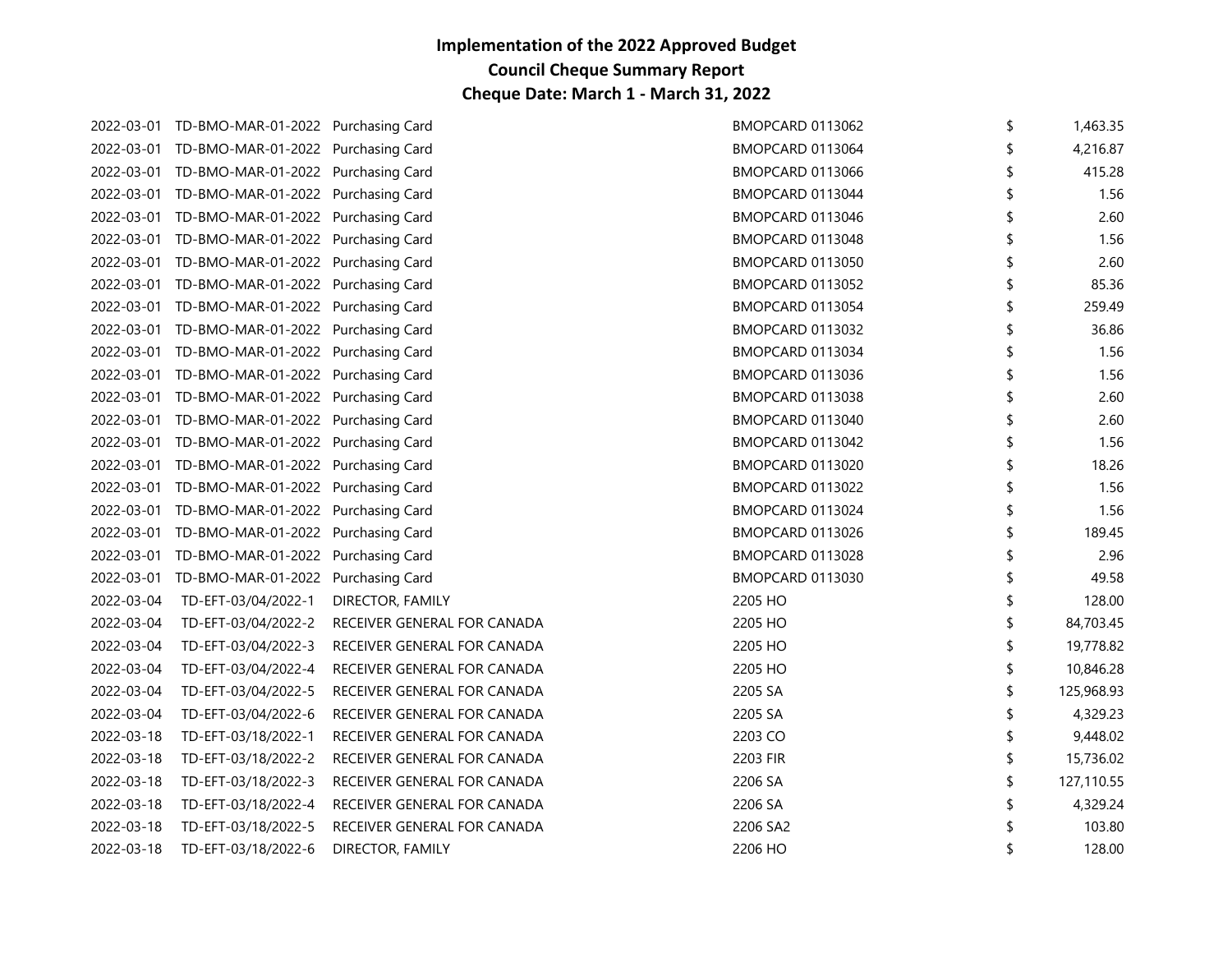|            | 2022-03-01 TD-BMO-MAR-01-2022 Purchasing Card |                             | BMOPCARD 0113062        | \$<br>1,463.35 |
|------------|-----------------------------------------------|-----------------------------|-------------------------|----------------|
|            | 2022-03-01 TD-BMO-MAR-01-2022 Purchasing Card |                             | BMOPCARD 0113064        | 4,216.87       |
|            | 2022-03-01 TD-BMO-MAR-01-2022 Purchasing Card |                             | BMOPCARD 0113066        | 415.28         |
|            | 2022-03-01 TD-BMO-MAR-01-2022 Purchasing Card |                             | BMOPCARD 0113044        | 1.56           |
|            | 2022-03-01 TD-BMO-MAR-01-2022 Purchasing Card |                             | BMOPCARD 0113046        | 2.60           |
|            | 2022-03-01 TD-BMO-MAR-01-2022 Purchasing Card |                             | BMOPCARD 0113048        | 1.56           |
|            | 2022-03-01 TD-BMO-MAR-01-2022 Purchasing Card |                             | BMOPCARD 0113050        | 2.60           |
|            | 2022-03-01 TD-BMO-MAR-01-2022 Purchasing Card |                             | BMOPCARD 0113052        | 85.36          |
|            | 2022-03-01 TD-BMO-MAR-01-2022 Purchasing Card |                             | BMOPCARD 0113054        | \$<br>259.49   |
|            | 2022-03-01 TD-BMO-MAR-01-2022 Purchasing Card |                             | <b>BMOPCARD 0113032</b> | 36.86          |
|            | 2022-03-01 TD-BMO-MAR-01-2022 Purchasing Card |                             | BMOPCARD 0113034        | 1.56           |
|            | 2022-03-01 TD-BMO-MAR-01-2022 Purchasing Card |                             | BMOPCARD 0113036        | 1.56           |
|            | 2022-03-01 TD-BMO-MAR-01-2022 Purchasing Card |                             | BMOPCARD 0113038        | 2.60           |
|            | 2022-03-01 TD-BMO-MAR-01-2022 Purchasing Card |                             | BMOPCARD 0113040        | 2.60           |
|            | 2022-03-01 TD-BMO-MAR-01-2022 Purchasing Card |                             | BMOPCARD 0113042        | 1.56           |
|            | 2022-03-01 TD-BMO-MAR-01-2022 Purchasing Card |                             | BMOPCARD 0113020        | 18.26          |
|            | 2022-03-01 TD-BMO-MAR-01-2022 Purchasing Card |                             | BMOPCARD 0113022        | 1.56           |
|            | 2022-03-01 TD-BMO-MAR-01-2022 Purchasing Card |                             | BMOPCARD 0113024        | 1.56           |
|            | 2022-03-01 TD-BMO-MAR-01-2022 Purchasing Card |                             | BMOPCARD 0113026        | 189.45         |
|            | 2022-03-01 TD-BMO-MAR-01-2022 Purchasing Card |                             | BMOPCARD 0113028        | 2.96           |
|            | 2022-03-01 TD-BMO-MAR-01-2022 Purchasing Card |                             | BMOPCARD 0113030        | 49.58          |
| 2022-03-04 | TD-EFT-03/04/2022-1                           | DIRECTOR, FAMILY            | 2205 HO                 | 128.00         |
| 2022-03-04 | TD-EFT-03/04/2022-2                           | RECEIVER GENERAL FOR CANADA | 2205 HO                 | 84,703.45      |
| 2022-03-04 | TD-EFT-03/04/2022-3                           | RECEIVER GENERAL FOR CANADA | 2205 HO                 | 19,778.82      |
| 2022-03-04 | TD-EFT-03/04/2022-4                           | RECEIVER GENERAL FOR CANADA | 2205 HO                 | 10,846.28      |
| 2022-03-04 | TD-EFT-03/04/2022-5                           | RECEIVER GENERAL FOR CANADA | 2205 SA                 | 125,968.93     |
| 2022-03-04 | TD-EFT-03/04/2022-6                           | RECEIVER GENERAL FOR CANADA | 2205 SA                 | 4,329.23       |
| 2022-03-18 | TD-EFT-03/18/2022-1                           | RECEIVER GENERAL FOR CANADA | 2203 CO                 | 9,448.02       |
| 2022-03-18 | TD-EFT-03/18/2022-2                           | RECEIVER GENERAL FOR CANADA | 2203 FIR                | 15,736.02      |
| 2022-03-18 | TD-EFT-03/18/2022-3                           | RECEIVER GENERAL FOR CANADA | 2206 SA                 | 127,110.55     |
| 2022-03-18 | TD-EFT-03/18/2022-4                           | RECEIVER GENERAL FOR CANADA | 2206 SA                 | 4,329.24       |
| 2022-03-18 | TD-EFT-03/18/2022-5                           | RECEIVER GENERAL FOR CANADA | 2206 SA2                | 103.80         |
| 2022-03-18 | TD-EFT-03/18/2022-6                           | DIRECTOR, FAMILY            | 2206 HO                 | 128.00         |